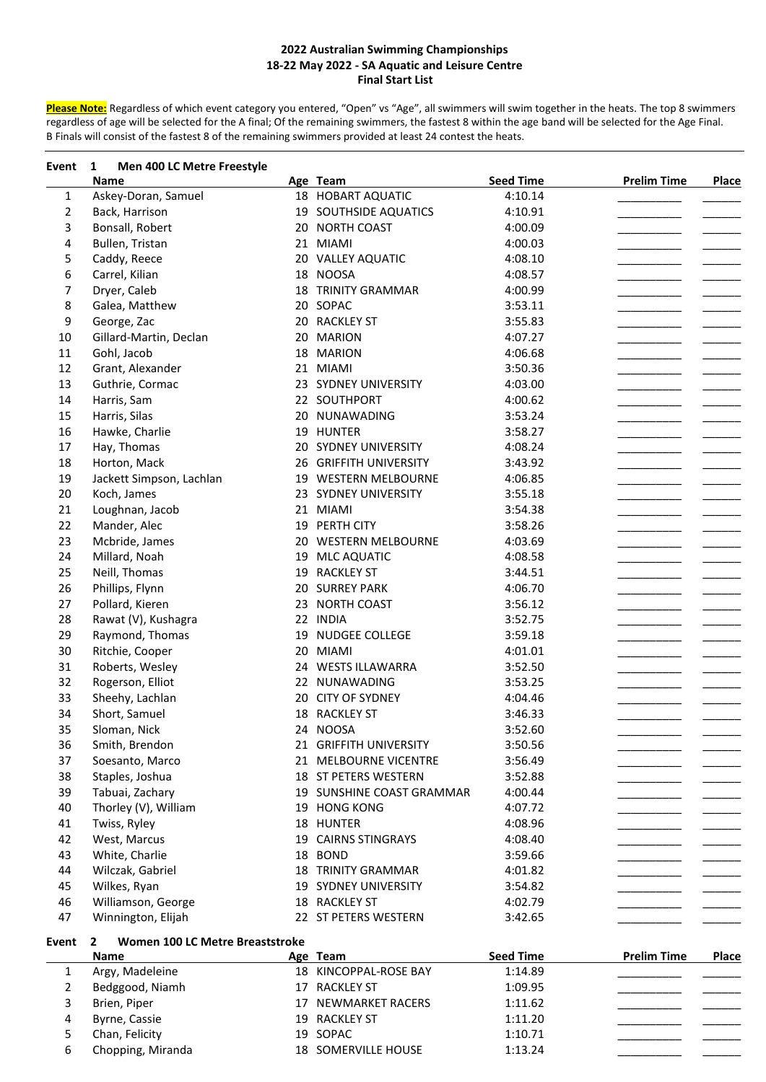**Please Note:** Regardless of which event category you entered, "Open" vs "Age", all swimmers will swim together in the heats. The top 8 swimmers regardless of age will be selected for the A final; Of the remaining swimmers, the fastest 8 within the age band will be selected for the Age Final. B Finals will consist of the fastest 8 of the remaining swimmers provided at least 24 contest the heats.

| Event        | 1<br>Men 400 LC Metre Freestyle                                |    |                           |                  |                    |              |
|--------------|----------------------------------------------------------------|----|---------------------------|------------------|--------------------|--------------|
|              | <b>Name</b>                                                    |    | Age Team                  | <b>Seed Time</b> | <b>Prelim Time</b> | Place        |
| 1            | Askey-Doran, Samuel                                            |    | 18 HOBART AQUATIC         | 4:10.14          |                    |              |
| 2            | Back, Harrison                                                 |    | 19 SOUTHSIDE AQUATICS     | 4:10.91          |                    |              |
| 3            | Bonsall, Robert                                                |    | 20 NORTH COAST            | 4:00.09          |                    |              |
| 4            | Bullen, Tristan                                                |    | 21 MIAMI                  | 4:00.03          |                    |              |
| 5            | Caddy, Reece                                                   |    | 20 VALLEY AQUATIC         | 4:08.10          |                    |              |
| 6            | Carrel, Kilian                                                 |    | 18 NOOSA                  | 4:08.57          |                    |              |
| 7            | Dryer, Caleb                                                   |    | <b>18 TRINITY GRAMMAR</b> | 4:00.99          |                    |              |
| 8            | Galea, Matthew                                                 |    | 20 SOPAC                  | 3:53.11          |                    |              |
| 9            | George, Zac                                                    |    | 20 RACKLEY ST             | 3:55.83          |                    |              |
| 10           | Gillard-Martin, Declan                                         |    | 20 MARION                 | 4:07.27          |                    |              |
| 11           | Gohl, Jacob                                                    |    | 18 MARION                 | 4:06.68          |                    |              |
| 12           | Grant, Alexander                                               |    | 21 MIAMI                  | 3:50.36          |                    |              |
| 13           | Guthrie, Cormac                                                |    | 23 SYDNEY UNIVERSITY      | 4:03.00          |                    |              |
| 14           | Harris, Sam                                                    |    | 22 SOUTHPORT              | 4:00.62          |                    |              |
| 15           | Harris, Silas                                                  |    | 20 NUNAWADING             | 3:53.24          |                    |              |
| 16           | Hawke, Charlie                                                 |    | 19 HUNTER                 | 3:58.27          |                    |              |
| 17           | Hay, Thomas                                                    |    | 20 SYDNEY UNIVERSITY      | 4:08.24          |                    |              |
| 18           | Horton, Mack                                                   |    | 26 GRIFFITH UNIVERSITY    | 3:43.92          |                    |              |
| 19           | Jackett Simpson, Lachlan                                       |    | 19 WESTERN MELBOURNE      | 4:06.85          |                    |              |
| 20           | Koch, James                                                    |    | 23 SYDNEY UNIVERSITY      | 3:55.18          |                    |              |
| 21           | Loughnan, Jacob                                                |    | 21 MIAMI                  | 3:54.38          |                    |              |
| 22           | Mander, Alec                                                   |    | 19 PERTH CITY             | 3:58.26          |                    |              |
| 23           | Mcbride, James                                                 |    | 20 WESTERN MELBOURNE      | 4:03.69          |                    |              |
| 24           | Millard, Noah                                                  | 19 | <b>MLC AQUATIC</b>        | 4:08.58          |                    |              |
| 25           | Neill, Thomas                                                  | 19 | <b>RACKLEY ST</b>         | 3:44.51          |                    |              |
| 26           | Phillips, Flynn                                                |    | 20 SURREY PARK            | 4:06.70          |                    |              |
| 27           | Pollard, Kieren                                                | 23 | <b>NORTH COAST</b>        | 3:56.12          |                    |              |
| 28           | Rawat (V), Kushagra                                            |    | 22 INDIA                  | 3:52.75          |                    |              |
| 29           | Raymond, Thomas                                                | 19 | <b>NUDGEE COLLEGE</b>     | 3:59.18          |                    |              |
| 30           | Ritchie, Cooper                                                | 20 | <b>MIAMI</b>              | 4:01.01          |                    |              |
| 31           | Roberts, Wesley                                                |    | 24 WESTS ILLAWARRA        | 3:52.50          |                    |              |
| 32           | Rogerson, Elliot                                               |    | 22 NUNAWADING             | 3:53.25          |                    |              |
| 33           | Sheehy, Lachlan                                                | 20 | <b>CITY OF SYDNEY</b>     | 4:04.46          |                    |              |
| 34           | Short, Samuel                                                  |    | 18 RACKLEY ST             | 3:46.33          |                    |              |
| 35           | Sloman, Nick                                                   |    | 24 NOOSA                  | 3:52.60          |                    |              |
| 36           | Smith, Brendon                                                 |    | 21 GRIFFITH UNIVERSITY    | 3:50.56          |                    |              |
| 37           | Soesanto, Marco                                                |    | 21 MELBOURNE VICENTRE     | 3:56.49          |                    |              |
| 38           | Staples, Joshua                                                |    | 18 ST PETERS WESTERN      | 3:52.88          |                    |              |
| 39           | Tabuai, Zachary                                                |    | 19 SUNSHINE COAST GRAMMAR | 4:00.44          |                    |              |
| 40           | Thorley (V), William                                           |    | 19 HONG KONG              | 4:07.72          |                    |              |
| 41           | Twiss, Ryley                                                   |    | 18 HUNTER                 | 4:08.96          |                    |              |
| 42           | West, Marcus                                                   |    | 19 CAIRNS STINGRAYS       | 4:08.40          |                    |              |
| 43           | White, Charlie                                                 |    | 18 BOND                   | 3:59.66          |                    |              |
| 44           | Wilczak, Gabriel                                               |    | <b>18 TRINITY GRAMMAR</b> | 4:01.82          |                    |              |
| 45           | Wilkes, Ryan                                                   |    | 19 SYDNEY UNIVERSITY      | 3:54.82          |                    |              |
| 46           | Williamson, George                                             |    | 18 RACKLEY ST             | 4:02.79          |                    |              |
| 47           | Winnington, Elijah                                             |    | 22 ST PETERS WESTERN      | 3:42.65          |                    |              |
| Event        | Women 100 LC Metre Breaststroke<br>$\mathbf{2}$<br><b>Name</b> |    | Age Team                  | <b>Seed Time</b> | <b>Prelim Time</b> | <b>Place</b> |
| $\mathbf{1}$ | Argy, Madeleine                                                |    | 18 KINCOPPAL-ROSE BAY     | 1:14.89          |                    |              |
| 2            | Bedggood, Niamh                                                |    | 17 RACKLEY ST             | 1:09.95          |                    |              |
| 3            | Brien, Piper                                                   |    | 17 NEWMARKET RACERS       | 1:11.62          |                    |              |
| 4            | Byrne, Cassie                                                  |    | 19 RACKLEY ST             | 1:11.20          |                    |              |

5 Chan, Felicity 19 SOPAC 1:10.71 6 Chopping, Miranda 18 SOMERVILLE HOUSE 1:13.24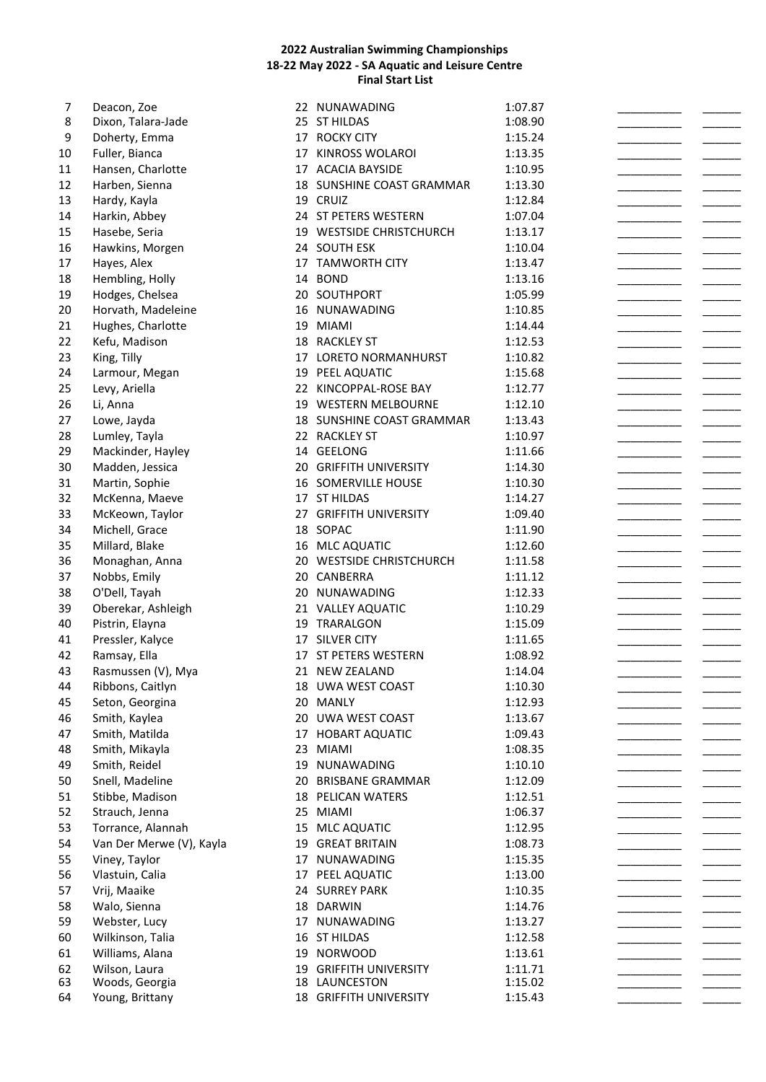| 7  | Deacon, Zoe              |    | 22 NUNAWADING             | 1:07.87 |  |
|----|--------------------------|----|---------------------------|---------|--|
| 8  | Dixon, Talara-Jade       |    | 25 ST HILDAS              | 1:08.90 |  |
| 9  | Doherty, Emma            |    | 17 ROCKY CITY             | 1:15.24 |  |
| 10 | Fuller, Bianca           |    | 17 KINROSS WOLAROI        | 1:13.35 |  |
| 11 | Hansen, Charlotte        |    | 17 ACACIA BAYSIDE         | 1:10.95 |  |
| 12 | Harben, Sienna           |    | 18 SUNSHINE COAST GRAMMAR | 1:13.30 |  |
| 13 | Hardy, Kayla             |    | 19 CRUIZ                  | 1:12.84 |  |
| 14 | Harkin, Abbey            |    | 24 ST PETERS WESTERN      | 1:07.04 |  |
|    |                          |    |                           |         |  |
| 15 | Hasebe, Seria            |    | 19 WESTSIDE CHRISTCHURCH  | 1:13.17 |  |
| 16 | Hawkins, Morgen          |    | 24 SOUTH ESK              | 1:10.04 |  |
| 17 | Hayes, Alex              |    | 17 TAMWORTH CITY          | 1:13.47 |  |
| 18 | Hembling, Holly          |    | 14 BOND                   | 1:13.16 |  |
| 19 | Hodges, Chelsea          |    | 20 SOUTHPORT              | 1:05.99 |  |
| 20 | Horvath, Madeleine       |    | 16 NUNAWADING             | 1:10.85 |  |
| 21 | Hughes, Charlotte        |    | 19 MIAMI                  | 1:14.44 |  |
| 22 | Kefu, Madison            |    | 18 RACKLEY ST             | 1:12.53 |  |
| 23 | King, Tilly              |    | 17 LORETO NORMANHURST     | 1:10.82 |  |
| 24 | Larmour, Megan           | 19 | PEEL AQUATIC              | 1:15.68 |  |
| 25 | Levy, Ariella            |    | 22 KINCOPPAL-ROSE BAY     | 1:12.77 |  |
| 26 | Li, Anna                 | 19 | <b>WESTERN MELBOURNE</b>  | 1:12.10 |  |
| 27 | Lowe, Jayda              |    | 18 SUNSHINE COAST GRAMMAR | 1:13.43 |  |
| 28 | Lumley, Tayla            |    | 22 RACKLEY ST             | 1:10.97 |  |
| 29 | Mackinder, Hayley        |    | 14 GEELONG                | 1:11.66 |  |
|    |                          |    |                           |         |  |
| 30 | Madden, Jessica          |    | 20 GRIFFITH UNIVERSITY    | 1:14.30 |  |
| 31 | Martin, Sophie           |    | 16 SOMERVILLE HOUSE       | 1:10.30 |  |
| 32 | McKenna, Maeve           |    | 17 ST HILDAS              | 1:14.27 |  |
| 33 | McKeown, Taylor          |    | 27 GRIFFITH UNIVERSITY    | 1:09.40 |  |
| 34 | Michell, Grace           |    | 18 SOPAC                  | 1:11.90 |  |
| 35 | Millard, Blake           |    | 16 MLC AQUATIC            | 1:12.60 |  |
| 36 | Monaghan, Anna           |    | 20 WESTSIDE CHRISTCHURCH  | 1:11.58 |  |
| 37 | Nobbs, Emily             |    | 20 CANBERRA               | 1:11.12 |  |
| 38 | O'Dell, Tayah            |    | 20 NUNAWADING             | 1:12.33 |  |
| 39 | Oberekar, Ashleigh       |    | 21 VALLEY AQUATIC         | 1:10.29 |  |
| 40 | Pistrin, Elayna          |    | 19 TRARALGON              | 1:15.09 |  |
| 41 | Pressler, Kalyce         |    | 17 SILVER CITY            | 1:11.65 |  |
| 42 | Ramsay, Ella             |    | 17 ST PETERS WESTERN      | 1:08.92 |  |
| 43 | Rasmussen (V), Mya       |    | 21 NEW ZEALAND            | 1:14.04 |  |
| 44 | Ribbons, Caitlyn         |    | 18 UWA WEST COAST         | 1:10.30 |  |
| 45 | Seton, Georgina          |    | 20 MANLY                  | 1:12.93 |  |
|    |                          |    | 20 UWA WEST COAST         |         |  |
| 46 | Smith, Kaylea            |    |                           | 1:13.67 |  |
| 47 | Smith, Matilda           |    | 17 HOBART AQUATIC         | 1:09.43 |  |
| 48 | Smith, Mikayla           | 23 | <b>MIAMI</b>              | 1:08.35 |  |
| 49 | Smith, Reidel            |    | 19 NUNAWADING             | 1:10.10 |  |
| 50 | Snell, Madeline          | 20 | <b>BRISBANE GRAMMAR</b>   | 1:12.09 |  |
| 51 | Stibbe, Madison          |    | <b>18 PELICAN WATERS</b>  | 1:12.51 |  |
| 52 | Strauch, Jenna           |    | 25 MIAMI                  | 1:06.37 |  |
| 53 | Torrance, Alannah        |    | 15 MLC AQUATIC            | 1:12.95 |  |
| 54 | Van Der Merwe (V), Kayla | 19 | <b>GREAT BRITAIN</b>      | 1:08.73 |  |
| 55 | Viney, Taylor            | 17 | NUNAWADING                | 1:15.35 |  |
| 56 | Vlastuin, Calia          | 17 | PEEL AQUATIC              | 1:13.00 |  |
| 57 | Vrij, Maaike             |    | 24 SURREY PARK            | 1:10.35 |  |
| 58 | Walo, Sienna             |    | 18 DARWIN                 | 1:14.76 |  |
| 59 | Webster, Lucy            | 17 | NUNAWADING                | 1:13.27 |  |
| 60 | Wilkinson, Talia         |    | 16 ST HILDAS              | 1:12.58 |  |
| 61 | Williams, Alana          | 19 | <b>NORWOOD</b>            | 1:13.61 |  |
| 62 | Wilson, Laura            |    | 19 GRIFFITH UNIVERSITY    | 1:11.71 |  |
| 63 | Woods, Georgia           |    | 18 LAUNCESTON             | 1:15.02 |  |
| 64 | Young, Brittany          |    | 18 GRIFFITH UNIVERSITY    | 1:15.43 |  |
|    |                          |    |                           |         |  |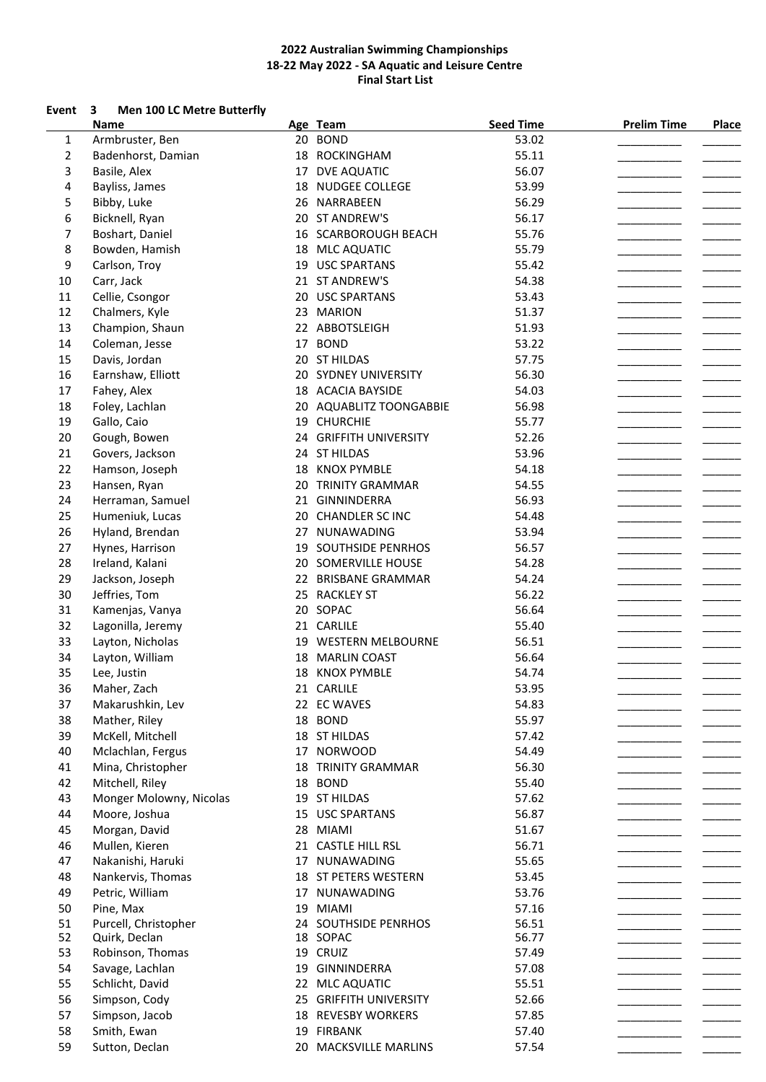# **Event 3 Men 100 LC Metre Butterfly**

|    | <b>Name</b>             |    | Age Team                  | <b>Seed Time</b> | <b>Prelim Time</b> | Place |
|----|-------------------------|----|---------------------------|------------------|--------------------|-------|
| 1  | Armbruster, Ben         |    | 20 BOND                   | 53.02            |                    |       |
| 2  | Badenhorst, Damian      |    | 18 ROCKINGHAM             | 55.11            |                    |       |
| 3  | Basile, Alex            |    | 17 DVE AQUATIC            | 56.07            |                    |       |
| 4  | Bayliss, James          | 18 | <b>NUDGEE COLLEGE</b>     | 53.99            |                    |       |
| 5  | Bibby, Luke             | 26 | NARRABEEN                 | 56.29            |                    |       |
| 6  | Bicknell, Ryan          |    | 20 ST ANDREW'S            | 56.17            |                    |       |
| 7  | Boshart, Daniel         |    | 16 SCARBOROUGH BEACH      | 55.76            |                    |       |
| 8  | Bowden, Hamish          |    | 18 MLC AQUATIC            | 55.79            |                    |       |
|    |                         |    | <b>USC SPARTANS</b>       | 55.42            |                    |       |
| 9  | Carlson, Troy           | 19 |                           |                  |                    |       |
| 10 | Carr, Jack              |    | 21 ST ANDREW'S            | 54.38            |                    |       |
| 11 | Cellie, Csongor         |    | 20 USC SPARTANS           | 53.43            |                    |       |
| 12 | Chalmers, Kyle          | 23 | <b>MARION</b>             | 51.37            |                    |       |
| 13 | Champion, Shaun         |    | 22 ABBOTSLEIGH            | 51.93            |                    |       |
| 14 | Coleman, Jesse          |    | 17 BOND                   | 53.22            |                    |       |
| 15 | Davis, Jordan           |    | 20 ST HILDAS              | 57.75            |                    |       |
| 16 | Earnshaw, Elliott       |    | 20 SYDNEY UNIVERSITY      | 56.30            |                    |       |
| 17 | Fahey, Alex             |    | 18 ACACIA BAYSIDE         | 54.03            |                    |       |
| 18 | Foley, Lachlan          |    | 20 AQUABLITZ TOONGABBIE   | 56.98            |                    |       |
| 19 | Gallo, Caio             |    | 19 CHURCHIE               | 55.77            |                    |       |
| 20 | Gough, Bowen            |    | 24 GRIFFITH UNIVERSITY    | 52.26            |                    |       |
| 21 | Govers, Jackson         |    | 24 ST HILDAS              | 53.96            |                    |       |
| 22 |                         |    |                           | 54.18            |                    |       |
|    | Hamson, Joseph          |    | 18 KNOX PYMBLE            |                  |                    |       |
| 23 | Hansen, Ryan            |    | 20 TRINITY GRAMMAR        | 54.55            |                    |       |
| 24 | Herraman, Samuel        |    | 21 GINNINDERRA            | 56.93            |                    |       |
| 25 | Humeniuk, Lucas         |    | 20 CHANDLER SC INC        | 54.48            |                    |       |
| 26 | Hyland, Brendan         |    | 27 NUNAWADING             | 53.94            |                    |       |
| 27 | Hynes, Harrison         |    | 19 SOUTHSIDE PENRHOS      | 56.57            |                    |       |
| 28 | Ireland, Kalani         |    | 20 SOMERVILLE HOUSE       | 54.28            |                    |       |
| 29 | Jackson, Joseph         |    | 22 BRISBANE GRAMMAR       | 54.24            |                    |       |
| 30 | Jeffries, Tom           |    | 25 RACKLEY ST             | 56.22            |                    |       |
| 31 | Kamenjas, Vanya         |    | 20 SOPAC                  | 56.64            |                    |       |
| 32 | Lagonilla, Jeremy       |    | 21 CARLILE                | 55.40            |                    |       |
| 33 | Layton, Nicholas        |    | 19 WESTERN MELBOURNE      | 56.51            |                    |       |
| 34 | Layton, William         |    | 18 MARLIN COAST           | 56.64            |                    |       |
|    |                         |    |                           |                  |                    |       |
| 35 | Lee, Justin             | 18 | <b>KNOX PYMBLE</b>        | 54.74            |                    |       |
| 36 | Maher, Zach             |    | 21 CARLILE                | 53.95            |                    |       |
| 37 | Makarushkin, Lev        |    | 22 EC WAVES               | 54.83            |                    |       |
| 38 | Mather, Riley           |    | 18 BOND                   | 55.97            |                    |       |
| 39 | McKell, Mitchell        |    | 18 ST HILDAS              | 57.42            |                    |       |
| 40 | Mclachlan, Fergus       |    | 17 NORWOOD                | 54.49            |                    |       |
| 41 | Mina, Christopher       |    | <b>18 TRINITY GRAMMAR</b> | 56.30            |                    |       |
| 42 | Mitchell, Riley         |    | 18 BOND                   | 55.40            |                    |       |
| 43 | Monger Molowny, Nicolas |    | 19 ST HILDAS              | 57.62            |                    |       |
| 44 | Moore, Joshua           |    | 15 USC SPARTANS           | 56.87            |                    |       |
| 45 | Morgan, David           |    | 28 MIAMI                  | 51.67            |                    |       |
| 46 | Mullen, Kieren          |    | 21 CASTLE HILL RSL        | 56.71            |                    |       |
| 47 | Nakanishi, Haruki       |    | 17 NUNAWADING             | 55.65            |                    |       |
| 48 | Nankervis, Thomas       |    | 18 ST PETERS WESTERN      | 53.45            |                    |       |
| 49 | Petric, William         |    | 17 NUNAWADING             | 53.76            |                    |       |
|    |                         |    |                           |                  |                    |       |
| 50 | Pine, Max               |    | 19 MIAMI                  | 57.16            |                    |       |
| 51 | Purcell, Christopher    |    | 24 SOUTHSIDE PENRHOS      | 56.51            |                    |       |
| 52 | Quirk, Declan           |    | 18 SOPAC                  | 56.77            |                    |       |
| 53 | Robinson, Thomas        |    | 19 CRUIZ                  | 57.49            |                    |       |
| 54 | Savage, Lachlan         | 19 | GINNINDERRA               | 57.08            |                    |       |
| 55 | Schlicht, David         |    | 22 MLC AQUATIC            | 55.51            |                    |       |
| 56 | Simpson, Cody           |    | 25 GRIFFITH UNIVERSITY    | 52.66            |                    |       |
| 57 | Simpson, Jacob          |    | 18 REVESBY WORKERS        | 57.85            |                    |       |
| 58 | Smith, Ewan             |    | 19 FIRBANK                | 57.40            |                    |       |
| 59 | Sutton, Declan          |    | 20 MACKSVILLE MARLINS     | 57.54            |                    |       |
|    |                         |    |                           |                  |                    |       |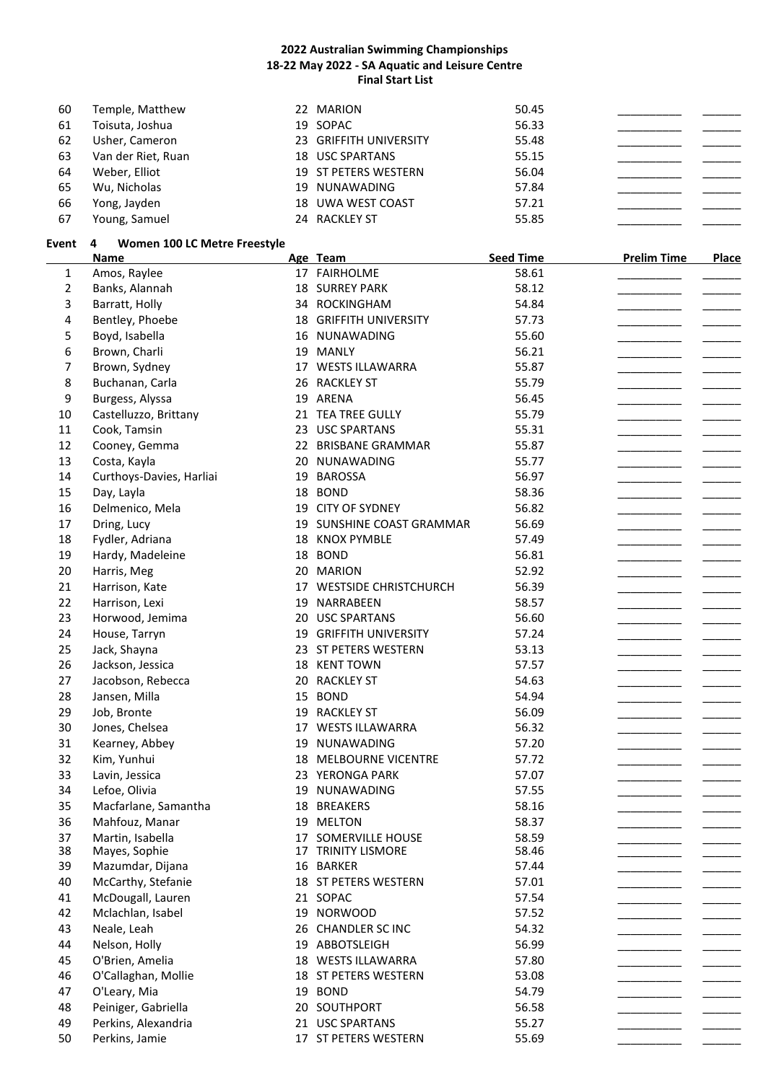| 60 | Temple, Matthew    | 22 MARION                   | 50.45 |  |
|----|--------------------|-----------------------------|-------|--|
| 61 | Toisuta, Joshua    | 19 SOPAC                    | 56.33 |  |
| 62 | Usher, Cameron     | 23 GRIFFITH UNIVERSITY      | 55.48 |  |
| 63 | Van der Riet, Ruan | 18 USC SPARTANS             | 55.15 |  |
| 64 | Weber, Elliot      | <b>19 ST PETERS WESTERN</b> | 56.04 |  |
| 65 | Wu, Nicholas       | 19 NUNAWADING               | 57.84 |  |
| 66 | Yong, Jayden       | 18 UWA WEST COAST           | 57.21 |  |
| 67 | Young, Samuel      | 24 RACKLEY ST               | 55.85 |  |

### **Event 4 Women 100 LC Metre Freestyle**

|                | <b>Name</b>              |    | Age Team                      | <b>Seed Time</b> | <b>Prelim Time</b> | Place |
|----------------|--------------------------|----|-------------------------------|------------------|--------------------|-------|
| $\mathbf{1}$   | Amos, Raylee             |    | 17 FAIRHOLME                  | 58.61            |                    |       |
| $\overline{2}$ | Banks, Alannah           |    | <b>18 SURREY PARK</b>         | 58.12            |                    |       |
| 3              | Barratt, Holly           |    | 34 ROCKINGHAM                 | 54.84            |                    |       |
| 4              | Bentley, Phoebe          |    | <b>18 GRIFFITH UNIVERSITY</b> | 57.73            |                    |       |
| 5              | Boyd, Isabella           |    | 16 NUNAWADING                 | 55.60            |                    |       |
| 6              | Brown, Charli            |    | 19 MANLY                      | 56.21            |                    |       |
| 7              | Brown, Sydney            |    | 17 WESTS ILLAWARRA            | 55.87            |                    |       |
| 8              | Buchanan, Carla          |    | 26 RACKLEY ST                 | 55.79            |                    |       |
| 9              | Burgess, Alyssa          |    | 19 ARENA                      | 56.45            |                    |       |
| 10             | Castelluzzo, Brittany    |    | 21 TEA TREE GULLY             | 55.79            |                    |       |
| 11             | Cook, Tamsin             |    | 23 USC SPARTANS               | 55.31            |                    |       |
| 12             | Cooney, Gemma            |    | 22 BRISBANE GRAMMAR           | 55.87            |                    |       |
| 13             | Costa, Kayla             |    | 20 NUNAWADING                 | 55.77            |                    |       |
| 14             | Curthoys-Davies, Harliai |    | 19 BAROSSA                    | 56.97            |                    |       |
| 15             | Day, Layla               |    | 18 BOND                       | 58.36            |                    |       |
| 16             | Delmenico, Mela          |    | 19 CITY OF SYDNEY             | 56.82            |                    |       |
| 17             | Dring, Lucy              |    | 19 SUNSHINE COAST GRAMMAR     | 56.69            |                    |       |
| 18             | Fydler, Adriana          |    | 18 KNOX PYMBLE                | 57.49            |                    |       |
| 19             | Hardy, Madeleine         |    | 18 BOND                       | 56.81            |                    |       |
| 20             | Harris, Meg              |    | 20 MARION                     | 52.92            |                    |       |
| 21             | Harrison, Kate           |    | 17 WESTSIDE CHRISTCHURCH      | 56.39            |                    |       |
| 22             | Harrison, Lexi           |    | 19 NARRABEEN                  | 58.57            |                    |       |
| 23             |                          |    | 20 USC SPARTANS               | 56.60            |                    |       |
| 24             | Horwood, Jemima          |    |                               | 57.24            |                    |       |
| 25             | House, Tarryn            |    | 19 GRIFFITH UNIVERSITY        | 53.13            |                    |       |
|                | Jack, Shayna             |    | 23 ST PETERS WESTERN          |                  |                    |       |
| 26             | Jackson, Jessica         |    | 18 KENT TOWN                  | 57.57<br>54.63   |                    |       |
| 27             | Jacobson, Rebecca        |    | 20 RACKLEY ST                 |                  |                    |       |
| 28             | Jansen, Milla            |    | 15 BOND                       | 54.94            |                    |       |
| 29             | Job, Bronte              |    | 19 RACKLEY ST                 | 56.09            |                    |       |
| 30             | Jones, Chelsea           |    | 17 WESTS ILLAWARRA            | 56.32            |                    |       |
| 31             | Kearney, Abbey           |    | 19 NUNAWADING                 | 57.20            |                    |       |
| 32             | Kim, Yunhui              |    | 18 MELBOURNE VICENTRE         | 57.72            |                    |       |
| 33             | Lavin, Jessica           |    | 23 YERONGA PARK               | 57.07            |                    |       |
| 34             | Lefoe, Olivia            | 19 | NUNAWADING                    | 57.55            |                    |       |
| 35             | Macfarlane, Samantha     | 18 | <b>BREAKERS</b>               | 58.16            |                    |       |
| 36             | Mahfouz, Manar           | 19 | <b>MELTON</b>                 | 58.37            |                    |       |
| 37             | Martin, Isabella         |    | 17 SOMERVILLE HOUSE           | 58.59            |                    |       |
| 38             | Mayes, Sophie            |    | 17 TRINITY LISMORE            | 58.46            |                    |       |
| 39             | Mazumdar, Dijana         |    | 16 BARKER                     | 57.44            |                    |       |
| 40             | McCarthy, Stefanie       |    | 18 ST PETERS WESTERN          | 57.01            |                    |       |
| 41             | McDougall, Lauren        |    | 21 SOPAC                      | 57.54            |                    |       |
| 42             | Mclachlan, Isabel        |    | 19 NORWOOD                    | 57.52            |                    |       |
| 43             | Neale, Leah              |    | 26 CHANDLER SC INC            | 54.32            |                    |       |
| 44             | Nelson, Holly            |    | 19 ABBOTSLEIGH                | 56.99            |                    |       |
| 45             | O'Brien, Amelia          |    | 18 WESTS ILLAWARRA            | 57.80            |                    |       |
| 46             | O'Callaghan, Mollie      |    | 18 ST PETERS WESTERN          | 53.08            |                    |       |
| 47             | O'Leary, Mia             |    | 19 BOND                       | 54.79            |                    |       |
| 48             | Peiniger, Gabriella      |    | 20 SOUTHPORT                  | 56.58            |                    |       |
| 49             | Perkins, Alexandria      |    | 21 USC SPARTANS               | 55.27            |                    |       |
| 50             | Perkins, Jamie           |    | 17 ST PETERS WESTERN          | 55.69            |                    |       |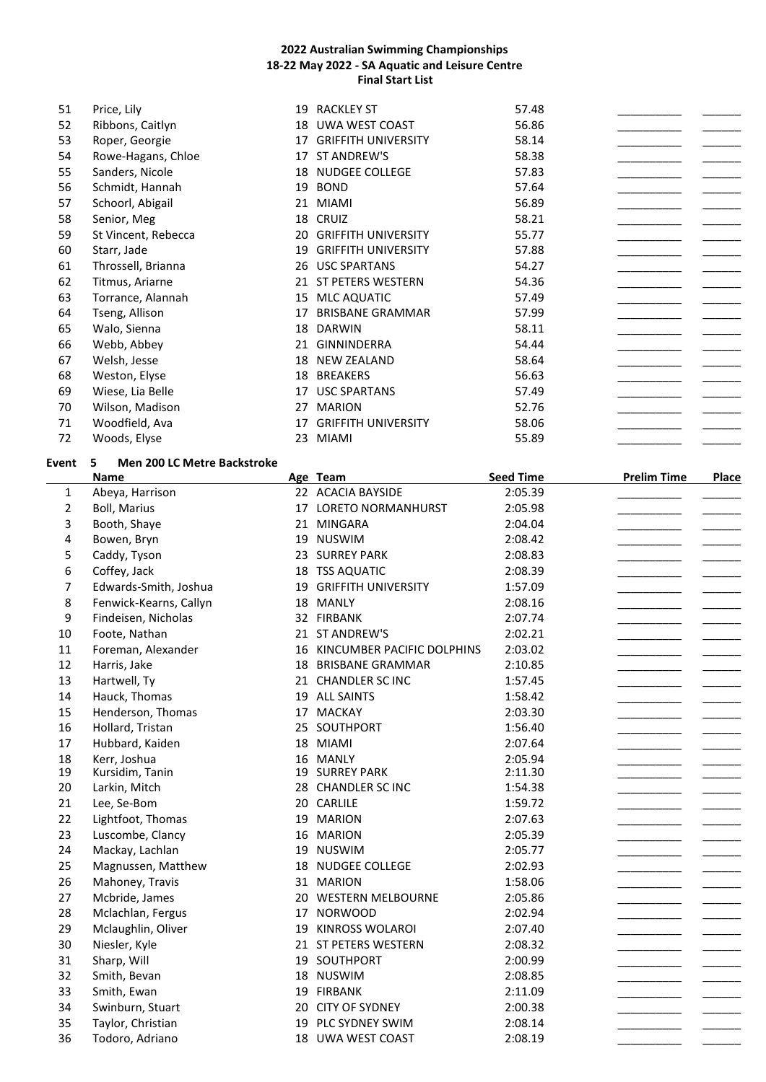| 51 | Price, Lily         | 19 | <b>RACKLEY ST</b>          | 57.48 |  |
|----|---------------------|----|----------------------------|-------|--|
| 52 | Ribbons, Caitlyn    | 18 | UWA WEST COAST             | 56.86 |  |
| 53 | Roper, Georgie      | 17 | <b>GRIFFITH UNIVERSITY</b> | 58.14 |  |
| 54 | Rowe-Hagans, Chloe  | 17 | ST ANDREW'S                | 58.38 |  |
| 55 | Sanders, Nicole     | 18 | <b>NUDGEE COLLEGE</b>      | 57.83 |  |
| 56 | Schmidt, Hannah     | 19 | <b>BOND</b>                | 57.64 |  |
| 57 | Schoorl, Abigail    | 21 | <b>MIAMI</b>               | 56.89 |  |
| 58 | Senior, Meg         |    | 18 CRUIZ                   | 58.21 |  |
| 59 | St Vincent, Rebecca | 20 | <b>GRIFFITH UNIVERSITY</b> | 55.77 |  |
| 60 | Starr, Jade         | 19 | <b>GRIFFITH UNIVERSITY</b> | 57.88 |  |
| 61 | Throssell, Brianna  | 26 | <b>USC SPARTANS</b>        | 54.27 |  |
| 62 | Titmus, Ariarne     | 21 | ST PETERS WESTERN          | 54.36 |  |
| 63 | Torrance, Alannah   | 15 | <b>MLC AQUATIC</b>         | 57.49 |  |
| 64 | Tseng, Allison      | 17 | <b>BRISBANE GRAMMAR</b>    | 57.99 |  |
| 65 | Walo, Sienna        | 18 | <b>DARWIN</b>              | 58.11 |  |
| 66 | Webb, Abbey         | 21 | <b>GINNINDERRA</b>         | 54.44 |  |
| 67 | Welsh, Jesse        | 18 | <b>NEW ZEALAND</b>         | 58.64 |  |
| 68 | Weston, Elyse       | 18 | <b>BREAKERS</b>            | 56.63 |  |
| 69 | Wiese, Lia Belle    | 17 | <b>USC SPARTANS</b>        | 57.49 |  |
| 70 | Wilson, Madison     | 27 | <b>MARION</b>              | 52.76 |  |
| 71 | Woodfield, Ava      | 17 | <b>GRIFFITH UNIVERSITY</b> | 58.06 |  |
| 72 | Woods, Elyse        | 23 | <b>MIAMI</b>               | 55.89 |  |

# **Event 5 Men 200 LC Metre Backstroke**

|                | Name                   |    | Age Team                      | <b>Seed Time</b> | <b>Prelim Time</b> | <b>Place</b> |
|----------------|------------------------|----|-------------------------------|------------------|--------------------|--------------|
| 1              | Abeya, Harrison        |    | 22 ACACIA BAYSIDE             | 2:05.39          |                    |              |
| $\overline{2}$ | <b>Boll, Marius</b>    |    | 17 LORETO NORMANHURST         | 2:05.98          |                    |              |
| 3              | Booth, Shaye           |    | 21 MINGARA                    | 2:04.04          |                    |              |
| 4              | Bowen, Bryn            | 19 | <b>NUSWIM</b>                 | 2:08.42          |                    |              |
| 5              | Caddy, Tyson           |    | 23 SURREY PARK                | 2:08.83          |                    |              |
| 6              | Coffey, Jack           |    | 18 TSS AQUATIC                | 2:08.39          |                    |              |
| 7              | Edwards-Smith, Joshua  |    | 19 GRIFFITH UNIVERSITY        | 1:57.09          |                    |              |
| 8              | Fenwick-Kearns, Callyn |    | 18 MANLY                      | 2:08.16          |                    |              |
| 9              | Findeisen, Nicholas    |    | 32 FIRBANK                    | 2:07.74          |                    |              |
| 10             | Foote, Nathan          |    | 21 ST ANDREW'S                | 2:02.21          |                    |              |
| 11             | Foreman, Alexander     |    | 16 KINCUMBER PACIFIC DOLPHINS | 2:03.02          |                    |              |
| 12             | Harris, Jake           |    | 18 BRISBANE GRAMMAR           | 2:10.85          |                    |              |
| 13             | Hartwell, Ty           |    | 21 CHANDLER SC INC            | 1:57.45          |                    |              |
| 14             | Hauck, Thomas          |    | 19 ALL SAINTS                 | 1:58.42          |                    |              |
| 15             | Henderson, Thomas      |    | 17 MACKAY                     | 2:03.30          |                    |              |
| 16             | Hollard, Tristan       |    | 25 SOUTHPORT                  | 1:56.40          |                    |              |
| 17             | Hubbard, Kaiden        |    | 18 MIAMI                      | 2:07.64          |                    |              |
| 18             | Kerr, Joshua           |    | 16 MANLY                      | 2:05.94          |                    |              |
| 19             | Kursidim, Tanin        |    | <b>19 SURREY PARK</b>         | 2:11.30          |                    |              |
| 20             | Larkin, Mitch          |    | 28 CHANDLER SC INC            | 1:54.38          |                    |              |
| 21             | Lee, Se-Bom            |    | 20 CARLILE                    | 1:59.72          |                    |              |
| 22             | Lightfoot, Thomas      |    | 19 MARION                     | 2:07.63          |                    |              |
| 23             | Luscombe, Clancy       | 16 | <b>MARION</b>                 | 2:05.39          |                    |              |
| 24             | Mackay, Lachlan        |    | 19 NUSWIM                     | 2:05.77          |                    |              |
| 25             | Magnussen, Matthew     |    | 18 NUDGEE COLLEGE             | 2:02.93          |                    |              |
| 26             | Mahoney, Travis        |    | 31 MARION                     | 1:58.06          |                    |              |
| 27             | Mcbride, James         |    | 20 WESTERN MELBOURNE          | 2:05.86          |                    |              |
| 28             | Mclachlan, Fergus      |    | 17 NORWOOD                    | 2:02.94          |                    |              |
| 29             | Mclaughlin, Oliver     |    | 19 KINROSS WOLAROI            | 2:07.40          |                    |              |
| 30             | Niesler, Kyle          |    | 21 ST PETERS WESTERN          | 2:08.32          |                    |              |
| 31             | Sharp, Will            |    | 19 SOUTHPORT                  | 2:00.99          |                    |              |
| 32             | Smith, Bevan           |    | 18 NUSWIM                     | 2:08.85          |                    |              |
| 33             | Smith, Ewan            |    | 19 FIRBANK                    | 2:11.09          |                    |              |
| 34             | Swinburn, Stuart       |    | 20 CITY OF SYDNEY             | 2:00.38          |                    |              |
| 35             | Taylor, Christian      | 19 | PLC SYDNEY SWIM               | 2:08.14          |                    |              |
| 36             | Todoro, Adriano        |    | 18 UWA WEST COAST             | 2:08.19          |                    |              |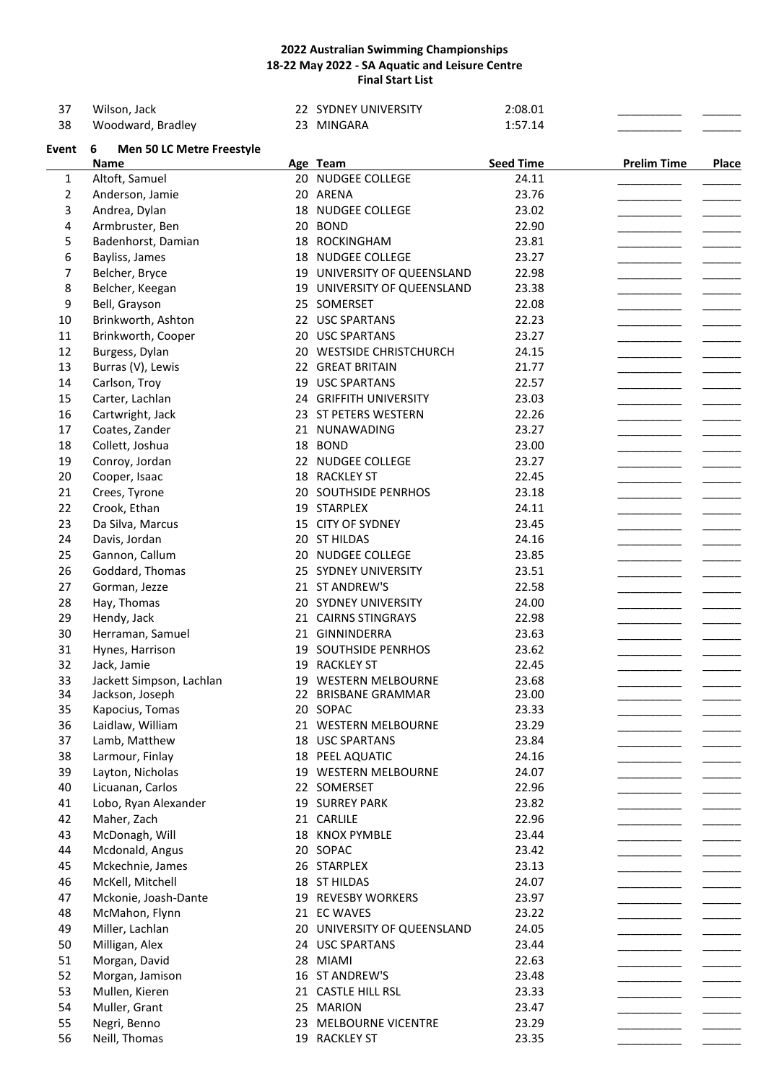| 37           | Wilson, Jack                          | 22 SYDNEY UNIVERSITY        | 2:08.01          |                    |              |
|--------------|---------------------------------------|-----------------------------|------------------|--------------------|--------------|
| 38           | Woodward, Bradley                     | 23 MINGARA                  | 1:57.14          |                    |              |
| Event        | <b>Men 50 LC Metre Freestyle</b><br>6 |                             |                  |                    |              |
|              | <b>Name</b>                           | Age Team                    | <b>Seed Time</b> | <b>Prelim Time</b> | <b>Place</b> |
| $\mathbf{1}$ | Altoft, Samuel                        | 20 NUDGEE COLLEGE           | 24.11            |                    |              |
| 2            | Anderson, Jamie                       | 20 ARENA                    | 23.76            |                    |              |
| 3            | Andrea, Dylan                         | 18 NUDGEE COLLEGE           | 23.02            |                    |              |
| 4            | Armbruster, Ben                       | 20 BOND                     | 22.90            |                    |              |
| 5            | Badenhorst, Damian                    | 18 ROCKINGHAM               | 23.81            |                    |              |
| 6            | Bayliss, James                        | 18 NUDGEE COLLEGE           | 23.27            |                    |              |
| 7            | Belcher, Bryce                        | 19 UNIVERSITY OF QUEENSLAND | 22.98            |                    |              |
| 8            | Belcher, Keegan                       | 19 UNIVERSITY OF QUEENSLAND | 23.38            |                    |              |
| 9            | Bell, Grayson                         | 25 SOMERSET                 | 22.08            |                    |              |
| 10           | Brinkworth, Ashton                    | 22 USC SPARTANS             | 22.23            |                    |              |
| 11           | Brinkworth, Cooper                    | 20 USC SPARTANS             | 23.27            |                    |              |
| 12           | Burgess, Dylan                        | 20 WESTSIDE CHRISTCHURCH    | 24.15            |                    |              |
| 13           | Burras (V), Lewis                     | 22 GREAT BRITAIN            | 21.77            |                    |              |
| 14           | Carlson, Troy                         | 19 USC SPARTANS             | 22.57            |                    |              |
| 15           | Carter, Lachlan                       | 24 GRIFFITH UNIVERSITY      | 23.03            |                    |              |
| 16           | Cartwright, Jack                      | 23 ST PETERS WESTERN        | 22.26            |                    |              |
|              |                                       |                             |                  |                    |              |
| 17           | Coates, Zander                        | 21 NUNAWADING               | 23.27            |                    |              |
| 18           | Collett, Joshua                       | 18 BOND                     | 23.00            |                    |              |
| 19           | Conroy, Jordan                        | 22 NUDGEE COLLEGE           | 23.27            |                    |              |
| 20           | Cooper, Isaac                         | 18 RACKLEY ST               | 22.45            |                    |              |
| 21           | Crees, Tyrone                         | 20 SOUTHSIDE PENRHOS        | 23.18            |                    |              |
| 22           | Crook, Ethan                          | 19 STARPLEX                 | 24.11            |                    |              |
| 23           | Da Silva, Marcus                      | 15 CITY OF SYDNEY           | 23.45            |                    |              |
| 24           | Davis, Jordan                         | 20 ST HILDAS                | 24.16            |                    |              |
| 25           | Gannon, Callum                        | 20 NUDGEE COLLEGE           | 23.85            |                    |              |
| 26           | Goddard, Thomas                       | 25 SYDNEY UNIVERSITY        | 23.51            |                    |              |
| 27           | Gorman, Jezze                         | 21 ST ANDREW'S              | 22.58            |                    |              |
| 28           | Hay, Thomas                           | 20 SYDNEY UNIVERSITY        | 24.00            |                    |              |
| 29           | Hendy, Jack                           | 21 CAIRNS STINGRAYS         | 22.98            |                    |              |
| 30           | Herraman, Samuel                      | 21 GINNINDERRA              | 23.63            |                    |              |
| 31           | Hynes, Harrison                       | 19 SOUTHSIDE PENRHOS        | 23.62            |                    |              |
| 32           | Jack, Jamie                           | 19 RACKLEY ST               | 22.45            |                    |              |
| 33           | Jackett Simpson, Lachlan              | 19 WESTERN MELBOURNE        | 23.68            |                    |              |
| 34           | Jackson, Joseph                       | 22 BRISBANE GRAMMAR         | 23.00            |                    |              |
| 35           | Kapocius, Tomas                       | 20 SOPAC                    | 23.33            |                    |              |
| 36           | Laidlaw, William                      | 21 WESTERN MELBOURNE        | 23.29            |                    |              |
| 37           | Lamb, Matthew                         | 18 USC SPARTANS             | 23.84            |                    |              |
| 38           | Larmour, Finlay                       | 18 PEEL AQUATIC             | 24.16            |                    |              |
| 39           | Layton, Nicholas                      | 19 WESTERN MELBOURNE        | 24.07            |                    |              |
| 40           | Licuanan, Carlos                      | 22 SOMERSET                 | 22.96            |                    |              |
| 41           | Lobo, Ryan Alexander                  | 19 SURREY PARK              | 23.82            |                    |              |
| 42           | Maher, Zach                           | 21 CARLILE                  | 22.96            |                    |              |
| 43           | McDonagh, Will                        | 18 KNOX PYMBLE              | 23.44            |                    |              |
| 44           | Mcdonald, Angus                       | 20 SOPAC                    | 23.42            |                    |              |
| 45           | Mckechnie, James                      | 26 STARPLEX                 | 23.13            |                    |              |
| 46           | McKell, Mitchell                      | 18 ST HILDAS                | 24.07            |                    |              |
| 47           | Mckonie, Joash-Dante                  | 19 REVESBY WORKERS          | 23.97            |                    |              |
| 48           | McMahon, Flynn                        | 21 EC WAVES                 | 23.22            |                    |              |
| 49           | Miller, Lachlan                       | 20 UNIVERSITY OF QUEENSLAND | 24.05            |                    |              |
| 50           | Milligan, Alex                        | 24 USC SPARTANS             | 23.44            |                    |              |
| 51           | Morgan, David                         | 28 MIAMI                    | 22.63            |                    |              |
| 52           | Morgan, Jamison                       | 16 ST ANDREW'S              | 23.48            |                    |              |
| 53           | Mullen, Kieren                        | 21 CASTLE HILL RSL          | 23.33            |                    |              |
| 54           | Muller, Grant                         | 25 MARION                   | 23.47            |                    |              |
| 55           | Negri, Benno                          | 23 MELBOURNE VICENTRE       | 23.29            |                    |              |
| 56           | Neill, Thomas                         | 19 RACKLEY ST               | 23.35            |                    |              |
|              |                                       |                             |                  |                    |              |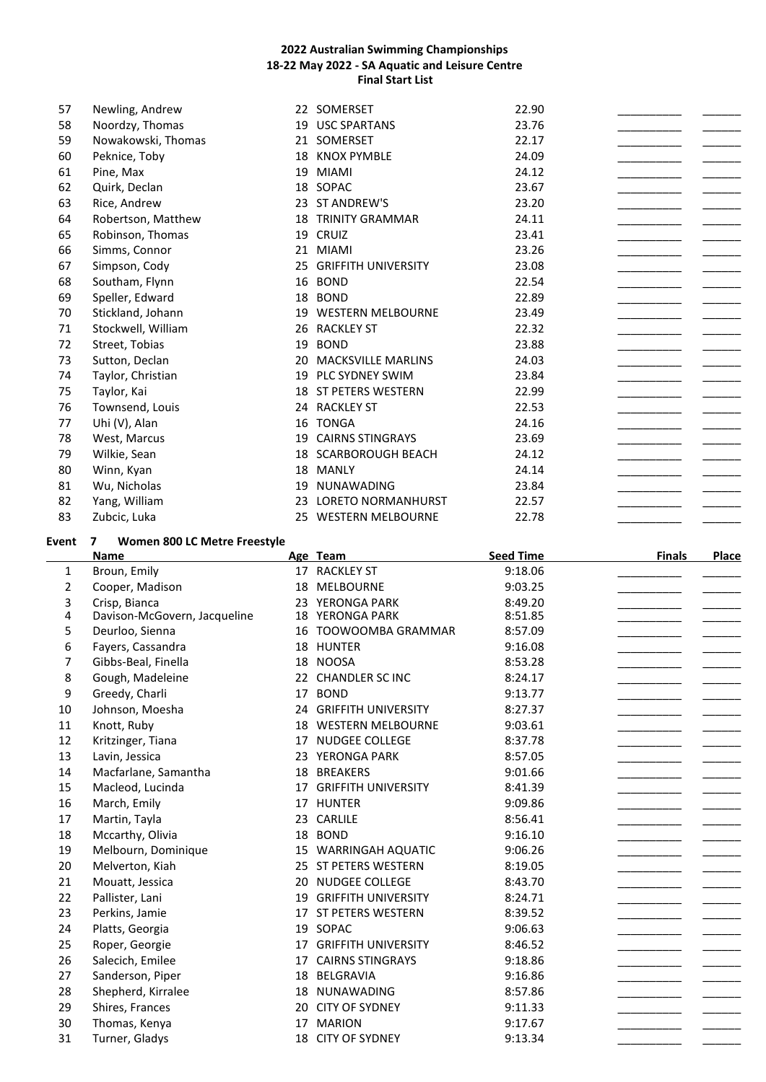| 57    | Newling, Andrew                   |    | 22 SOMERSET                | 22.90 |  |
|-------|-----------------------------------|----|----------------------------|-------|--|
| 58    | Noordzy, Thomas                   | 19 | <b>USC SPARTANS</b>        | 23.76 |  |
| 59    | Nowakowski, Thomas                | 21 | SOMERSET                   | 22.17 |  |
| 60    | Peknice, Toby                     | 18 | <b>KNOX PYMBLE</b>         | 24.09 |  |
| 61    | Pine, Max                         | 19 | <b>MIAMI</b>               | 24.12 |  |
| 62    | Quirk, Declan                     | 18 | SOPAC                      | 23.67 |  |
| 63    | Rice, Andrew                      | 23 | ST ANDREW'S                | 23.20 |  |
| 64    | Robertson, Matthew                | 18 | <b>TRINITY GRAMMAR</b>     | 24.11 |  |
| 65    | Robinson, Thomas                  | 19 | <b>CRUIZ</b>               | 23.41 |  |
| 66    | Simms, Connor                     | 21 | <b>MIAMI</b>               | 23.26 |  |
| 67    | Simpson, Cody                     | 25 | <b>GRIFFITH UNIVERSITY</b> | 23.08 |  |
| 68    | Southam, Flynn                    | 16 | <b>BOND</b>                | 22.54 |  |
| 69    | Speller, Edward                   | 18 | <b>BOND</b>                | 22.89 |  |
| 70    | Stickland, Johann                 | 19 | <b>WESTERN MELBOURNE</b>   | 23.49 |  |
| 71    | Stockwell, William                | 26 | <b>RACKLEY ST</b>          | 22.32 |  |
| 72    | Street, Tobias                    | 19 | <b>BOND</b>                | 23.88 |  |
| 73    | Sutton, Declan                    | 20 | <b>MACKSVILLE MARLINS</b>  | 24.03 |  |
| 74    | Taylor, Christian                 | 19 | PLC SYDNEY SWIM            | 23.84 |  |
| 75    | Taylor, Kai                       | 18 | ST PETERS WESTERN          | 22.99 |  |
| 76    | Townsend, Louis                   | 24 | <b>RACKLEY ST</b>          | 22.53 |  |
| 77    | Uhi (V), Alan                     | 16 | <b>TONGA</b>               | 24.16 |  |
| 78    | West, Marcus                      | 19 | <b>CAIRNS STINGRAYS</b>    | 23.69 |  |
| 79    | Wilkie, Sean                      | 18 | <b>SCARBOROUGH BEACH</b>   | 24.12 |  |
| 80    | Winn, Kyan                        | 18 | <b>MANLY</b>               | 24.14 |  |
| 81    | Wu, Nicholas                      | 19 | <b>NUNAWADING</b>          | 23.84 |  |
| 82    | Yang, William                     | 23 | <b>LORETO NORMANHURST</b>  | 22.57 |  |
| 83    | Zubcic, Luka                      |    | 25 WESTERN MELBOURNE       | 22.78 |  |
| Event | Women 800 LC Metre Freestyle<br>7 |    |                            |       |  |

|    | <b>Name</b>                  |    | Age Team                   | <b>Seed Time</b> | <b>Finals</b> | Place |
|----|------------------------------|----|----------------------------|------------------|---------------|-------|
| 1  | Broun, Emily                 |    | 17 RACKLEY ST              | 9:18.06          |               |       |
| 2  | Cooper, Madison              | 18 | MELBOURNE                  | 9:03.25          |               |       |
| 3  | Crisp, Bianca                | 23 | YERONGA PARK               | 8:49.20          |               |       |
| 4  | Davison-McGovern, Jacqueline | 18 | YERONGA PARK               | 8:51.85          |               |       |
| 5  | Deurloo, Sienna              | 16 | TOOWOOMBA GRAMMAR          | 8:57.09          |               |       |
| 6  | Fayers, Cassandra            | 18 | <b>HUNTER</b>              | 9:16.08          |               |       |
| 7  | Gibbs-Beal, Finella          | 18 | <b>NOOSA</b>               | 8:53.28          |               |       |
| 8  | Gough, Madeleine             |    | 22 CHANDLER SC INC         | 8:24.17          |               |       |
| 9  | Greedy, Charli               | 17 | <b>BOND</b>                | 9:13.77          |               |       |
| 10 | Johnson, Moesha              | 24 | <b>GRIFFITH UNIVERSITY</b> | 8:27.37          |               |       |
| 11 | Knott, Ruby                  | 18 | <b>WESTERN MELBOURNE</b>   | 9:03.61          |               |       |
| 12 | Kritzinger, Tiana            | 17 | <b>NUDGEE COLLEGE</b>      | 8:37.78          |               |       |
| 13 | Lavin, Jessica               | 23 | YERONGA PARK               | 8:57.05          |               |       |
| 14 | Macfarlane, Samantha         | 18 | <b>BREAKERS</b>            | 9:01.66          |               |       |
| 15 | Macleod, Lucinda             | 17 | <b>GRIFFITH UNIVERSITY</b> | 8:41.39          |               |       |
| 16 | March, Emily                 | 17 | <b>HUNTER</b>              | 9:09.86          |               |       |
| 17 | Martin, Tayla                | 23 | CARLILE                    | 8:56.41          |               |       |
| 18 | Mccarthy, Olivia             | 18 | <b>BOND</b>                | 9:16.10          |               |       |
| 19 | Melbourn, Dominique          | 15 | <b>WARRINGAH AQUATIC</b>   | 9:06.26          |               |       |
| 20 | Melverton, Kiah              |    | 25 ST PETERS WESTERN       | 8:19.05          |               |       |
| 21 | Mouatt, Jessica              | 20 | NUDGEE COLLEGE             | 8:43.70          |               |       |
| 22 | Pallister, Lani              | 19 | <b>GRIFFITH UNIVERSITY</b> | 8:24.71          |               |       |
| 23 | Perkins, Jamie               | 17 | ST PETERS WESTERN          | 8:39.52          |               |       |
| 24 | Platts, Georgia              | 19 | SOPAC                      | 9:06.63          |               |       |
| 25 | Roper, Georgie               | 17 | <b>GRIFFITH UNIVERSITY</b> | 8:46.52          |               |       |
| 26 | Salecich, Emilee             | 17 | <b>CAIRNS STINGRAYS</b>    | 9:18.86          |               |       |
| 27 | Sanderson, Piper             | 18 | BELGRAVIA                  | 9:16.86          |               |       |
| 28 | Shepherd, Kirralee           | 18 | NUNAWADING                 | 8:57.86          |               |       |
| 29 | Shires, Frances              | 20 | <b>CITY OF SYDNEY</b>      | 9:11.33          |               |       |
| 30 | Thomas, Kenya                | 17 | <b>MARION</b>              | 9:17.67          |               |       |
| 31 | Turner, Gladys               | 18 | <b>CITY OF SYDNEY</b>      | 9:13.34          |               |       |
|    |                              |    |                            |                  |               |       |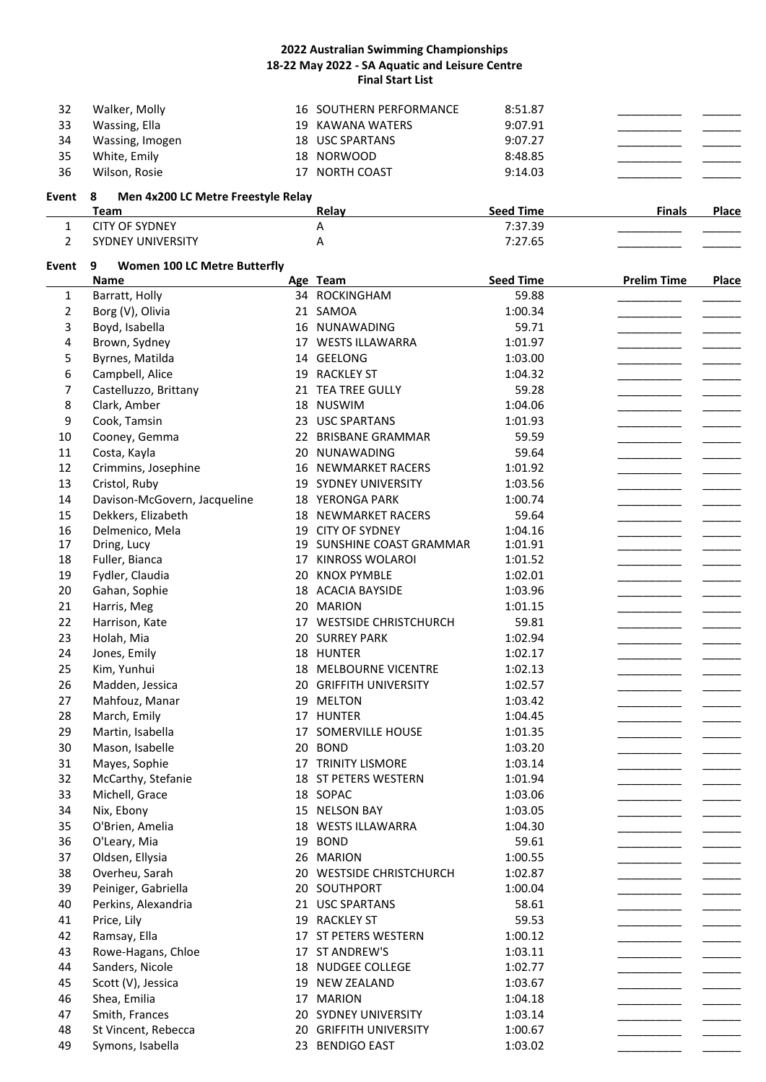|         | ------------------                 |                         | - -- --          |               |              |
|---------|------------------------------------|-------------------------|------------------|---------------|--------------|
|         | Team                               | Relay                   | <b>Seed Time</b> | <b>Finals</b> | <b>Place</b> |
| Event 8 | Men 4x200 LC Metre Freestyle Relay |                         |                  |               |              |
| 36      | Wilson, Rosie                      | 17 NORTH COAST          | 9:14.03          |               |              |
| 35      | White, Emily                       | 18 NORWOOD              | 8:48.85          |               |              |
| 34      | Wassing, Imogen                    | 18 USC SPARTANS         | 9:07.27          |               |              |
| 33      | Wassing, Ella                      | 19 KAWANA WATERS        | 9:07.91          |               |              |
| 32      | Walker, Molly                      | 16 SOUTHERN PERFORMANCE | 8:51.87          |               |              |
|         |                                    |                         |                  |               |              |

|                 | .                        |                  |            |
|-----------------|--------------------------|------------------|------------|
| - 11<br>ЧΜ.<br> | $\mathfrak{D}$<br>.<br>. | ____<br>________ |            |
| . INF<br>INIL   |                          | __________       | __________ |

# **Event 9 Women 100 LC Metre Butterfly**

|    | Name                         | Age Team                              | <b>Seed Time</b> | <b>Prelim Time</b> | <b>Place</b> |
|----|------------------------------|---------------------------------------|------------------|--------------------|--------------|
| 1  | Barratt, Holly               | 34 ROCKINGHAM                         | 59.88            |                    |              |
| 2  | Borg (V), Olivia             | 21 SAMOA                              | 1:00.34          |                    |              |
| 3  | Boyd, Isabella               | 16 NUNAWADING                         | 59.71            |                    |              |
| 4  | Brown, Sydney                | 17 WESTS ILLAWARRA                    | 1:01.97          |                    |              |
| 5  | Byrnes, Matilda              | 14 GEELONG                            | 1:03.00          |                    |              |
| 6  | Campbell, Alice              | 19 RACKLEY ST                         | 1:04.32          |                    |              |
| 7  | Castelluzzo, Brittany        | 21 TEA TREE GULLY                     | 59.28            |                    |              |
| 8  | Clark, Amber                 | 18 NUSWIM                             | 1:04.06          |                    |              |
| 9  | Cook, Tamsin                 | 23 USC SPARTANS                       | 1:01.93          |                    |              |
| 10 | Cooney, Gemma                | 22 BRISBANE GRAMMAR                   | 59.59            |                    |              |
| 11 | Costa, Kayla                 | 20 NUNAWADING                         | 59.64            |                    |              |
| 12 | Crimmins, Josephine          | 16 NEWMARKET RACERS                   | 1:01.92          |                    |              |
| 13 | Cristol, Ruby                | 19 SYDNEY UNIVERSITY                  | 1:03.56          |                    |              |
| 14 | Davison-McGovern, Jacqueline | 18 YERONGA PARK                       | 1:00.74          |                    |              |
| 15 | Dekkers, Elizabeth           | <b>18 NEWMARKET RACERS</b>            | 59.64            |                    |              |
| 16 | Delmenico, Mela              | 19 CITY OF SYDNEY                     | 1:04.16          |                    |              |
| 17 | Dring, Lucy                  | 19 SUNSHINE COAST GRAMMAR             | 1:01.91          |                    |              |
| 18 | Fuller, Bianca               | 17 KINROSS WOLAROI                    | 1:01.52          |                    |              |
| 19 | Fydler, Claudia              | 20 KNOX PYMBLE                        | 1:02.01          |                    |              |
| 20 | Gahan, Sophie                | 18 ACACIA BAYSIDE                     | 1:03.96          |                    |              |
| 21 | Harris, Meg                  | 20 MARION                             | 1:01.15          |                    |              |
| 22 | Harrison, Kate               | 17 WESTSIDE CHRISTCHURCH              | 59.81            |                    |              |
| 23 | Holah, Mia                   | 20 SURREY PARK                        | 1:02.94          |                    |              |
| 24 | Jones, Emily                 | 18 HUNTER                             | 1:02.17          |                    |              |
| 25 | Kim, Yunhui                  | 18 MELBOURNE VICENTRE                 | 1:02.13          |                    |              |
| 26 | Madden, Jessica              | 20 GRIFFITH UNIVERSITY                | 1:02.57          |                    |              |
| 27 | Mahfouz, Manar               | 19 MELTON                             | 1:03.42          |                    |              |
| 28 | March, Emily                 | 17 HUNTER                             | 1:04.45          |                    |              |
| 29 | Martin, Isabella             | 17 SOMERVILLE HOUSE                   | 1:01.35          |                    |              |
| 30 | Mason, Isabelle              | 20 BOND                               | 1:03.20          |                    |              |
| 31 | Mayes, Sophie                | 17 TRINITY LISMORE                    | 1:03.14          |                    |              |
| 32 | McCarthy, Stefanie           | 18 ST PETERS WESTERN                  | 1:01.94          |                    |              |
| 33 | Michell, Grace               | 18 SOPAC                              | 1:03.06          |                    |              |
| 34 | Nix, Ebony                   | 15 NELSON BAY                         | 1:03.05          |                    |              |
| 35 | O'Brien, Amelia              | 18 WESTS ILLAWARRA                    | 1:04.30          |                    |              |
| 36 | O'Leary, Mia                 | 19 BOND                               | 59.61            |                    |              |
| 37 | Oldsen, Ellysia              | 26 MARION                             | 1:00.55          |                    |              |
| 38 | Overheu, Sarah               | 20 WESTSIDE CHRISTCHURCH              | 1:02.87          |                    |              |
| 39 | Peiniger, Gabriella          | 20 SOUTHPORT                          | 1:00.04          |                    |              |
| 40 | Perkins, Alexandria          | 21 USC SPARTANS                       | 58.61            |                    |              |
|    |                              |                                       |                  |                    |              |
| 41 | Price, Lily                  | 19 RACKLEY ST<br>17 ST PETERS WESTERN | 59.53            |                    |              |
| 42 | Ramsay, Ella                 |                                       | 1:00.12          |                    |              |
| 43 | Rowe-Hagans, Chloe           | 17 ST ANDREW'S                        | 1:03.11          |                    |              |
| 44 | Sanders, Nicole              | 18 NUDGEE COLLEGE                     | 1:02.77          |                    |              |
| 45 | Scott (V), Jessica           | 19 NEW ZEALAND                        | 1:03.67          |                    |              |
| 46 | Shea, Emilia                 | 17 MARION                             | 1:04.18          |                    |              |
| 47 | Smith, Frances               | 20 SYDNEY UNIVERSITY                  | 1:03.14          |                    |              |
| 48 | St Vincent, Rebecca          | 20 GRIFFITH UNIVERSITY                | 1:00.67          |                    |              |
| 49 | Symons, Isabella             | 23 BENDIGO EAST                       | 1:03.02          |                    |              |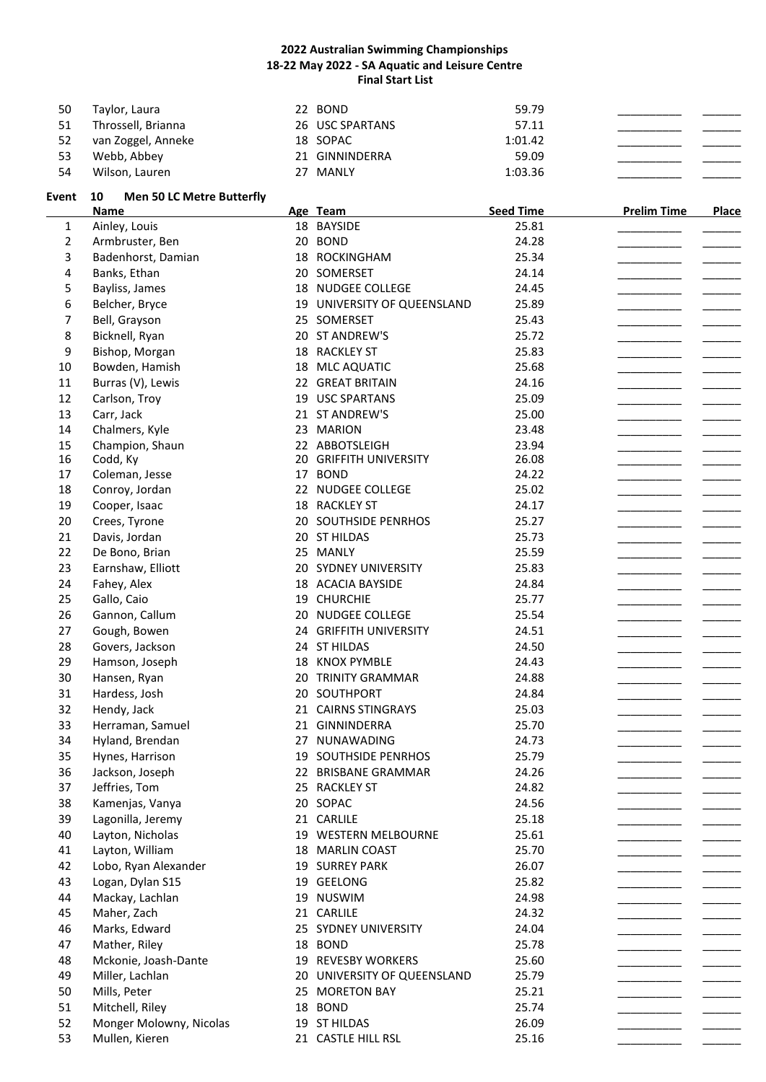| 50 | Taylor, Laura      |    | 22 BOND         | 59.79   |  |
|----|--------------------|----|-----------------|---------|--|
| 51 | Throssell, Brianna |    | 26 USC SPARTANS | 57.11   |  |
| 52 | van Zoggel, Anneke |    | 18 SOPAC        | 1:01.42 |  |
| 53 | Webb, Abbey        |    | 21 GINNINDERRA  | 59.09   |  |
| 54 | Wilson, Lauren     | 27 | MANLY           | 1:03.36 |  |

# Event 10 Men 50 LC Metre Butterfly<br>Name **Age Team Seed Time Prelim Time Place Ainley, Louis Cancer 18** BAYSIDE **Place Place Place Ainley, Louis Place Ainley, Louis Place Place Place Place Place Place Place Place Place Plac** 1 Ainley, Louis 18 BAYSIDE 25.81 \_\_\_\_\_\_\_\_\_\_\_ \_\_\_\_\_\_\_

| 2  | Armbruster, Ben         | 20 BOND                     | 24.28 |  |
|----|-------------------------|-----------------------------|-------|--|
| 3  | Badenhorst, Damian      | 18 ROCKINGHAM               | 25.34 |  |
| 4  | Banks, Ethan            | 20 SOMERSET                 | 24.14 |  |
| 5  | Bayliss, James          | 18 NUDGEE COLLEGE           | 24.45 |  |
| 6  | Belcher, Bryce          | 19 UNIVERSITY OF QUEENSLAND | 25.89 |  |
| 7  | Bell, Grayson           | 25 SOMERSET                 | 25.43 |  |
| 8  | Bicknell, Ryan          | 20 ST ANDREW'S              | 25.72 |  |
| 9  | Bishop, Morgan          | 18 RACKLEY ST               | 25.83 |  |
| 10 | Bowden, Hamish          | 18 MLC AQUATIC              | 25.68 |  |
| 11 | Burras (V), Lewis       | 22 GREAT BRITAIN            | 24.16 |  |
| 12 | Carlson, Troy           | 19 USC SPARTANS             | 25.09 |  |
| 13 | Carr, Jack              | 21 ST ANDREW'S              | 25.00 |  |
| 14 | Chalmers, Kyle          | 23 MARION                   | 23.48 |  |
| 15 | Champion, Shaun         | 22 ABBOTSLEIGH              | 23.94 |  |
| 16 | Codd, Ky                | 20 GRIFFITH UNIVERSITY      | 26.08 |  |
| 17 | Coleman, Jesse          | 17 BOND                     | 24.22 |  |
| 18 | Conroy, Jordan          | 22 NUDGEE COLLEGE           | 25.02 |  |
| 19 | Cooper, Isaac           | 18 RACKLEY ST               | 24.17 |  |
| 20 | Crees, Tyrone           | 20 SOUTHSIDE PENRHOS        | 25.27 |  |
| 21 | Davis, Jordan           | 20 ST HILDAS                | 25.73 |  |
| 22 | De Bono, Brian          | 25 MANLY                    | 25.59 |  |
| 23 | Earnshaw, Elliott       | 20 SYDNEY UNIVERSITY        | 25.83 |  |
| 24 | Fahey, Alex             | 18 ACACIA BAYSIDE           | 24.84 |  |
| 25 | Gallo, Caio             | 19 CHURCHIE                 | 25.77 |  |
| 26 | Gannon, Callum          | 20 NUDGEE COLLEGE           | 25.54 |  |
| 27 | Gough, Bowen            | 24 GRIFFITH UNIVERSITY      | 24.51 |  |
| 28 | Govers, Jackson         | 24 ST HILDAS                | 24.50 |  |
| 29 | Hamson, Joseph          | 18 KNOX PYMBLE              | 24.43 |  |
| 30 | Hansen, Ryan            | 20 TRINITY GRAMMAR          | 24.88 |  |
| 31 | Hardess, Josh           | 20 SOUTHPORT                | 24.84 |  |
| 32 | Hendy, Jack             | 21 CAIRNS STINGRAYS         | 25.03 |  |
| 33 | Herraman, Samuel        | 21 GINNINDERRA              | 25.70 |  |
| 34 | Hyland, Brendan         | 27 NUNAWADING               | 24.73 |  |
| 35 | Hynes, Harrison         | 19 SOUTHSIDE PENRHOS        | 25.79 |  |
| 36 | Jackson, Joseph         | 22 BRISBANE GRAMMAR         | 24.26 |  |
| 37 | Jeffries, Tom           | 25 RACKLEY ST               | 24.82 |  |
| 38 | Kamenjas, Vanya         | 20 SOPAC                    | 24.56 |  |
| 39 | Lagonilla, Jeremy       | 21 CARLILE                  | 25.18 |  |
| 40 | Layton, Nicholas        | 19 WESTERN MELBOURNE        | 25.61 |  |
| 41 | Layton, William         | 18 MARLIN COAST             | 25.70 |  |
| 42 | Lobo, Ryan Alexander    | <b>19 SURREY PARK</b>       | 26.07 |  |
| 43 | Logan, Dylan S15        | 19 GEELONG                  | 25.82 |  |
| 44 | Mackay, Lachlan         | 19 NUSWIM                   | 24.98 |  |
| 45 | Maher, Zach             | 21 CARLILE                  | 24.32 |  |
| 46 | Marks, Edward           | 25 SYDNEY UNIVERSITY        | 24.04 |  |
| 47 | Mather, Riley           | 18 BOND                     | 25.78 |  |
| 48 | Mckonie, Joash-Dante    | 19 REVESBY WORKERS          | 25.60 |  |
| 49 | Miller, Lachlan         | 20 UNIVERSITY OF QUEENSLAND | 25.79 |  |
| 50 | Mills, Peter            | 25 MORETON BAY              | 25.21 |  |
| 51 | Mitchell, Riley         | 18 BOND                     | 25.74 |  |
| 52 | Monger Molowny, Nicolas | 19 ST HILDAS                | 26.09 |  |
| 53 | Mullen, Kieren          | 21 CASTLE HILL RSL          | 25.16 |  |
|    |                         |                             |       |  |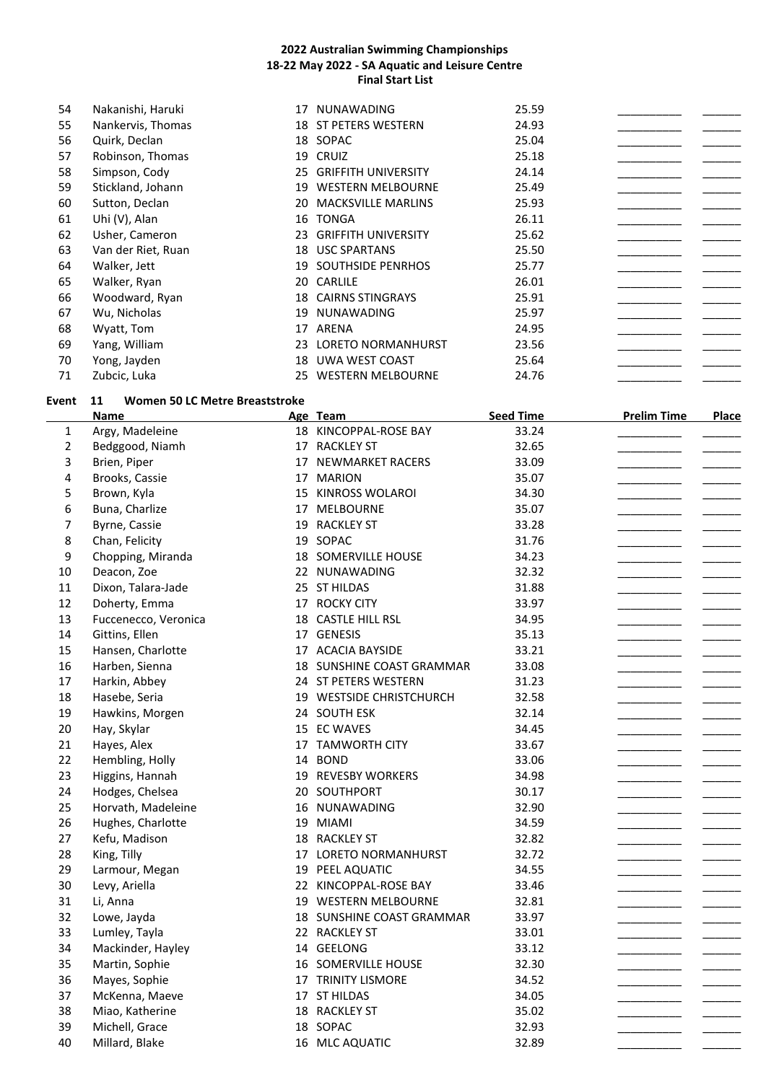| 54 | Nakanishi, Haruki  | 17  | <b>NUNAWADING</b>           | 25.59 |  |
|----|--------------------|-----|-----------------------------|-------|--|
| 55 | Nankervis, Thomas  |     | <b>18 ST PETERS WESTERN</b> | 24.93 |  |
| 56 | Quirk, Declan      |     | 18 SOPAC                    | 25.04 |  |
| 57 | Robinson, Thomas   |     | 19 CRUIZ                    | 25.18 |  |
| 58 | Simpson, Cody      | 25  | <b>GRIFFITH UNIVERSITY</b>  | 24.14 |  |
| 59 | Stickland, Johann  | 19  | <b>WESTERN MELBOURNE</b>    | 25.49 |  |
| 60 | Sutton, Declan     | 20  | <b>MACKSVILLE MARLINS</b>   | 25.93 |  |
| 61 | Uhi (V), Alan      |     | 16 TONGA                    | 26.11 |  |
| 62 | Usher, Cameron     | 23. | <b>GRIFFITH UNIVERSITY</b>  | 25.62 |  |
| 63 | Van der Riet, Ruan |     | 18 USC SPARTANS             | 25.50 |  |
| 64 | Walker, Jett       | 19  | <b>SOUTHSIDE PENRHOS</b>    | 25.77 |  |
| 65 | Walker, Ryan       | 20. | CARLILE                     | 26.01 |  |
| 66 | Woodward, Ryan     | 18  | <b>CAIRNS STINGRAYS</b>     | 25.91 |  |
| 67 | Wu, Nicholas       | 19  | <b>NUNAWADING</b>           | 25.97 |  |
| 68 | Wyatt, Tom         | 17  | ARENA                       | 24.95 |  |
| 69 | Yang, William      | 23  | <b>LORETO NORMANHURST</b>   | 23.56 |  |
| 70 | Yong, Jayden       | 18  | UWA WEST COAST              | 25.64 |  |
| 71 | Zubcic, Luka       |     | 25 WESTERN MELBOURNE        | 24.76 |  |

# **Event 11 Women 50 LC Metre Breaststroke**

|                | <b>Name</b>          | Age Team                  | <b>Seed Time</b> | <b>Prelim Time</b> | <b>Place</b> |
|----------------|----------------------|---------------------------|------------------|--------------------|--------------|
| 1              | Argy, Madeleine      | 18 KINCOPPAL-ROSE BAY     | 33.24            |                    |              |
| $\overline{2}$ | Bedggood, Niamh      | 17 RACKLEY ST             | 32.65            |                    |              |
| 3              | Brien, Piper         | 17 NEWMARKET RACERS       | 33.09            |                    |              |
| 4              | Brooks, Cassie       | 17 MARION                 | 35.07            |                    |              |
| 5              | Brown, Kyla          | 15 KINROSS WOLAROI        | 34.30            |                    |              |
| 6              | Buna, Charlize       | 17 MELBOURNE              | 35.07            |                    |              |
| $\overline{7}$ | Byrne, Cassie        | 19 RACKLEY ST             | 33.28            |                    |              |
| 8              | Chan, Felicity       | 19 SOPAC                  | 31.76            |                    |              |
| 9              | Chopping, Miranda    | 18 SOMERVILLE HOUSE       | 34.23            |                    |              |
| $10\,$         | Deacon, Zoe          | 22 NUNAWADING             | 32.32            |                    |              |
| 11             | Dixon, Talara-Jade   | 25 ST HILDAS              | 31.88            |                    |              |
| 12             | Doherty, Emma        | 17 ROCKY CITY             | 33.97            |                    |              |
| 13             | Fuccenecco, Veronica | 18 CASTLE HILL RSL        | 34.95            |                    |              |
| 14             | Gittins, Ellen       | 17 GENESIS                | 35.13            |                    |              |
| 15             | Hansen, Charlotte    | 17 ACACIA BAYSIDE         | 33.21            |                    |              |
| 16             | Harben, Sienna       | 18 SUNSHINE COAST GRAMMAR | 33.08            |                    |              |
| 17             | Harkin, Abbey        | 24 ST PETERS WESTERN      | 31.23            |                    |              |
| 18             | Hasebe, Seria        | 19 WESTSIDE CHRISTCHURCH  | 32.58            |                    |              |
| 19             | Hawkins, Morgen      | 24 SOUTH ESK              | 32.14            |                    |              |
| 20             | Hay, Skylar          | 15 EC WAVES               | 34.45            |                    |              |
| 21             | Hayes, Alex          | 17 TAMWORTH CITY          | 33.67            |                    |              |
| 22             | Hembling, Holly      | 14 BOND                   | 33.06            |                    |              |
| 23             | Higgins, Hannah      | 19 REVESBY WORKERS        | 34.98            |                    |              |
| 24             | Hodges, Chelsea      | 20 SOUTHPORT              | 30.17            |                    |              |
| 25             | Horvath, Madeleine   | 16 NUNAWADING             | 32.90            |                    |              |
| 26             | Hughes, Charlotte    | 19 MIAMI                  | 34.59            |                    |              |
| 27             | Kefu, Madison        | 18 RACKLEY ST             | 32.82            |                    |              |
| 28             | King, Tilly          | 17 LORETO NORMANHURST     | 32.72            |                    |              |
| 29             | Larmour, Megan       | 19 PEEL AQUATIC           | 34.55            |                    |              |
| 30             | Levy, Ariella        | 22 KINCOPPAL-ROSE BAY     | 33.46            |                    |              |
| 31             | Li, Anna             | 19 WESTERN MELBOURNE      | 32.81            |                    |              |
| 32             | Lowe, Jayda          | 18 SUNSHINE COAST GRAMMAR | 33.97            |                    |              |
| 33             | Lumley, Tayla        | 22 RACKLEY ST             | 33.01            |                    |              |
| 34             | Mackinder, Hayley    | 14 GEELONG                | 33.12            |                    |              |
| 35             | Martin, Sophie       | 16 SOMERVILLE HOUSE       | 32.30            |                    |              |
| 36             | Mayes, Sophie        | 17 TRINITY LISMORE        | 34.52            |                    |              |
| 37             | McKenna, Maeve       | 17 ST HILDAS              | 34.05            |                    |              |
| 38             | Miao, Katherine      | 18 RACKLEY ST             | 35.02            |                    |              |
| 39             | Michell, Grace       | 18 SOPAC                  | 32.93            |                    |              |
| 40             | Millard, Blake       | 16 MLC AQUATIC            | 32.89            |                    |              |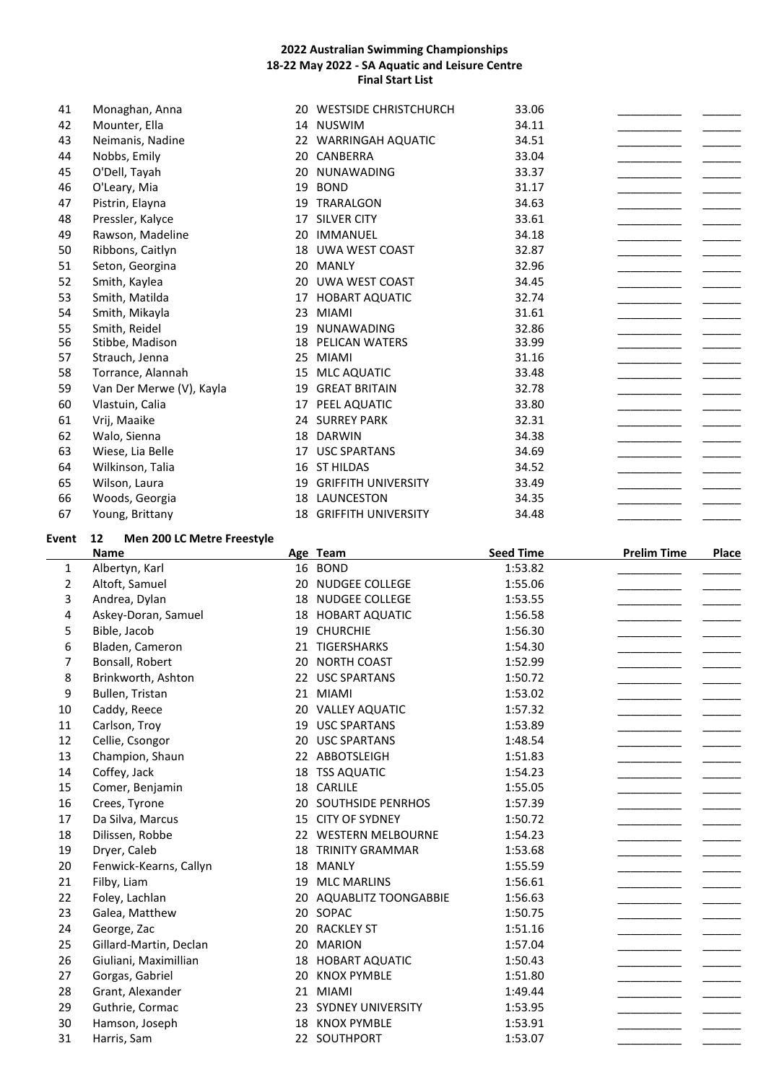| 41 | Monaghan, Anna           | 20 | <b>WESTSIDE CHRISTCHURCH</b> | 33.06 |  |
|----|--------------------------|----|------------------------------|-------|--|
| 42 | Mounter, Ella            |    | 14 NUSWIM                    | 34.11 |  |
| 43 | Neimanis, Nadine         | 22 | <b>WARRINGAH AQUATIC</b>     | 34.51 |  |
| 44 | Nobbs, Emily             | 20 | CANBERRA                     | 33.04 |  |
| 45 | O'Dell, Tayah            | 20 | <b>NUNAWADING</b>            | 33.37 |  |
| 46 | O'Leary, Mia             | 19 | <b>BOND</b>                  | 31.17 |  |
| 47 | Pistrin, Elayna          | 19 | TRARALGON                    | 34.63 |  |
| 48 | Pressler, Kalyce         | 17 | <b>SILVER CITY</b>           | 33.61 |  |
| 49 | Rawson, Madeline         | 20 | <b>IMMANUEL</b>              | 34.18 |  |
| 50 | Ribbons, Caitlyn         | 18 | UWA WEST COAST               | 32.87 |  |
| 51 | Seton, Georgina          | 20 | <b>MANLY</b>                 | 32.96 |  |
| 52 | Smith, Kaylea            | 20 | <b>UWA WEST COAST</b>        | 34.45 |  |
| 53 | Smith, Matilda           | 17 | <b>HOBART AQUATIC</b>        | 32.74 |  |
| 54 | Smith, Mikayla           | 23 | <b>MIAMI</b>                 | 31.61 |  |
| 55 | Smith, Reidel            | 19 | <b>NUNAWADING</b>            | 32.86 |  |
| 56 | Stibbe, Madison          | 18 | <b>PELICAN WATERS</b>        | 33.99 |  |
| 57 | Strauch, Jenna           | 25 | <b>MIAMI</b>                 | 31.16 |  |
| 58 | Torrance, Alannah        | 15 | MLC AQUATIC                  | 33.48 |  |
| 59 | Van Der Merwe (V), Kayla | 19 | <b>GREAT BRITAIN</b>         | 32.78 |  |
| 60 | Vlastuin, Calia          | 17 | PEEL AQUATIC                 | 33.80 |  |
| 61 | Vrij, Maaike             |    | 24 SURREY PARK               | 32.31 |  |
| 62 | Walo, Sienna             | 18 | <b>DARWIN</b>                | 34.38 |  |
| 63 | Wiese, Lia Belle         | 17 | <b>USC SPARTANS</b>          | 34.69 |  |
| 64 | Wilkinson, Talia         | 16 | <b>ST HILDAS</b>             | 34.52 |  |
| 65 | Wilson, Laura            | 19 | <b>GRIFFITH UNIVERSITY</b>   | 33.49 |  |
| 66 | Woods, Georgia           | 18 | LAUNCESTON                   | 34.35 |  |
| 67 | Young, Brittany          | 18 | <b>GRIFFITH UNIVERSITY</b>   | 34.48 |  |
|    |                          |    |                              |       |  |

# **Event 12 Men 200 LC Metre Freestyle**

|                | <b>Name</b>            |    | Age Team                    | <b>Seed Time</b> | <b>Prelim Time</b> | <b>Place</b> |
|----------------|------------------------|----|-----------------------------|------------------|--------------------|--------------|
| 1              | Albertyn, Karl         |    | 16 BOND                     | 1:53.82          |                    |              |
| $\overline{2}$ | Altoft, Samuel         | 20 | <b>NUDGEE COLLEGE</b>       | 1:55.06          |                    |              |
| 3              | Andrea, Dylan          | 18 | NUDGEE COLLEGE              | 1:53.55          |                    |              |
| 4              | Askey-Doran, Samuel    |    | 18 HOBART AQUATIC           | 1:56.58          |                    |              |
| 5              | Bible, Jacob           | 19 | <b>CHURCHIE</b>             | 1:56.30          |                    |              |
| 6              | Bladen, Cameron        | 21 | TIGERSHARKS                 | 1:54.30          |                    |              |
| 7              | Bonsall, Robert        | 20 | <b>NORTH COAST</b>          | 1:52.99          |                    |              |
| 8              | Brinkworth, Ashton     | 22 | <b>USC SPARTANS</b>         | 1:50.72          |                    |              |
| 9              | Bullen, Tristan        |    | 21 MIAMI                    | 1:53.02          |                    |              |
| 10             | Caddy, Reece           |    | 20 VALLEY AQUATIC           | 1:57.32          |                    |              |
| 11             | Carlson, Troy          | 19 | <b>USC SPARTANS</b>         | 1:53.89          |                    |              |
| 12             | Cellie, Csongor        | 20 | <b>USC SPARTANS</b>         | 1:48.54          |                    |              |
| 13             | Champion, Shaun        |    | 22 ABBOTSLEIGH              | 1:51.83          |                    |              |
| 14             | Coffey, Jack           | 18 | <b>TSS AQUATIC</b>          | 1:54.23          |                    |              |
| 15             | Comer, Benjamin        | 18 | CARLILE                     | 1:55.05          |                    |              |
| 16             | Crees, Tyrone          |    | 20 SOUTHSIDE PENRHOS        | 1:57.39          |                    |              |
| 17             | Da Silva, Marcus       | 15 | <b>CITY OF SYDNEY</b>       | 1:50.72          |                    |              |
| 18             | Dilissen, Robbe        |    | 22 WESTERN MELBOURNE        | 1:54.23          |                    |              |
| 19             | Dryer, Caleb           | 18 | <b>TRINITY GRAMMAR</b>      | 1:53.68          |                    |              |
| 20             | Fenwick-Kearns, Callyn | 18 | <b>MANLY</b>                | 1:55.59          |                    |              |
| 21             | Filby, Liam            | 19 | <b>MLC MARLINS</b>          | 1:56.61          |                    |              |
| 22             | Foley, Lachlan         | 20 | <b>AQUABLITZ TOONGABBIE</b> | 1:56.63          |                    |              |
| 23             | Galea, Matthew         | 20 | SOPAC                       | 1:50.75          |                    |              |
| 24             | George, Zac            | 20 | <b>RACKLEY ST</b>           | 1:51.16          |                    |              |
| 25             | Gillard-Martin, Declan | 20 | <b>MARION</b>               | 1:57.04          |                    |              |
| 26             | Giuliani, Maximillian  | 18 | <b>HOBART AQUATIC</b>       | 1:50.43          |                    |              |
| 27             | Gorgas, Gabriel        | 20 | <b>KNOX PYMBLE</b>          | 1:51.80          |                    |              |
| 28             | Grant, Alexander       | 21 | <b>MIAMI</b>                | 1:49.44          |                    |              |
| 29             | Guthrie, Cormac        |    | 23 SYDNEY UNIVERSITY        | 1:53.95          |                    |              |
| 30             | Hamson, Joseph         | 18 | <b>KNOX PYMBLE</b>          | 1:53.91          |                    |              |
| 31             | Harris, Sam            |    | 22 SOUTHPORT                | 1:53.07          |                    |              |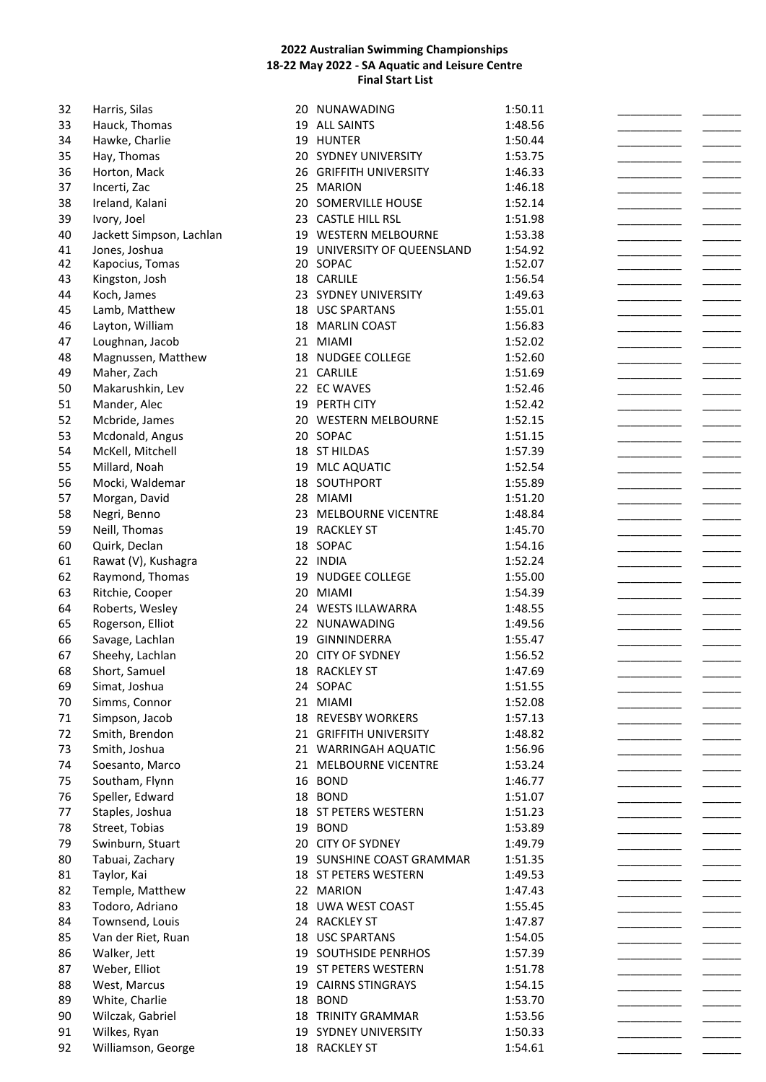| 32 | Harris, Silas            | 20 | NUNAWADING                  | 1:50.11 |  |
|----|--------------------------|----|-----------------------------|---------|--|
| 33 | Hauck, Thomas            |    | 19 ALL SAINTS               | 1:48.56 |  |
| 34 | Hawke, Charlie           |    | 19 HUNTER                   | 1:50.44 |  |
| 35 | Hay, Thomas              |    | 20 SYDNEY UNIVERSITY        | 1:53.75 |  |
| 36 | Horton, Mack             |    | 26 GRIFFITH UNIVERSITY      | 1:46.33 |  |
| 37 | Incerti, Zac             | 25 | <b>MARION</b>               | 1:46.18 |  |
|    |                          |    |                             |         |  |
| 38 | Ireland, Kalani          |    | 20 SOMERVILLE HOUSE         | 1:52.14 |  |
| 39 | Ivory, Joel              |    | 23 CASTLE HILL RSL          | 1:51.98 |  |
| 40 | Jackett Simpson, Lachlan |    | 19 WESTERN MELBOURNE        | 1:53.38 |  |
| 41 | Jones, Joshua            |    | 19 UNIVERSITY OF QUEENSLAND | 1:54.92 |  |
| 42 | Kapocius, Tomas          |    | 20 SOPAC                    | 1:52.07 |  |
| 43 | Kingston, Josh           |    | 18 CARLILE                  | 1:56.54 |  |
| 44 | Koch, James              |    | 23 SYDNEY UNIVERSITY        | 1:49.63 |  |
| 45 | Lamb, Matthew            |    | 18 USC SPARTANS             | 1:55.01 |  |
| 46 | Layton, William          |    | 18 MARLIN COAST             | 1:56.83 |  |
| 47 | Loughnan, Jacob          |    | 21 MIAMI                    | 1:52.02 |  |
| 48 | Magnussen, Matthew       |    | 18 NUDGEE COLLEGE           | 1:52.60 |  |
| 49 | Maher, Zach              |    | 21 CARLILE                  | 1:51.69 |  |
| 50 | Makarushkin, Lev         |    | 22 EC WAVES                 | 1:52.46 |  |
|    |                          |    |                             |         |  |
| 51 | Mander, Alec             |    | 19 PERTH CITY               | 1:52.42 |  |
| 52 | Mcbride, James           |    | 20 WESTERN MELBOURNE        | 1:52.15 |  |
| 53 | Mcdonald, Angus          |    | 20 SOPAC                    | 1:51.15 |  |
| 54 | McKell, Mitchell         |    | 18 ST HILDAS                | 1:57.39 |  |
| 55 | Millard, Noah            |    | 19 MLC AQUATIC              | 1:52.54 |  |
| 56 | Mocki, Waldemar          |    | 18 SOUTHPORT                | 1:55.89 |  |
| 57 | Morgan, David            |    | 28 MIAMI                    | 1:51.20 |  |
| 58 | Negri, Benno             |    | 23 MELBOURNE VICENTRE       | 1:48.84 |  |
| 59 | Neill, Thomas            | 19 | <b>RACKLEY ST</b>           | 1:45.70 |  |
| 60 | Quirk, Declan            |    | 18 SOPAC                    | 1:54.16 |  |
|    |                          |    |                             |         |  |
| 61 | Rawat (V), Kushagra      |    | 22 INDIA                    | 1:52.24 |  |
| 62 | Raymond, Thomas          | 19 | NUDGEE COLLEGE              | 1:55.00 |  |
| 63 | Ritchie, Cooper          | 20 | <b>MIAMI</b>                | 1:54.39 |  |
| 64 | Roberts, Wesley          |    | 24 WESTS ILLAWARRA          | 1:48.55 |  |
| 65 | Rogerson, Elliot         |    | 22 NUNAWADING               | 1:49.56 |  |
| 66 | Savage, Lachlan          |    | 19 GINNINDERRA              | 1:55.47 |  |
| 67 | Sheehy, Lachlan          | 20 | <b>CITY OF SYDNEY</b>       | 1:56.52 |  |
| 68 | Short, Samuel            |    | 18 RACKLEY ST               | 1:47.69 |  |
| 69 | Simat, Joshua            |    | 24 SOPAC                    | 1:51.55 |  |
| 70 | Simms, Connor            |    | 21 MIAMI                    | 1:52.08 |  |
| 71 | Simpson, Jacob           |    | 18 REVESBY WORKERS          | 1:57.13 |  |
|    |                          |    |                             |         |  |
| 72 | Smith, Brendon           |    | 21 GRIFFITH UNIVERSITY      | 1:48.82 |  |
| 73 | Smith, Joshua            |    | 21 WARRINGAH AQUATIC        | 1:56.96 |  |
| 74 | Soesanto, Marco          | 21 | MELBOURNE VICENTRE          | 1:53.24 |  |
| 75 | Southam, Flynn           | 16 | <b>BOND</b>                 | 1:46.77 |  |
| 76 | Speller, Edward          |    | 18 BOND                     | 1:51.07 |  |
| 77 | Staples, Joshua          |    | 18 ST PETERS WESTERN        | 1:51.23 |  |
| 78 | Street, Tobias           |    | 19 BOND                     | 1:53.89 |  |
| 79 | Swinburn, Stuart         |    | 20 CITY OF SYDNEY           | 1:49.79 |  |
| 80 | Tabuai, Zachary          |    | 19 SUNSHINE COAST GRAMMAR   | 1:51.35 |  |
| 81 | Taylor, Kai              |    | 18 ST PETERS WESTERN        | 1:49.53 |  |
| 82 | Temple, Matthew          |    | 22 MARION                   |         |  |
|    |                          |    |                             | 1:47.43 |  |
| 83 | Todoro, Adriano          |    | 18 UWA WEST COAST           | 1:55.45 |  |
| 84 | Townsend, Louis          |    | 24 RACKLEY ST               | 1:47.87 |  |
| 85 | Van der Riet, Ruan       |    | 18 USC SPARTANS             | 1:54.05 |  |
| 86 | Walker, Jett             |    | 19 SOUTHSIDE PENRHOS        | 1:57.39 |  |
| 87 | Weber, Elliot            |    | 19 ST PETERS WESTERN        | 1:51.78 |  |
| 88 | West, Marcus             | 19 | <b>CAIRNS STINGRAYS</b>     | 1:54.15 |  |
| 89 | White, Charlie           | 18 | <b>BOND</b>                 | 1:53.70 |  |
| 90 | Wilczak, Gabriel         |    | <b>18 TRINITY GRAMMAR</b>   | 1:53.56 |  |
| 91 | Wilkes, Ryan             |    | 19 SYDNEY UNIVERSITY        | 1:50.33 |  |
| 92 | Williamson, George       |    | 18 RACKLEY ST               | 1:54.61 |  |
|    |                          |    |                             |         |  |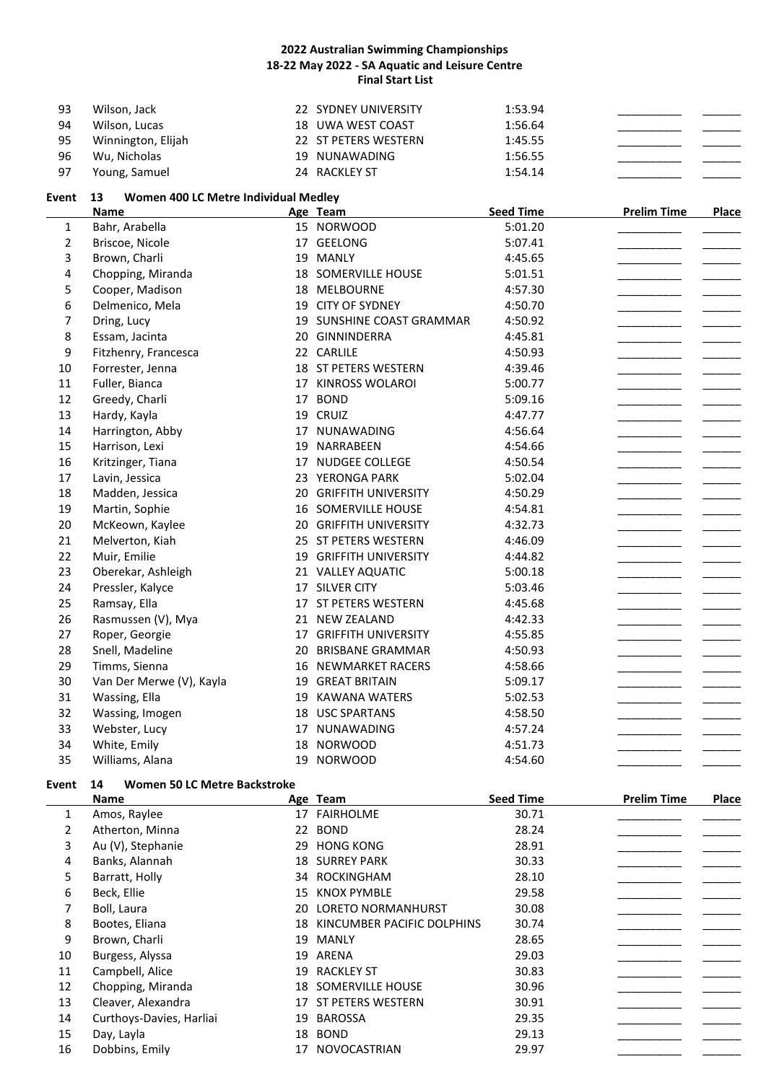| 93 | Wilson, Jack       | 22 SYDNEY UNIVERSITY | 1:53.94 |
|----|--------------------|----------------------|---------|
| 94 | Wilson, Lucas      | 18 UWA WEST COAST    | 1:56.64 |
| 95 | Winnington, Elijah | 22 ST PETERS WESTERN | 1:45.55 |
| 96 | Wu, Nicholas       | 19 NUNAWADING        | 1:56.55 |
| 97 | Young, Samuel      | 24 RACKLEY ST        | 1:54.14 |

# **Event 13 Women 400 LC Metre Individual Medley**

|                | <b>Name</b>              |    | Age Team                      | <b>Seed Time</b> | <b>Prelim Time</b> | Place |
|----------------|--------------------------|----|-------------------------------|------------------|--------------------|-------|
| 1              | Bahr, Arabella           |    | 15 NORWOOD                    | 5:01.20          |                    |       |
| $\overline{2}$ | Briscoe, Nicole          |    | 17 GEELONG                    | 5:07.41          |                    |       |
| 3              | Brown, Charli            |    | 19 MANLY                      | 4:45.65          |                    |       |
| 4              | Chopping, Miranda        |    | 18 SOMERVILLE HOUSE           | 5:01.51          |                    |       |
| 5              | Cooper, Madison          |    | 18 MELBOURNE                  | 4:57.30          |                    |       |
| 6              | Delmenico, Mela          |    | 19 CITY OF SYDNEY             | 4:50.70          |                    |       |
| 7              | Dring, Lucy              |    | 19 SUNSHINE COAST GRAMMAR     | 4:50.92          |                    |       |
| 8              | Essam, Jacinta           |    | 20 GINNINDERRA                | 4:45.81          |                    |       |
| 9              | Fitzhenry, Francesca     |    | 22 CARLILE                    | 4:50.93          |                    |       |
| 10             | Forrester, Jenna         |    | 18 ST PETERS WESTERN          | 4:39.46          |                    |       |
| 11             | Fuller, Bianca           |    | 17 KINROSS WOLAROI            | 5:00.77          |                    |       |
| 12             | Greedy, Charli           |    | 17 BOND                       | 5:09.16          |                    |       |
| 13             | Hardy, Kayla             |    | 19 CRUIZ                      | 4:47.77          |                    |       |
| 14             | Harrington, Abby         | 17 | NUNAWADING                    | 4:56.64          |                    |       |
| 15             | Harrison, Lexi           | 19 | NARRABEEN                     | 4:54.66          |                    |       |
| 16             | Kritzinger, Tiana        | 17 | <b>NUDGEE COLLEGE</b>         | 4:50.54          |                    |       |
| 17             | Lavin, Jessica           |    | 23 YERONGA PARK               | 5:02.04          |                    |       |
| 18             | Madden, Jessica          |    | 20 GRIFFITH UNIVERSITY        | 4:50.29          |                    |       |
| 19             | Martin, Sophie           |    | 16 SOMERVILLE HOUSE           | 4:54.81          |                    |       |
| 20             | McKeown, Kaylee          |    | 20 GRIFFITH UNIVERSITY        | 4:32.73          |                    |       |
| 21             | Melverton, Kiah          |    | 25 ST PETERS WESTERN          | 4:46.09          |                    |       |
| 22             | Muir, Emilie             |    | <b>19 GRIFFITH UNIVERSITY</b> | 4:44.82          |                    |       |
| 23             | Oberekar, Ashleigh       |    | 21 VALLEY AQUATIC             | 5:00.18          |                    |       |
| 24             | Pressler, Kalyce         |    | 17 SILVER CITY                | 5:03.46          |                    |       |
| 25             | Ramsay, Ella             |    | 17 ST PETERS WESTERN          | 4:45.68          |                    |       |
| 26             | Rasmussen (V), Mya       |    | 21 NEW ZEALAND                | 4:42.33          |                    |       |
| 27             | Roper, Georgie           |    | <b>17 GRIFFITH UNIVERSITY</b> | 4:55.85          |                    |       |
| 28             | Snell, Madeline          | 20 | <b>BRISBANE GRAMMAR</b>       | 4:50.93          |                    |       |
| 29             | Timms, Sienna            |    | <b>16 NEWMARKET RACERS</b>    | 4:58.66          |                    |       |
| 30             | Van Der Merwe (V), Kayla |    | <b>19 GREAT BRITAIN</b>       | 5:09.17          |                    |       |
| 31             | Wassing, Ella            | 19 | <b>KAWANA WATERS</b>          | 5:02.53          |                    |       |
| 32             | Wassing, Imogen          |    | <b>18 USC SPARTANS</b>        | 4:58.50          |                    |       |
| 33             | Webster, Lucy            |    | 17 NUNAWADING                 | 4:57.24          |                    |       |
| 34             | White, Emily             | 18 | <b>NORWOOD</b>                | 4:51.73          |                    |       |
| 35             | Williams, Alana          |    | 19 NORWOOD                    | 4:54.60          |                    |       |

# **Event 14 Women 50 LC Metre Backstroke**

|    | <b>Name</b>              |    | Age Team                      | <b>Seed Time</b> | <b>Prelim Time</b> | Place |
|----|--------------------------|----|-------------------------------|------------------|--------------------|-------|
| 1  | Amos, Raylee             |    | 17 FAIRHOLME                  | 30.71            |                    |       |
| 2  | Atherton, Minna          |    | 22 BOND                       | 28.24            |                    |       |
| 3  | Au (V), Stephanie        | 29 | <b>HONG KONG</b>              | 28.91            |                    |       |
| 4  | Banks, Alannah           |    | <b>18 SURREY PARK</b>         | 30.33            |                    |       |
| 5  | Barratt, Holly           |    | 34 ROCKINGHAM                 | 28.10            |                    |       |
| 6  | Beck, Ellie              | 15 | <b>KNOX PYMBLE</b>            | 29.58            |                    |       |
| 7  | Boll, Laura              |    | 20 LORETO NORMANHURST         | 30.08            |                    |       |
| 8  | Bootes, Eliana           |    | 18 KINCUMBER PACIFIC DOLPHINS | 30.74            |                    |       |
| 9  | Brown, Charli            | 19 | MANLY                         | 28.65            |                    |       |
| 10 | Burgess, Alyssa          | 19 | ARENA                         | 29.03            |                    |       |
| 11 | Campbell, Alice          | 19 | RACKLEY ST                    | 30.83            |                    |       |
| 12 | Chopping, Miranda        |    | <b>18 SOMERVILLE HOUSE</b>    | 30.96            |                    |       |
| 13 | Cleaver, Alexandra       |    | 17 ST PETERS WESTERN          | 30.91            |                    |       |
| 14 | Curthoys-Davies, Harliai | 19 | <b>BAROSSA</b>                | 29.35            |                    |       |
| 15 | Day, Layla               | 18 | <b>BOND</b>                   | 29.13            |                    |       |
| 16 | Dobbins, Emily           | 17 | <b>NOVOCASTRIAN</b>           | 29.97            |                    |       |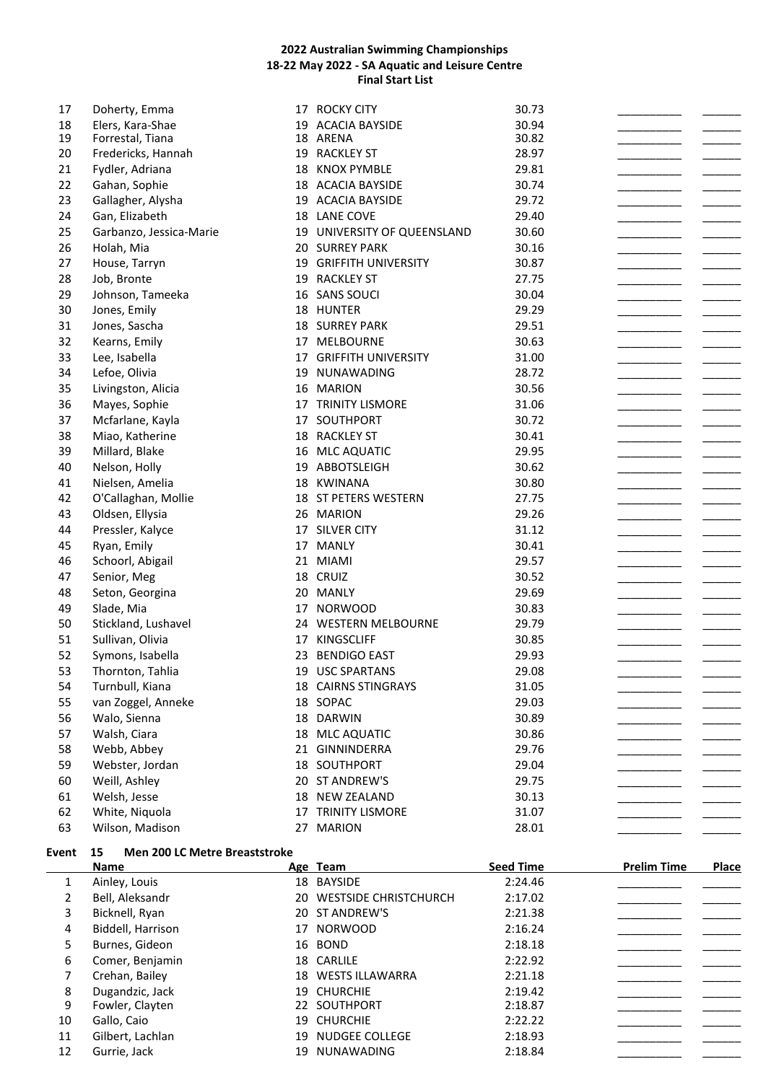|              | <u>Name</u>                            |    | Age Team                    | <b>Seed Time</b> | <b>Prelim Time</b> | <b>Place</b> |
|--------------|----------------------------------------|----|-----------------------------|------------------|--------------------|--------------|
| <b>Event</b> | Men 200 LC Metre Breaststroke<br>15    |    |                             |                  |                    |              |
| 63           | Wilson, Madison                        | 27 | <b>MARION</b>               | 28.01            |                    |              |
| 62           | White, Niquola                         | 17 | <b>TRINITY LISMORE</b>      | 31.07            |                    |              |
| 61           | Welsh, Jesse                           | 18 | <b>NEW ZEALAND</b>          | 30.13            |                    |              |
| 60           | Weill, Ashley                          |    | 20 ST ANDREW'S              | 29.75            |                    |              |
| 59           | Webster, Jordan                        |    | 18 SOUTHPORT                | 29.04            |                    |              |
| 58           | Webb, Abbey                            |    | 21 GINNINDERRA              | 29.76            |                    |              |
| 57           | Walsh, Ciara                           |    | 18 MLC AQUATIC              | 30.86            |                    |              |
| 56           | Walo, Sienna                           |    | 18 DARWIN                   | 30.89            |                    |              |
| 55           | van Zoggel, Anneke                     |    | 18 SOPAC                    | 29.03            |                    |              |
| 54           | Turnbull, Kiana                        |    | 18 CAIRNS STINGRAYS         | 31.05            |                    |              |
| 53           | Thornton, Tahlia                       |    | 19 USC SPARTANS             | 29.08            |                    |              |
| 52           | Symons, Isabella                       | 23 | <b>BENDIGO EAST</b>         | 29.93            |                    |              |
| 51           | Sullivan, Olivia                       | 17 | KINGSCLIFF                  | 30.85            |                    |              |
| 50           | Stickland, Lushavel                    |    | 24 WESTERN MELBOURNE        | 29.79            |                    |              |
| 49           | Slade, Mia                             | 17 | <b>NORWOOD</b>              | 30.83            |                    |              |
| 48           | Seton, Georgina                        |    | 20 MANLY                    | 29.69            |                    |              |
| 47           | Senior, Meg                            |    | 18 CRUIZ                    | 30.52            |                    |              |
| 46           | Schoorl, Abigail                       |    | 21 MIAMI                    | 29.57            |                    |              |
| 45           | Ryan, Emily                            |    | 17 MANLY                    | 30.41            |                    |              |
| 44           | Pressler, Kalyce                       |    | 17 SILVER CITY              | 31.12            |                    |              |
| 43           | Oldsen, Ellysia                        |    | 26 MARION                   | 29.26            |                    |              |
| 42           | O'Callaghan, Mollie                    |    | 18 ST PETERS WESTERN        | 27.75            |                    |              |
| 41           | Nielsen, Amelia                        |    | 18 KWINANA                  | 30.80            |                    |              |
| 40           | Nelson, Holly                          |    | 19 ABBOTSLEIGH              | 30.62            |                    |              |
| 39           | Millard, Blake                         |    | 16 MLC AQUATIC              | 29.95            |                    |              |
| 38           | Miao, Katherine                        |    | 18 RACKLEY ST               | 30.41            |                    |              |
| 37           | Mcfarlane, Kayla                       |    | 17 SOUTHPORT                | 30.72            |                    |              |
| 36           | Mayes, Sophie                          |    | 17 TRINITY LISMORE          | 31.06            |                    |              |
| 35           | Livingston, Alicia                     | 16 | <b>MARION</b>               | 30.56            |                    |              |
| 34           | Lefoe, Olivia                          | 19 | NUNAWADING                  | 28.72            |                    |              |
| 33           | Lee, Isabella                          | 17 | <b>GRIFFITH UNIVERSITY</b>  | 31.00            |                    |              |
| 32           | Kearns, Emily                          | 17 | <b>MELBOURNE</b>            | 30.63            |                    |              |
| 31           | Jones, Sascha                          |    | <b>18 SURREY PARK</b>       | 29.51            |                    |              |
| 30           | Jones, Emily                           |    | 18 HUNTER                   | 29.29            |                    |              |
| 29           | Johnson, Tameeka                       |    | 16 SANS SOUCI               | 30.04            |                    |              |
| 28           | Job, Bronte                            |    | 19 RACKLEY ST               | 27.75            |                    |              |
| 27           | House, Tarryn                          |    | 19 GRIFFITH UNIVERSITY      | 30.87            |                    |              |
| 26           | Holah, Mia                             |    | 20 SURREY PARK              | 30.16            |                    |              |
| 25           | Garbanzo, Jessica-Marie                |    | 19 UNIVERSITY OF QUEENSLAND | 30.60            |                    |              |
| 24           | Gan, Elizabeth                         |    | 18 LANE COVE                | 29.40            |                    |              |
| 23           | Gallagher, Alysha                      |    | 19 ACACIA BAYSIDE           | 29.72            |                    |              |
| 22           | Gahan, Sophie                          |    | 18 ACACIA BAYSIDE           | 30.74            |                    |              |
| 21           | Fydler, Adriana                        |    | 18 KNOX PYMBLE              | 29.81            |                    |              |
| 19<br>20     | Forrestal, Tiana<br>Fredericks, Hannah |    | 18 ARENA<br>19 RACKLEY ST   | 30.82<br>28.97   |                    |              |
| 18           | Elers, Kara-Shae                       |    | 19 ACACIA BAYSIDE           | 30.94            |                    |              |
| 17           | Doherty, Emma                          |    | 17 ROCKY CITY               | 30.73            |                    |              |
|              |                                        |    |                             |                  |                    |              |

|    | Name              |    | Age Team                 | <b>Seed Time</b> | <b>Prelim Time</b> | <b>Place</b> |
|----|-------------------|----|--------------------------|------------------|--------------------|--------------|
| 1  | Ainley, Louis     |    | 18 BAYSIDE               | 2:24.46          |                    |              |
| 2  | Bell, Aleksandr   |    | 20 WESTSIDE CHRISTCHURCH | 2:17.02          |                    |              |
| 3  | Bicknell, Ryan    |    | 20 ST ANDREW'S           | 2:21.38          |                    |              |
| 4  | Biddell, Harrison |    | 17 NORWOOD               | 2:16.24          |                    |              |
| 5  | Burnes, Gideon    |    | 16 BOND                  | 2:18.18          |                    |              |
| 6  | Comer, Benjamin   |    | 18 CARLILE               | 2:22.92          |                    |              |
|    | Crehan, Bailey    |    | 18 WESTS ILLAWARRA       | 2:21.18          |                    |              |
| 8  | Dugandzic, Jack   |    | 19 CHURCHIE              | 2:19.42          |                    |              |
| 9  | Fowler, Clayten   |    | 22 SOUTHPORT             | 2:18.87          |                    |              |
| 10 | Gallo, Caio       |    | 19 CHURCHIE              | 2:22.22          |                    |              |
| 11 | Gilbert, Lachlan  |    | 19 NUDGEE COLLEGE        | 2:18.93          |                    |              |
| 12 | Gurrie, Jack      | 19 | NUNAWADING               | 2:18.84          |                    |              |
|    |                   |    |                          |                  |                    |              |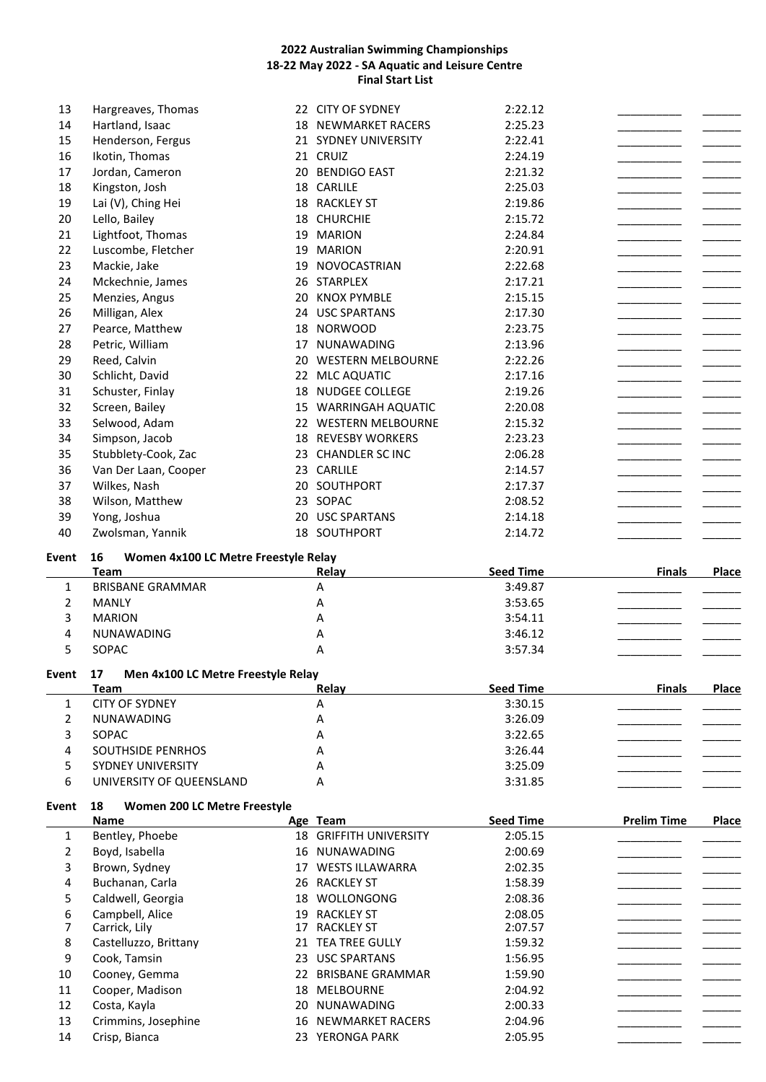| 13           | Hargreaves, Thomas                       |    | 22 CITY OF SYDNEY                   | 2:22.12                     |                    |              |
|--------------|------------------------------------------|----|-------------------------------------|-----------------------------|--------------------|--------------|
| 14           | Hartland, Isaac                          |    | <b>18 NEWMARKET RACERS</b>          | 2:25.23                     |                    |              |
| 15           | Henderson, Fergus                        |    | 21 SYDNEY UNIVERSITY                | 2:22.41                     |                    |              |
| 16           | Ikotin, Thomas                           |    | 21 CRUIZ                            | 2:24.19                     |                    |              |
| 17           | Jordan, Cameron                          |    | 20 BENDIGO EAST                     | 2:21.32                     |                    |              |
| 18           | Kingston, Josh                           |    | 18 CARLILE                          | 2:25.03                     |                    |              |
| 19           | Lai (V), Ching Hei                       |    | 18 RACKLEY ST                       | 2:19.86                     |                    |              |
| 20           | Lello, Bailey                            |    | 18 CHURCHIE                         | 2:15.72                     |                    |              |
| 21           | Lightfoot, Thomas                        |    | 19 MARION                           | 2:24.84                     |                    |              |
| 22           | Luscombe, Fletcher                       |    | 19 MARION                           | 2:20.91                     |                    |              |
| 23           | Mackie, Jake                             |    | 19 NOVOCASTRIAN                     | 2:22.68                     |                    |              |
| 24           | Mckechnie, James                         |    | 26 STARPLEX                         | 2:17.21                     |                    |              |
| 25           | Menzies, Angus                           | 20 | <b>KNOX PYMBLE</b>                  | 2:15.15                     |                    |              |
| 26           | Milligan, Alex                           |    | 24 USC SPARTANS                     | 2:17.30                     |                    |              |
| 27           | Pearce, Matthew                          |    | 18 NORWOOD                          | 2:23.75                     |                    |              |
| 28           | Petric, William                          |    | 17 NUNAWADING                       | 2:13.96                     |                    |              |
| 29           | Reed, Calvin                             |    | 20 WESTERN MELBOURNE                | 2:22.26                     |                    |              |
| 30           | Schlicht, David                          |    | 22 MLC AQUATIC                      | 2:17.16                     |                    |              |
| 31           | Schuster, Finlay                         |    | 18 NUDGEE COLLEGE                   | 2:19.26                     |                    |              |
| 32           | Screen, Bailey                           |    | 15 WARRINGAH AQUATIC                | 2:20.08                     |                    |              |
| 33           | Selwood, Adam                            |    | 22 WESTERN MELBOURNE                | 2:15.32                     |                    |              |
| 34           | Simpson, Jacob                           |    | <b>18 REVESBY WORKERS</b>           | 2:23.23                     |                    |              |
| 35           | Stubblety-Cook, Zac                      |    | 23 CHANDLER SC INC                  | 2:06.28                     |                    |              |
| 36           | Van Der Laan, Cooper                     |    | 23 CARLILE                          | 2:14.57                     |                    |              |
| 37           | Wilkes, Nash                             |    | 20 SOUTHPORT                        | 2:17.37                     |                    |              |
| 38           | Wilson, Matthew                          |    | 23 SOPAC                            | 2:08.52                     |                    |              |
| 39           | Yong, Joshua                             |    | 20 USC SPARTANS                     | 2:14.18                     |                    |              |
| 40           | Zwolsman, Yannik                         |    | 18 SOUTHPORT                        | 2:14.72                     |                    |              |
|              | 16                                       |    |                                     |                             |                    |              |
|              |                                          |    |                                     |                             |                    |              |
| Event        | Women 4x100 LC Metre Freestyle Relay     |    |                                     |                             |                    |              |
| $\mathbf{1}$ | Team<br><b>BRISBANE GRAMMAR</b>          |    | Relay<br>Α                          | <b>Seed Time</b><br>3:49.87 | <b>Finals</b>      | <b>Place</b> |
|              | <b>MANLY</b>                             |    | Α                                   |                             |                    |              |
| 2<br>3       | <b>MARION</b>                            |    | Α                                   | 3:53.65<br>3:54.11          |                    |              |
|              |                                          |    |                                     |                             |                    |              |
| 4            | NUNAWADING                               |    | А<br>A                              | 3:46.12                     |                    |              |
| 5            | SOPAC                                    |    |                                     | 3:57.34                     |                    |              |
| <b>Event</b> | 17<br>Men 4x100 LC Metre Freestyle Relay |    |                                     |                             |                    |              |
|              | Team                                     |    | Relay                               | <b>Seed Time</b>            | <b>Finals</b>      | Place        |
| 1            | <b>CITY OF SYDNEY</b>                    |    | А                                   | 3:30.15                     |                    |              |
| 2            | NUNAWADING                               |    | А                                   | 3:26.09                     |                    |              |
| 3            | SOPAC                                    |    | A                                   | 3:22.65                     |                    |              |
| 4            | <b>SOUTHSIDE PENRHOS</b>                 |    | A                                   | 3:26.44                     |                    |              |
| 5            | <b>SYDNEY UNIVERSITY</b>                 |    | A                                   | 3:25.09                     |                    |              |
| 6            | UNIVERSITY OF QUEENSLAND                 |    | A                                   | 3:31.85                     |                    |              |
| Event        | Women 200 LC Metre Freestyle<br>18       |    |                                     |                             |                    |              |
|              | Name                                     |    | Age Team                            | <b>Seed Time</b>            | <b>Prelim Time</b> | <b>Place</b> |
| 1            | Bentley, Phoebe                          |    | 18 GRIFFITH UNIVERSITY              | 2:05.15                     |                    |              |
| 2            | Boyd, Isabella                           |    | 16 NUNAWADING                       | 2:00.69                     |                    |              |
| 3            | Brown, Sydney                            |    | 17 WESTS ILLAWARRA                  | 2:02.35                     |                    |              |
| 4            | Buchanan, Carla                          |    | 26 RACKLEY ST                       | 1:58.39                     |                    |              |
| 5            | Caldwell, Georgia                        |    | 18 WOLLONGONG                       | 2:08.36                     |                    |              |
| 6            | Campbell, Alice                          |    | 19 RACKLEY ST                       | 2:08.05                     |                    |              |
| 7            | Carrick, Lily                            |    | 17 RACKLEY ST                       | 2:07.57                     |                    |              |
| 8            | Castelluzzo, Brittany                    |    | 21 TEA TREE GULLY                   | 1:59.32                     |                    |              |
| 9            | Cook, Tamsin                             |    | 23 USC SPARTANS                     | 1:56.95                     |                    |              |
| 10<br>11     | Cooney, Gemma<br>Cooper, Madison         |    | 22 BRISBANE GRAMMAR<br>18 MELBOURNE | 1:59.90<br>2:04.92          |                    |              |

12 Costa, Kayla 20 NUNAWADING 2:00.33<br>13 Crimmins, Josephine 2:00 16 NEWMARKET RACERS 2:04.96 Crimmins, Josephine 16 NEWMARKET RACERS 2:04.96<br>Crisp, Bianca 2:05.95 23 YERONGA PARK 2:05.95

14 Crisp, Bianca 23 YERONGA PARK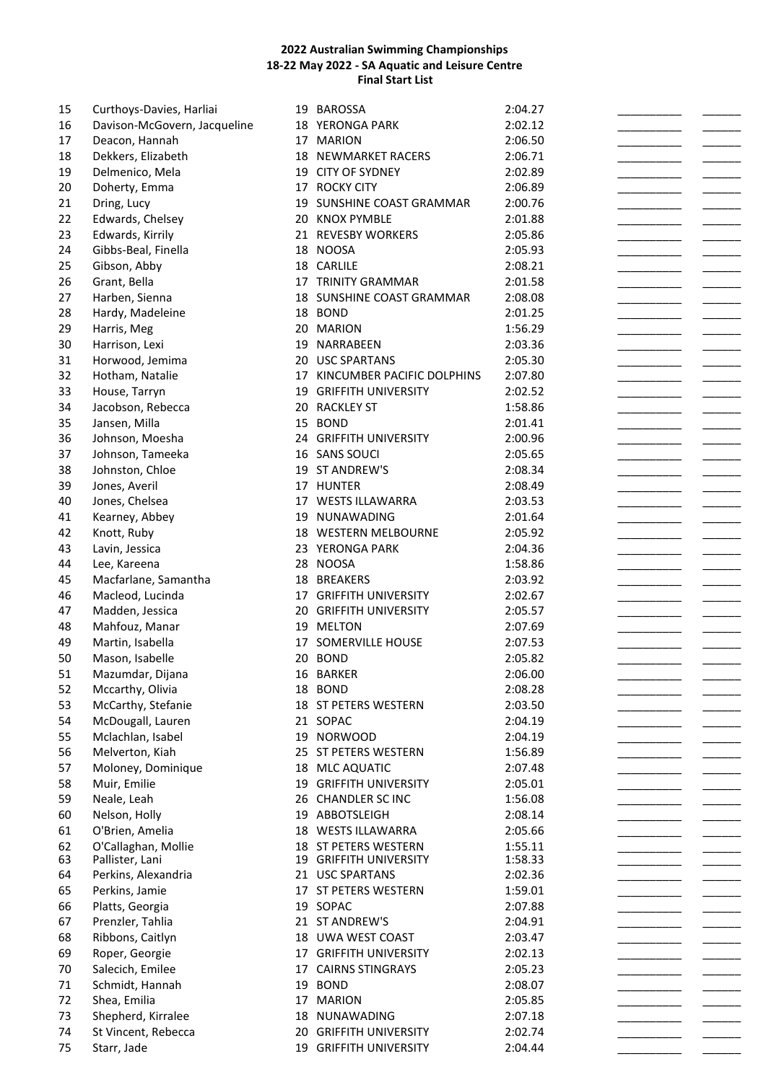| 15 | Curthoys-Davies, Harliai     | 19 | BAROSSA                    | 2:04.27 |  |
|----|------------------------------|----|----------------------------|---------|--|
| 16 | Davison-McGovern, Jacqueline |    | 18 YERONGA PARK            | 2:02.12 |  |
| 17 | Deacon, Hannah               |    | 17 MARION                  | 2:06.50 |  |
| 18 | Dekkers, Elizabeth           |    | <b>18 NEWMARKET RACERS</b> | 2:06.71 |  |
| 19 | Delmenico, Mela              |    | 19 CITY OF SYDNEY          | 2:02.89 |  |
| 20 | Doherty, Emma                |    | 17 ROCKY CITY              | 2:06.89 |  |
| 21 | Dring, Lucy                  |    | 19 SUNSHINE COAST GRAMMAR  | 2:00.76 |  |
|    |                              |    |                            |         |  |
| 22 | Edwards, Chelsey             |    | 20 KNOX PYMBLE             | 2:01.88 |  |
| 23 | Edwards, Kirrily             |    | 21 REVESBY WORKERS         | 2:05.86 |  |
| 24 | Gibbs-Beal, Finella          |    | 18 NOOSA                   | 2:05.93 |  |
| 25 | Gibson, Abby                 |    | 18 CARLILE                 | 2:08.21 |  |
| 26 | Grant, Bella                 |    | 17 TRINITY GRAMMAR         | 2:01.58 |  |
| 27 | Harben, Sienna               |    | 18 SUNSHINE COAST GRAMMAR  | 2:08.08 |  |
| 28 | Hardy, Madeleine             |    | 18 BOND                    | 2:01.25 |  |
| 29 | Harris, Meg                  |    | 20 MARION                  | 1:56.29 |  |
| 30 | Harrison, Lexi               |    | 19 NARRABEEN               | 2:03.36 |  |
| 31 | Horwood, Jemima              |    | 20 USC SPARTANS            | 2:05.30 |  |
| 32 | Hotham, Natalie              | 17 | KINCUMBER PACIFIC DOLPHINS | 2:07.80 |  |
| 33 | House, Tarryn                | 19 | <b>GRIFFITH UNIVERSITY</b> | 2:02.52 |  |
| 34 | Jacobson, Rebecca            |    | 20 RACKLEY ST              | 1:58.86 |  |
| 35 | Jansen, Milla                | 15 | <b>BOND</b>                | 2:01.41 |  |
|    |                              |    |                            |         |  |
| 36 | Johnson, Moesha              |    | 24 GRIFFITH UNIVERSITY     | 2:00.96 |  |
| 37 | Johnson, Tameeka             |    | 16 SANS SOUCI              | 2:05.65 |  |
| 38 | Johnston, Chloe              |    | 19 ST ANDREW'S             | 2:08.34 |  |
| 39 | Jones, Averil                |    | 17 HUNTER                  | 2:08.49 |  |
| 40 | Jones, Chelsea               |    | 17 WESTS ILLAWARRA         | 2:03.53 |  |
| 41 | Kearney, Abbey               |    | 19 NUNAWADING              | 2:01.64 |  |
| 42 | Knott, Ruby                  |    | 18 WESTERN MELBOURNE       | 2:05.92 |  |
| 43 | Lavin, Jessica               |    | 23 YERONGA PARK            | 2:04.36 |  |
| 44 | Lee, Kareena                 |    | 28 NOOSA                   | 1:58.86 |  |
| 45 | Macfarlane, Samantha         |    | 18 BREAKERS                | 2:03.92 |  |
| 46 | Macleod, Lucinda             |    | 17 GRIFFITH UNIVERSITY     | 2:02.67 |  |
| 47 | Madden, Jessica              |    | 20 GRIFFITH UNIVERSITY     | 2:05.57 |  |
| 48 | Mahfouz, Manar               |    | 19 MELTON                  | 2:07.69 |  |
| 49 | Martin, Isabella             |    | 17 SOMERVILLE HOUSE        | 2:07.53 |  |
| 50 | Mason, Isabelle              |    | 20 BOND                    | 2:05.82 |  |
|    |                              |    |                            |         |  |
| 51 | Mazumdar, Dijana             |    | 16 BARKER                  | 2:06.00 |  |
| 52 | Mccarthy, Olivia             |    | 18 BOND                    | 2:08.28 |  |
| 53 | McCarthy, Stefanie           |    | 18 ST PETERS WESTERN       | 2:03.50 |  |
| 54 | McDougall, Lauren            |    | 21 SOPAC                   | 2:04.19 |  |
| 55 | Mclachlan, Isabel            |    | 19 NORWOOD                 | 2:04.19 |  |
| 56 | Melverton, Kiah              |    | 25 ST PETERS WESTERN       | 1:56.89 |  |
| 57 | Moloney, Dominique           |    | 18 MLC AQUATIC             | 2:07.48 |  |
| 58 | Muir, Emilie                 |    | 19 GRIFFITH UNIVERSITY     | 2:05.01 |  |
| 59 | Neale, Leah                  |    | 26 CHANDLER SC INC         | 1:56.08 |  |
| 60 | Nelson, Holly                | 19 | ABBOTSLEIGH                | 2:08.14 |  |
| 61 | O'Brien, Amelia              |    | 18 WESTS ILLAWARRA         | 2:05.66 |  |
| 62 | O'Callaghan, Mollie          |    | 18 ST PETERS WESTERN       | 1:55.11 |  |
| 63 | Pallister, Lani              |    | 19 GRIFFITH UNIVERSITY     | 1:58.33 |  |
| 64 | Perkins, Alexandria          |    | 21 USC SPARTANS            | 2:02.36 |  |
| 65 | Perkins, Jamie               |    | 17 ST PETERS WESTERN       | 1:59.01 |  |
| 66 | Platts, Georgia              |    | 19 SOPAC                   | 2:07.88 |  |
| 67 | Prenzler, Tahlia             |    | 21 ST ANDREW'S             | 2:04.91 |  |
| 68 | Ribbons, Caitlyn             |    | 18 UWA WEST COAST          | 2:03.47 |  |
|    |                              |    |                            |         |  |
| 69 | Roper, Georgie               | 17 | <b>GRIFFITH UNIVERSITY</b> | 2:02.13 |  |
| 70 | Salecich, Emilee             | 17 | <b>CAIRNS STINGRAYS</b>    | 2:05.23 |  |
| 71 | Schmidt, Hannah              | 19 | <b>BOND</b>                | 2:08.07 |  |
| 72 | Shea, Emilia                 | 17 | <b>MARION</b>              | 2:05.85 |  |
| 73 | Shepherd, Kirralee           | 18 | NUNAWADING                 | 2:07.18 |  |
| 74 | St Vincent, Rebecca          | 20 | <b>GRIFFITH UNIVERSITY</b> | 2:02.74 |  |
| 75 | Starr, Jade                  |    | 19 GRIFFITH UNIVERSITY     | 2:04.44 |  |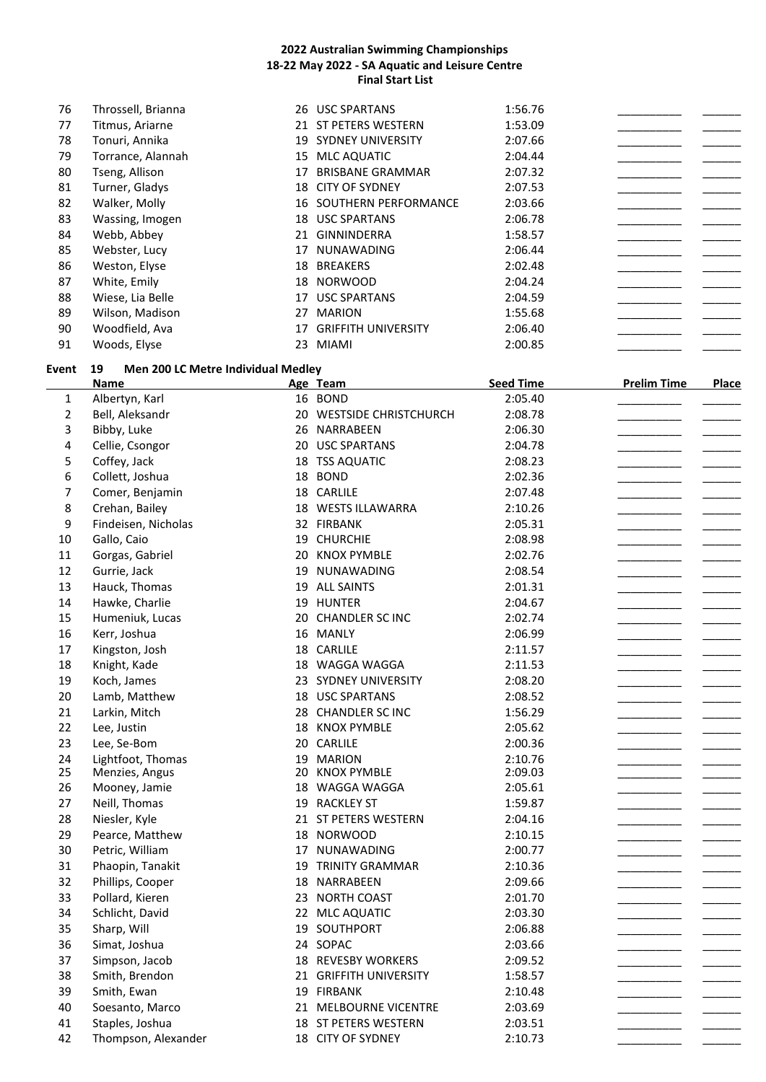| 76 | Throssell, Brianna | 26  | <b>USC SPARTANS</b>        | 1:56.76 |  |
|----|--------------------|-----|----------------------------|---------|--|
| 77 | Titmus, Ariarne    |     | 21 ST PETERS WESTERN       | 1:53.09 |  |
| 78 | Tonuri, Annika     | 19  | <b>SYDNEY UNIVERSITY</b>   | 2:07.66 |  |
| 79 | Torrance, Alannah  | 15  | MLC AQUATIC                | 2:04.44 |  |
| 80 | Tseng, Allison     | 17  | <b>BRISBANE GRAMMAR</b>    | 2:07.32 |  |
| 81 | Turner, Gladys     | 18  | <b>CITY OF SYDNEY</b>      | 2:07.53 |  |
| 82 | Walker, Molly      | 16  | SOUTHERN PERFORMANCE       | 2:03.66 |  |
| 83 | Wassing, Imogen    | 18  | <b>USC SPARTANS</b>        | 2:06.78 |  |
| 84 | Webb, Abbey        | 21  | <b>GINNINDERRA</b>         | 1:58.57 |  |
| 85 | Webster, Lucy      | 17  | <b>NUNAWADING</b>          | 2:06.44 |  |
| 86 | Weston, Elyse      | 18  | <b>BREAKERS</b>            | 2:02.48 |  |
| 87 | White, Emily       | 18  | <b>NORWOOD</b>             | 2:04.24 |  |
| 88 | Wiese, Lia Belle   | 17  | <b>USC SPARTANS</b>        | 2:04.59 |  |
| 89 | Wilson, Madison    | 27  | <b>MARION</b>              | 1:55.68 |  |
| 90 | Woodfield, Ava     | 17  | <b>GRIFFITH UNIVERSITY</b> | 2:06.40 |  |
| 91 | Woods, Elyse       | 23. | <b>MIAMI</b>               | 2:00.85 |  |

# **Event 19 Men 200 LC Metre Individual Medley**

|                | <b>Name</b>         |    | Age Team                 | <b>Seed Time</b> | <b>Prelim Time</b> | <b>Place</b> |
|----------------|---------------------|----|--------------------------|------------------|--------------------|--------------|
| 1              | Albertyn, Karl      |    | 16 BOND                  | 2:05.40          |                    |              |
| $\overline{2}$ | Bell, Aleksandr     |    | 20 WESTSIDE CHRISTCHURCH | 2:08.78          |                    |              |
| 3              | Bibby, Luke         |    | 26 NARRABEEN             | 2:06.30          |                    |              |
| 4              | Cellie, Csongor     |    | 20 USC SPARTANS          | 2:04.78          |                    |              |
| 5              | Coffey, Jack        |    | 18 TSS AQUATIC           | 2:08.23          |                    |              |
| 6              | Collett, Joshua     |    | 18 BOND                  | 2:02.36          |                    |              |
| 7              | Comer, Benjamin     |    | 18 CARLILE               | 2:07.48          |                    |              |
| 8              | Crehan, Bailey      |    | 18 WESTS ILLAWARRA       | 2:10.26          |                    |              |
| 9              | Findeisen, Nicholas |    | 32 FIRBANK               | 2:05.31          |                    |              |
| 10             | Gallo, Caio         |    | 19 CHURCHIE              | 2:08.98          |                    |              |
| 11             | Gorgas, Gabriel     |    | 20 KNOX PYMBLE           | 2:02.76          |                    |              |
| 12             | Gurrie, Jack        | 19 | NUNAWADING               | 2:08.54          |                    |              |
| 13             | Hauck, Thomas       |    | 19 ALL SAINTS            | 2:01.31          |                    |              |
| 14             | Hawke, Charlie      |    | 19 HUNTER                | 2:04.67          |                    |              |
| 15             | Humeniuk, Lucas     |    | 20 CHANDLER SC INC       | 2:02.74          |                    |              |
| 16             | Kerr, Joshua        |    | 16 MANLY                 | 2:06.99          |                    |              |
| 17             | Kingston, Josh      |    | 18 CARLILE               | 2:11.57          |                    |              |
| 18             | Knight, Kade        |    | 18 WAGGA WAGGA           | 2:11.53          |                    |              |
| 19             | Koch, James         |    | 23 SYDNEY UNIVERSITY     | 2:08.20          |                    |              |
| 20             | Lamb, Matthew       |    | 18 USC SPARTANS          | 2:08.52          |                    |              |
| 21             | Larkin, Mitch       |    | 28 CHANDLER SC INC       | 1:56.29          |                    |              |
| 22             | Lee, Justin         |    | 18 KNOX PYMBLE           | 2:05.62          |                    |              |
| 23             | Lee, Se-Bom         |    | 20 CARLILE               | 2:00.36          |                    |              |
| 24             | Lightfoot, Thomas   |    | 19 MARION                | 2:10.76          |                    |              |
| 25             | Menzies, Angus      |    | 20 KNOX PYMBLE           | 2:09.03          |                    |              |
| 26             | Mooney, Jamie       |    | 18 WAGGA WAGGA           | 2:05.61          |                    |              |
| 27             | Neill, Thomas       |    | 19 RACKLEY ST            | 1:59.87          |                    |              |
| 28             | Niesler, Kyle       |    | 21 ST PETERS WESTERN     | 2:04.16          |                    |              |
| 29             | Pearce, Matthew     |    | 18 NORWOOD               | 2:10.15          |                    |              |
| 30             | Petric, William     |    | 17 NUNAWADING            | 2:00.77          |                    |              |
| 31             | Phaopin, Tanakit    | 19 | <b>TRINITY GRAMMAR</b>   | 2:10.36          |                    |              |
| 32             | Phillips, Cooper    |    | 18 NARRABEEN             | 2:09.66          |                    |              |
| 33             | Pollard, Kieren     |    | 23 NORTH COAST           | 2:01.70          |                    |              |
| 34             | Schlicht, David     |    | 22 MLC AQUATIC           | 2:03.30          |                    |              |
| 35             | Sharp, Will         | 19 | SOUTHPORT                | 2:06.88          |                    |              |
| 36             | Simat, Joshua       |    | 24 SOPAC                 | 2:03.66          |                    |              |
| 37             | Simpson, Jacob      |    | 18 REVESBY WORKERS       | 2:09.52          |                    |              |
| 38             | Smith, Brendon      |    | 21 GRIFFITH UNIVERSITY   | 1:58.57          |                    |              |
| 39             | Smith, Ewan         |    | 19 FIRBANK               | 2:10.48          |                    |              |
| 40             | Soesanto, Marco     |    | 21 MELBOURNE VICENTRE    | 2:03.69          |                    |              |
| 41             | Staples, Joshua     |    | 18 ST PETERS WESTERN     | 2:03.51          |                    |              |
| 42             | Thompson, Alexander |    | 18 CITY OF SYDNEY        | 2:10.73          |                    |              |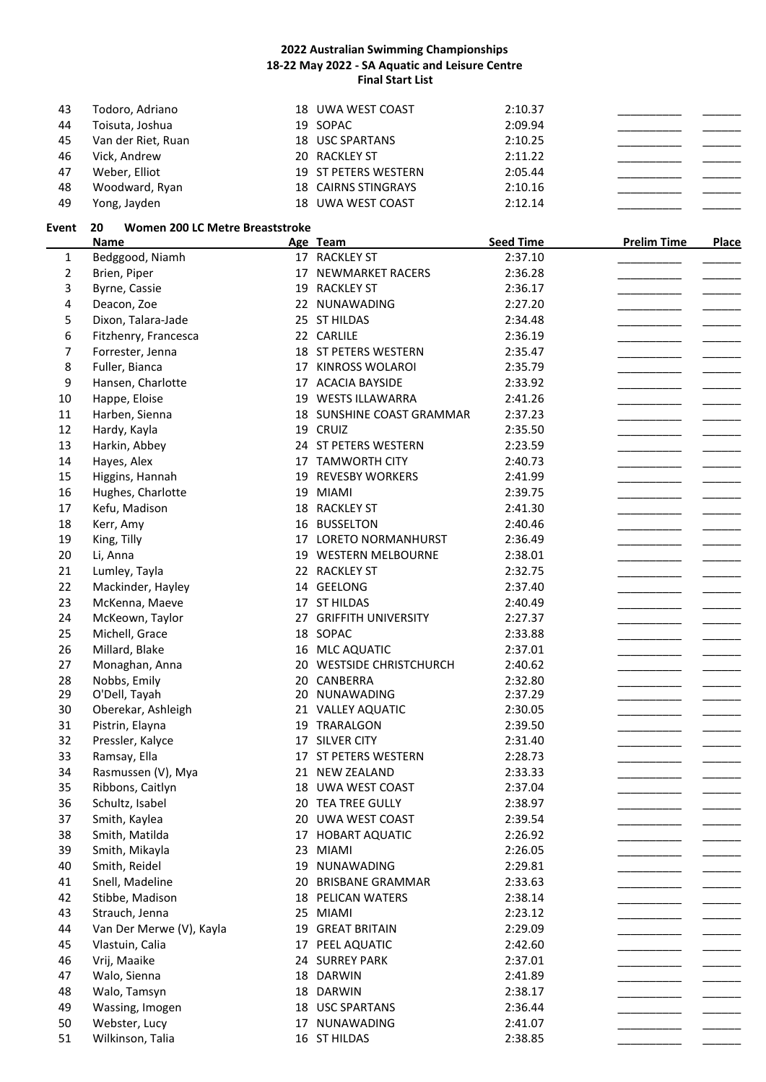| 43 | Todoro, Adriano    | 18 UWA WEST COAST          | 2:10.37 |  |
|----|--------------------|----------------------------|---------|--|
| 44 | Toisuta, Joshua    | 19 SOPAC                   | 2:09.94 |  |
| 45 | Van der Riet, Ruan | 18 USC SPARTANS            | 2:10.25 |  |
| 46 | Vick, Andrew       | 20 RACKLEY ST              | 2:11.22 |  |
| 47 | Weber, Elliot      | 19 ST PETERS WESTERN       | 2:05.44 |  |
| 48 | Woodward, Ryan     | <b>18 CAIRNS STINGRAYS</b> | 2:10.16 |  |
| 49 | Yong, Jayden       | 18 UWA WEST COAST          | 2:12.14 |  |

#### **Event 20 Women 200 LC Metre Breaststroke**

|                | <b>Name</b>              |    | Age Team                  | <b>Seed Time</b> | <b>Prelim Time</b> | <b>Place</b> |
|----------------|--------------------------|----|---------------------------|------------------|--------------------|--------------|
| $\mathbf{1}$   | Bedggood, Niamh          |    | 17 RACKLEY ST             | 2:37.10          |                    |              |
| $\overline{2}$ | Brien, Piper             |    | 17 NEWMARKET RACERS       | 2:36.28          |                    |              |
| 3              | Byrne, Cassie            | 19 | <b>RACKLEY ST</b>         | 2:36.17          |                    |              |
| 4              | Deacon, Zoe              |    | 22 NUNAWADING             | 2:27.20          |                    |              |
| 5              | Dixon, Talara-Jade       |    | 25 ST HILDAS              | 2:34.48          |                    |              |
| 6              | Fitzhenry, Francesca     |    | 22 CARLILE                | 2:36.19          |                    |              |
| 7              | Forrester, Jenna         |    | 18 ST PETERS WESTERN      | 2:35.47          |                    |              |
| 8              | Fuller, Bianca           |    | 17 KINROSS WOLAROI        | 2:35.79          |                    |              |
| 9              | Hansen, Charlotte        |    | 17 ACACIA BAYSIDE         | 2:33.92          |                    |              |
| 10             | Happe, Eloise            |    | 19 WESTS ILLAWARRA        | 2:41.26          |                    |              |
| 11             | Harben, Sienna           |    | 18 SUNSHINE COAST GRAMMAR | 2:37.23          |                    |              |
| 12             | Hardy, Kayla             |    | 19 CRUIZ                  | 2:35.50          |                    |              |
| 13             | Harkin, Abbey            |    | 24 ST PETERS WESTERN      | 2:23.59          |                    |              |
| 14             | Hayes, Alex              |    | 17 TAMWORTH CITY          | 2:40.73          |                    |              |
| 15             | Higgins, Hannah          |    | 19 REVESBY WORKERS        | 2:41.99          |                    |              |
| 16             | Hughes, Charlotte        | 19 | <b>MIAMI</b>              | 2:39.75          |                    |              |
| 17             | Kefu, Madison            |    | 18 RACKLEY ST             | 2:41.30          |                    |              |
| 18             | Kerr, Amy                |    | 16 BUSSELTON              | 2:40.46          |                    |              |
| 19             | King, Tilly              |    | 17 LORETO NORMANHURST     | 2:36.49          |                    |              |
| 20             | Li, Anna                 | 19 | <b>WESTERN MELBOURNE</b>  | 2:38.01          |                    |              |
| 21             | Lumley, Tayla            |    | 22 RACKLEY ST             | 2:32.75          |                    |              |
| 22             | Mackinder, Hayley        | 14 | GEELONG                   | 2:37.40          |                    |              |
| 23             | McKenna, Maeve           |    | 17 ST HILDAS              | 2:40.49          |                    |              |
| 24             | McKeown, Taylor          |    | 27 GRIFFITH UNIVERSITY    | 2:27.37          |                    |              |
| 25             | Michell, Grace           |    | 18 SOPAC                  | 2:33.88          |                    |              |
| 26             | Millard, Blake           |    | 16 MLC AQUATIC            | 2:37.01          |                    |              |
| 27             | Monaghan, Anna           |    | 20 WESTSIDE CHRISTCHURCH  | 2:40.62          |                    |              |
| 28             | Nobbs, Emily             |    | 20 CANBERRA               | 2:32.80          |                    |              |
| 29             | O'Dell, Tayah            |    | 20 NUNAWADING             | 2:37.29          |                    |              |
| 30             | Oberekar, Ashleigh       |    | 21 VALLEY AQUATIC         | 2:30.05          |                    |              |
| 31             | Pistrin, Elayna          | 19 | TRARALGON                 | 2:39.50          |                    |              |
| 32             | Pressler, Kalyce         |    | 17 SILVER CITY            | 2:31.40          |                    |              |
| 33             | Ramsay, Ella             |    | 17 ST PETERS WESTERN      | 2:28.73          |                    |              |
| 34             | Rasmussen (V), Mya       |    | 21 NEW ZEALAND            | 2:33.33          |                    |              |
| 35             | Ribbons, Caitlyn         |    | 18 UWA WEST COAST         | 2:37.04          |                    |              |
| 36             | Schultz, Isabel          |    | 20 TEA TREE GULLY         | 2:38.97          |                    |              |
| 37             | Smith, Kaylea            |    | 20 UWA WEST COAST         | 2:39.54          |                    |              |
| 38             | Smith, Matilda           |    | 17 HOBART AQUATIC         | 2:26.92          |                    |              |
| 39             | Smith, Mikayla           |    | 23 MIAMI                  | 2:26.05          |                    |              |
| 40             | Smith, Reidel            |    | 19 NUNAWADING             | 2:29.81          |                    |              |
| 41             | Snell, Madeline          |    | 20 BRISBANE GRAMMAR       | 2:33.63          |                    |              |
| 42             | Stibbe, Madison          |    | 18 PELICAN WATERS         | 2:38.14          |                    |              |
| 43             | Strauch, Jenna           |    | 25 MIAMI                  | 2:23.12          |                    |              |
| 44             | Van Der Merwe (V), Kayla |    | 19 GREAT BRITAIN          | 2:29.09          |                    |              |
| 45             | Vlastuin, Calia          |    | 17 PEEL AQUATIC           | 2:42.60          |                    |              |
| 46             | Vrij, Maaike             |    | 24 SURREY PARK            | 2:37.01          |                    |              |
| 47             | Walo, Sienna             |    | 18 DARWIN                 | 2:41.89          |                    |              |
| 48             | Walo, Tamsyn             |    | 18 DARWIN                 | 2:38.17          |                    |              |
| 49             | Wassing, Imogen          |    | 18 USC SPARTANS           | 2:36.44          |                    |              |
| 50             | Webster, Lucy            |    | 17 NUNAWADING             | 2:41.07          |                    |              |
| 51             | Wilkinson, Talia         |    | 16 ST HILDAS              | 2:38.85          |                    |              |
|                |                          |    |                           |                  |                    |              |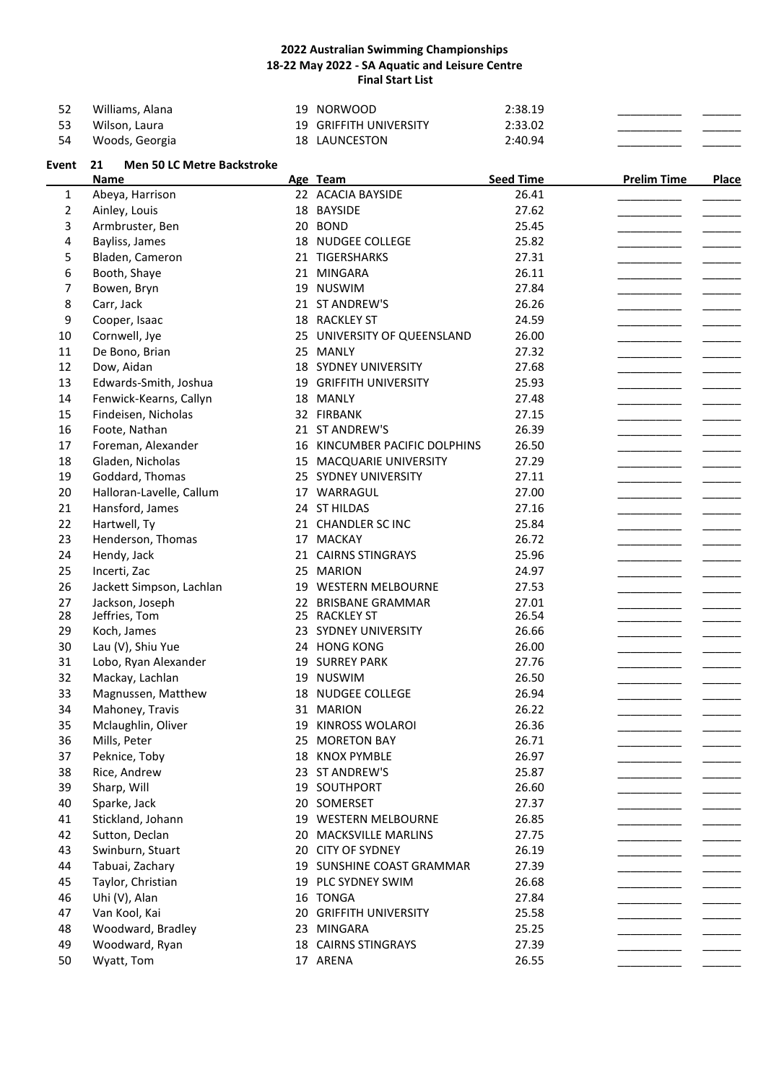| -52 | Williams, Alana | 19 NORWOOD                    | 2:38.19 |  |
|-----|-----------------|-------------------------------|---------|--|
| -53 | Wilson, Laura   | <b>19 GRIFFITH UNIVERSITY</b> | 2:33.02 |  |
| -54 | Woods, Georgia  | 18 LAUNCESTON                 | 2:40.94 |  |

# **Event 21 Men 50 LC Metre Backstroke Name Age Team Seed Time Prelim Time Place** 1 Abeya, Harrison 22 ACACIA BAYSIDE 26.41 2 Ainley, Louis 18 BAYSIDE 27.62 \_\_\_\_\_\_\_\_\_\_\_ \_\_\_\_\_\_\_ 3 Armbruster, Ben 20 BOND 25.45 4 Bayliss, James 18 NUDGEE COLLEGE 25.82 5 Bladen, Cameron 21 TIGERSHARKS 27.31 6 Booth, Shaye 21 MINGARA 26.11 \_\_\_\_\_\_\_\_\_\_\_\_ \_\_\_\_\_\_\_ 7 Bowen, Bryn 19 NUSWIM 27.84 \_\_\_\_\_\_\_\_\_\_\_ \_\_\_\_\_\_ 8 Carr, Jack 21 ST ANDREW'S 26.26 9 Cooper, Isaac 18 RACKLEY ST 24.59 \_\_\_\_\_\_\_\_\_\_\_\_ \_\_\_\_\_\_\_ 10 Cornwell, Jye 25 UNIVERSITY OF QUEENSLAND 26.00 11 De Bono, Brian 25 MANLY 27.32 \_\_\_\_\_\_\_\_\_\_ \_\_\_\_\_\_ 12 Dow, Aidan 18 SYDNEY UNIVERSITY 27.68 13 Edwards-Smith, Joshua 19 GRIFFITH UNIVERSITY 25.93 14 Fenwick-Kearns, Callyn 18 MANLY 18 27.48 15 Findeisen, Nicholas 32 FIRBANK 27.15 \_\_\_\_\_\_\_\_\_\_ \_\_\_\_\_\_ 16 Foote, Nathan 21 ST ANDREW'S 26.39 \_\_\_\_\_\_\_\_\_\_ \_\_\_\_\_\_ 17 Foreman, Alexander 16 KINCUMBER PACIFIC DOLPHINS 26.50 18 Gladen, Nicholas 15 MACQUARIE UNIVERSITY 27.29 19 Goddard, Thomas 25 SYDNEY UNIVERSITY 27.11 \_\_\_\_\_\_\_\_\_\_ \_\_\_\_\_\_ 20 Halloran-Lavelle, Callum 17 WARRAGUL 27.00 21 Hansford, James 24 ST HILDAS 27.16 22 Hartwell, Ty **21 CHANDLER SC INC** 25.84 23 Henderson, Thomas 17 MACKAY 26.72 24 Hendy, Jack 21 CAIRNS STINGRAYS 25.96 25 Incerti, Zac 25 MARION 24.97 \_\_\_\_\_\_\_\_\_\_\_\_ \_\_\_\_\_\_\_ 26 Jackett Simpson, Lachlan 19 WESTERN MELBOURNE 27.53 27 Jackson, Joseph 22 BRISBANE GRAMMAR 27.01 28 Jeffries, Tom 2011 20 25 RACKLEY ST 28 Jeffries, Tom 25 RACKLEY ST 26.54 \_\_\_\_\_\_\_\_\_\_\_\_ \_\_\_\_\_\_ 29 Koch, James 23 SYDNEY UNIVERSITY 26.66 30 Lau (V), Shiu Yue 24 HONG KONG 26.00 31 Lobo, Ryan Alexander 19 SURREY PARK 27.76 32 Mackay, Lachlan 19 NUSWIM 26.50 33 Magnussen, Matthew 18 NUDGEE COLLEGE 26.94 34 Mahoney, Travis 2008 31 MARION 26.22 35 Mclaughlin, Oliver 19 KINROSS WOLAROI 26.36 36 Mills, Peter 25 MORETON BAY 26.71 \_\_\_\_\_\_\_\_\_\_\_\_ \_\_\_\_\_\_ 37 Peknice, Toby 18 KNOX PYMBLE 26.97 38 Rice, Andrew 23 ST ANDREW'S 25.87 39 Sharp, Will 19 SOUTHPORT 26.60 \_\_\_\_\_\_\_\_\_\_\_ \_\_\_\_\_\_ 40 Sparke, Jack 20 SOMERSET 27.37 41 Stickland, Johann 19 WESTERN MELBOURNE 26.85 42 Sutton, Declan 20 MACKSVILLE MARLINS 27.75 43 Swinburn, Stuart 20 CITY OF SYDNEY 26.19 44 Tabuai, Zachary 19 SUNSHINE COAST GRAMMAR 27.39

45 Taylor, Christian 19 PLC SYDNEY SWIM 26.68

47 Van Kool, Kai 20 GRIFFITH UNIVERSITY 25.58 48 Woodward, Bradley 23 MINGARA 25.25 49 Woodward, Ryan 18 CAIRNS STINGRAYS 27.39

46 Uhi (V), Alan 16 TONGA 27.84 \_\_\_\_\_\_\_\_\_\_\_ \_\_\_\_\_\_\_

50 Wyatt, Tom 17 ARENA 26.55 \_\_\_\_\_\_\_\_\_\_\_\_ \_\_\_\_\_\_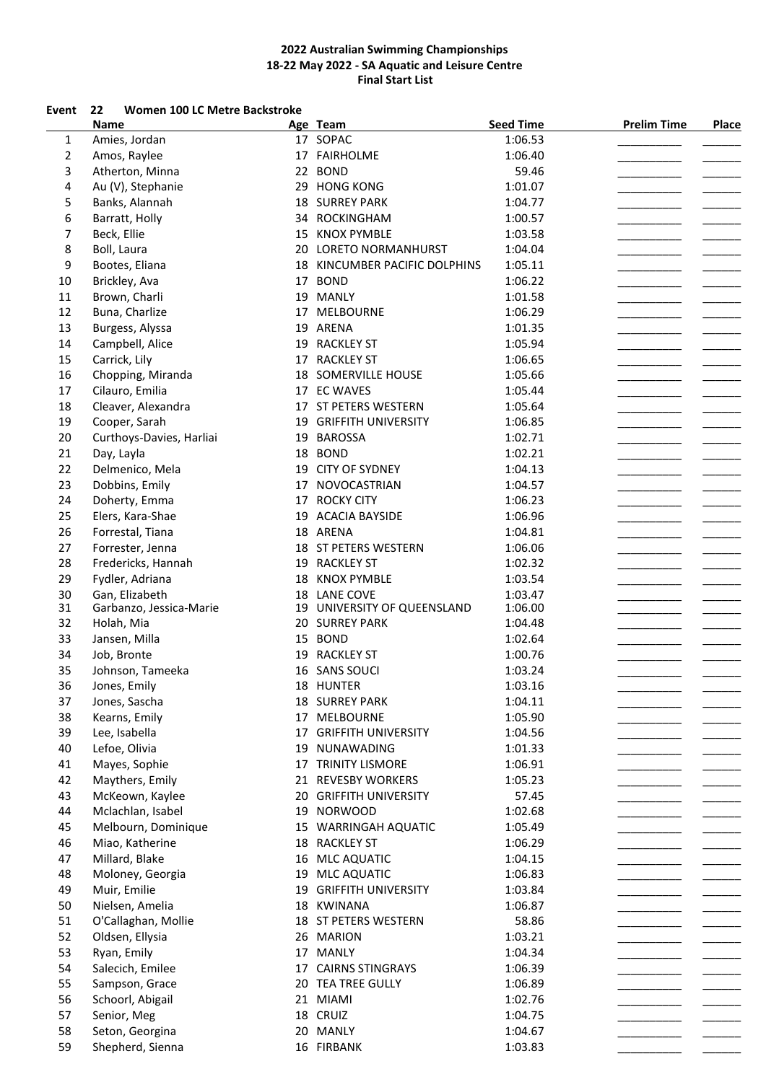### **Event 22 Women 100 LC Metre Backstroke**

|                | Name                     |    | Age Team                    | <b>Seed Time</b> | <b>Prelim Time</b> | <b>Place</b> |
|----------------|--------------------------|----|-----------------------------|------------------|--------------------|--------------|
| $\mathbf{1}$   | Amies, Jordan            |    | 17 SOPAC                    | 1:06.53          |                    |              |
| $\overline{2}$ | Amos, Raylee             |    | 17 FAIRHOLME                | 1:06.40          |                    |              |
| 3              | Atherton, Minna          |    | 22 BOND                     | 59.46            |                    |              |
| 4              | Au (V), Stephanie        |    | 29 HONG KONG                | 1:01.07          |                    |              |
| 5              | Banks, Alannah           |    | <b>18 SURREY PARK</b>       | 1:04.77          |                    |              |
| 6              | Barratt, Holly           | 34 | ROCKINGHAM                  | 1:00.57          |                    |              |
| 7              | Beck, Ellie              | 15 | <b>KNOX PYMBLE</b>          | 1:03.58          |                    |              |
| 8              | Boll, Laura              | 20 | LORETO NORMANHURST          | 1:04.04          |                    |              |
| 9              | Bootes, Eliana           | 18 | KINCUMBER PACIFIC DOLPHINS  | 1:05.11          |                    |              |
|                |                          |    | 17 BOND                     |                  |                    |              |
| 10             | Brickley, Ava            |    | 19 MANLY                    | 1:06.22          |                    |              |
| 11             | Brown, Charli            |    |                             | 1:01.58          |                    |              |
| 12             | Buna, Charlize           |    | 17 MELBOURNE                | 1:06.29          |                    |              |
| 13             | Burgess, Alyssa          |    | 19 ARENA                    | 1:01.35          |                    |              |
| 14             | Campbell, Alice          |    | 19 RACKLEY ST               | 1:05.94          |                    |              |
| 15             | Carrick, Lily            |    | 17 RACKLEY ST               | 1:06.65          |                    |              |
| 16             | Chopping, Miranda        |    | 18 SOMERVILLE HOUSE         | 1:05.66          |                    |              |
| 17             | Cilauro, Emilia          |    | 17 EC WAVES                 | 1:05.44          |                    |              |
| 18             | Cleaver, Alexandra       |    | 17 ST PETERS WESTERN        | 1:05.64          |                    |              |
| 19             | Cooper, Sarah            |    | 19 GRIFFITH UNIVERSITY      | 1:06.85          |                    |              |
| 20             | Curthoys-Davies, Harliai |    | 19 BAROSSA                  | 1:02.71          |                    |              |
| 21             | Day, Layla               | 18 | <b>BOND</b>                 | 1:02.21          |                    |              |
| 22             | Delmenico, Mela          |    | 19 CITY OF SYDNEY           | 1:04.13          |                    |              |
| 23             | Dobbins, Emily           |    | 17 NOVOCASTRIAN             | 1:04.57          |                    |              |
| 24             | Doherty, Emma            |    | 17 ROCKY CITY               | 1:06.23          |                    |              |
| 25             | Elers, Kara-Shae         |    | 19 ACACIA BAYSIDE           | 1:06.96          |                    |              |
| 26             | Forrestal, Tiana         |    | 18 ARENA                    | 1:04.81          |                    |              |
|                |                          |    |                             |                  |                    |              |
| 27             | Forrester, Jenna         |    | 18 ST PETERS WESTERN        | 1:06.06          |                    |              |
| 28             | Fredericks, Hannah       |    | 19 RACKLEY ST               | 1:02.32          |                    |              |
| 29             | Fydler, Adriana          | 18 | <b>KNOX PYMBLE</b>          | 1:03.54          |                    |              |
| 30             | Gan, Elizabeth           |    | 18 LANE COVE                | 1:03.47          |                    |              |
| 31             | Garbanzo, Jessica-Marie  |    | 19 UNIVERSITY OF QUEENSLAND | 1:06.00          |                    |              |
| 32             | Holah, Mia               |    | 20 SURREY PARK              | 1:04.48          |                    |              |
| 33             | Jansen, Milla            |    | 15 BOND                     | 1:02.64          |                    |              |
| 34             | Job, Bronte              |    | 19 RACKLEY ST               | 1:00.76          |                    |              |
| 35             | Johnson, Tameeka         |    | 16 SANS SOUCI               | 1:03.24          |                    |              |
| 36             | Jones, Emily             |    | 18 HUNTER                   | 1:03.16          |                    |              |
| 37             | Jones, Sascha            |    | <b>18 SURREY PARK</b>       | 1:04.11          |                    |              |
| 38             | Kearns, Emily            |    | 17 MELBOURNE                | 1:05.90          |                    |              |
| 39             | Lee, Isabella            |    | 17 GRIFFITH UNIVERSITY      | 1:04.56          |                    |              |
| 40             | Lefoe, Olivia            | 19 | NUNAWADING                  | 1:01.33          |                    |              |
| 41             | Mayes, Sophie            |    | 17 TRINITY LISMORE          | 1:06.91          |                    |              |
| 42             | Maythers, Emily          |    | 21 REVESBY WORKERS          | 1:05.23          |                    |              |
| 43             | McKeown, Kaylee          |    | 20 GRIFFITH UNIVERSITY      | 57.45            |                    |              |
| 44             | Mclachlan, Isabel        |    | 19 NORWOOD                  | 1:02.68          |                    |              |
| 45             | Melbourn, Dominique      |    | 15 WARRINGAH AQUATIC        | 1:05.49          |                    |              |
| 46             | Miao, Katherine          | 18 | <b>RACKLEY ST</b>           | 1:06.29          |                    |              |
| 47             | Millard, Blake           | 16 | <b>MLC AQUATIC</b>          | 1:04.15          |                    |              |
|                |                          |    |                             |                  |                    |              |
| 48             | Moloney, Georgia         | 19 | <b>MLC AQUATIC</b>          | 1:06.83          |                    |              |
| 49             | Muir, Emilie             | 19 | <b>GRIFFITH UNIVERSITY</b>  | 1:03.84          |                    |              |
| 50             | Nielsen, Amelia          |    | 18 KWINANA                  | 1:06.87          |                    |              |
| 51             | O'Callaghan, Mollie      |    | 18 ST PETERS WESTERN        | 58.86            |                    |              |
| 52             | Oldsen, Ellysia          |    | 26 MARION                   | 1:03.21          |                    |              |
| 53             | Ryan, Emily              |    | 17 MANLY                    | 1:04.34          |                    |              |
| 54             | Salecich, Emilee         |    | 17 CAIRNS STINGRAYS         | 1:06.39          |                    |              |
| 55             | Sampson, Grace           |    | 20 TEA TREE GULLY           | 1:06.89          |                    |              |
| 56             | Schoorl, Abigail         |    | 21 MIAMI                    | 1:02.76          |                    |              |
| 57             | Senior, Meg              |    | 18 CRUIZ                    | 1:04.75          |                    |              |
| 58             | Seton, Georgina          |    | 20 MANLY                    | 1:04.67          |                    |              |
| 59             | Shepherd, Sienna         |    | 16 FIRBANK                  | 1:03.83          |                    |              |
|                |                          |    |                             |                  |                    |              |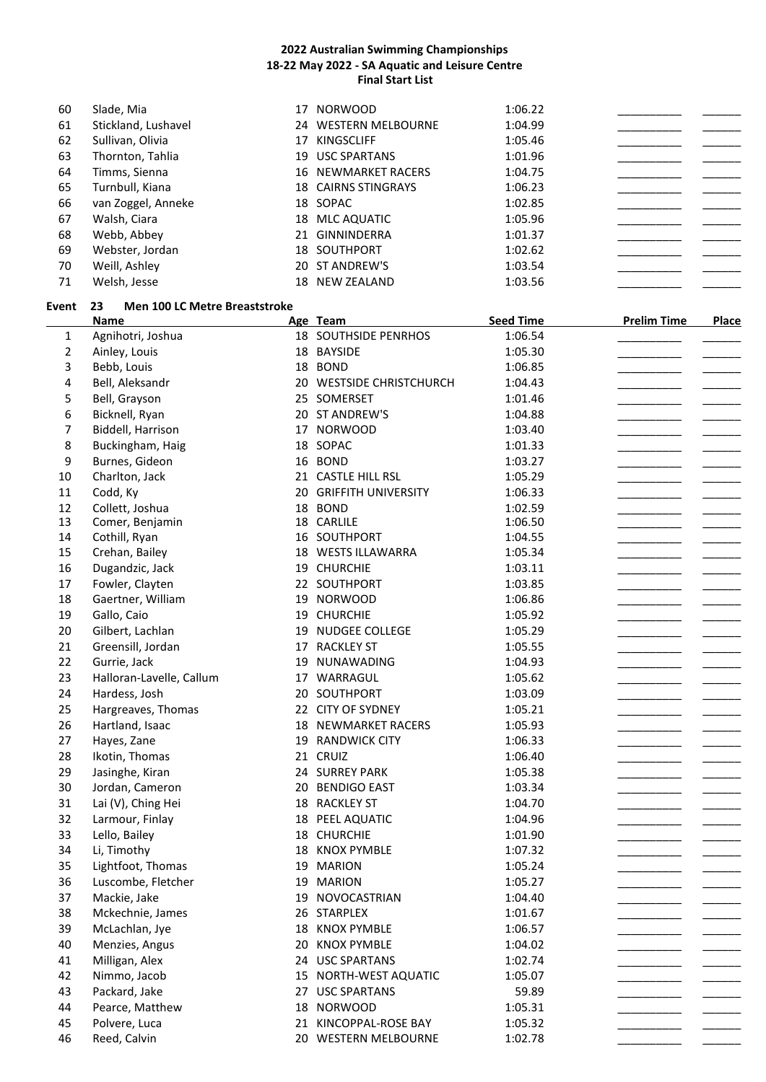| 60 | Slade, Mia          | 17 | <b>NORWOOD</b>             | 1:06.22 |  |
|----|---------------------|----|----------------------------|---------|--|
| 61 | Stickland, Lushavel |    | 24 WESTERN MELBOURNE       | 1:04.99 |  |
| 62 | Sullivan, Olivia    | 17 | <b>KINGSCLIFF</b>          | 1:05.46 |  |
| 63 | Thornton, Tahlia    |    | 19 USC SPARTANS            | 1:01.96 |  |
| 64 | Timms, Sienna       |    | <b>16 NEWMARKET RACERS</b> | 1:04.75 |  |
| 65 | Turnbull, Kiana     |    | <b>18 CAIRNS STINGRAYS</b> | 1:06.23 |  |
| 66 | van Zoggel, Anneke  |    | 18 SOPAC                   | 1:02.85 |  |
| 67 | Walsh, Ciara        |    | 18 MLC AQUATIC             | 1:05.96 |  |
| 68 | Webb, Abbey         |    | 21 GINNINDERRA             | 1:01.37 |  |
| 69 | Webster, Jordan     |    | <b>18 SOUTHPORT</b>        | 1:02.62 |  |
| 70 | Weill, Ashley       |    | 20 ST ANDREW'S             | 1:03.54 |  |
| 71 | Welsh, Jesse        |    | 18 NEW ZEALAND             | 1:03.56 |  |

#### **Event 23 Men 100 LC Metre Breaststroke**

|                | <b>Name</b>              |    | Age Team                 | <b>Seed Time</b> | <b>Prelim Time</b> | <b>Place</b> |
|----------------|--------------------------|----|--------------------------|------------------|--------------------|--------------|
| $\mathbf{1}$   | Agnihotri, Joshua        |    | 18 SOUTHSIDE PENRHOS     | 1:06.54          |                    |              |
| $\overline{2}$ | Ainley, Louis            |    | 18 BAYSIDE               | 1:05.30          |                    |              |
| 3              | Bebb, Louis              |    | 18 BOND                  | 1:06.85          |                    |              |
| 4              | Bell, Aleksandr          |    | 20 WESTSIDE CHRISTCHURCH | 1:04.43          |                    |              |
| 5              | Bell, Grayson            | 25 | SOMERSET                 | 1:01.46          |                    |              |
| 6              | Bicknell, Ryan           |    | 20 ST ANDREW'S           | 1:04.88          |                    |              |
| 7              | Biddell, Harrison        |    | 17 NORWOOD               | 1:03.40          |                    |              |
| 8              | Buckingham, Haig         |    | 18 SOPAC                 | 1:01.33          |                    |              |
| 9              | Burnes, Gideon           |    | 16 BOND                  | 1:03.27          |                    |              |
| 10             | Charlton, Jack           |    | 21 CASTLE HILL RSL       | 1:05.29          |                    |              |
| 11             | Codd, Ky                 |    | 20 GRIFFITH UNIVERSITY   | 1:06.33          |                    |              |
| 12             | Collett, Joshua          |    | 18 BOND                  | 1:02.59          |                    |              |
| 13             | Comer, Benjamin          |    | 18 CARLILE               | 1:06.50          |                    |              |
| 14             | Cothill, Ryan            |    | 16 SOUTHPORT             | 1:04.55          |                    |              |
| 15             | Crehan, Bailey           |    | 18 WESTS ILLAWARRA       | 1:05.34          |                    |              |
| 16             | Dugandzic, Jack          |    | 19 CHURCHIE              | 1:03.11          |                    |              |
| 17             | Fowler, Clayten          |    | 22 SOUTHPORT             | 1:03.85          |                    |              |
| 18             | Gaertner, William        |    | 19 NORWOOD               | 1:06.86          |                    |              |
| 19             | Gallo, Caio              |    | 19 CHURCHIE              | 1:05.92          |                    |              |
| 20             | Gilbert, Lachlan         | 19 | <b>NUDGEE COLLEGE</b>    | 1:05.29          |                    |              |
| 21             | Greensill, Jordan        |    | 17 RACKLEY ST            | 1:05.55          |                    |              |
| 22             | Gurrie, Jack             | 19 | NUNAWADING               | 1:04.93          |                    |              |
| 23             | Halloran-Lavelle, Callum | 17 | WARRAGUL                 | 1:05.62          |                    |              |
| 24             | Hardess, Josh            | 20 | SOUTHPORT                | 1:03.09          |                    |              |
| 25             | Hargreaves, Thomas       |    | 22 CITY OF SYDNEY        | 1:05.21          |                    |              |
| 26             | Hartland, Isaac          | 18 | NEWMARKET RACERS         | 1:05.93          |                    |              |
| 27             | Hayes, Zane              | 19 | <b>RANDWICK CITY</b>     | 1:06.33          |                    |              |
| 28             | Ikotin, Thomas           |    | 21 CRUIZ                 | 1:06.40          |                    |              |
| 29             | Jasinghe, Kiran          |    | 24 SURREY PARK           | 1:05.38          |                    |              |
| 30             | Jordan, Cameron          | 20 | <b>BENDIGO EAST</b>      | 1:03.34          |                    |              |
| 31             | Lai (V), Ching Hei       |    | 18 RACKLEY ST            | 1:04.70          |                    |              |
| 32             | Larmour, Finlay          |    | 18 PEEL AQUATIC          | 1:04.96          |                    |              |
| 33             | Lello, Bailey            |    | 18 CHURCHIE              | 1:01.90          |                    |              |
| 34             | Li, Timothy              |    | 18 KNOX PYMBLE           | 1:07.32          |                    |              |
| 35             | Lightfoot, Thomas        | 19 | <b>MARION</b>            | 1:05.24          |                    |              |
| 36             | Luscombe, Fletcher       |    | 19 MARION                | 1:05.27          |                    |              |
| 37             | Mackie, Jake             |    | 19 NOVOCASTRIAN          | 1:04.40          |                    |              |
| 38             | Mckechnie, James         |    | 26 STARPLEX              | 1:01.67          |                    |              |
| 39             | McLachlan, Jye           |    | 18 KNOX PYMBLE           | 1:06.57          |                    |              |
| 40             | Menzies, Angus           | 20 | <b>KNOX PYMBLE</b>       | 1:04.02          |                    |              |
| 41             | Milligan, Alex           |    | 24 USC SPARTANS          | 1:02.74          |                    |              |
| 42             | Nimmo, Jacob             |    | 15 NORTH-WEST AQUATIC    | 1:05.07          |                    |              |
| 43             | Packard, Jake            |    | 27 USC SPARTANS          | 59.89            |                    |              |
| 44             | Pearce, Matthew          |    | 18 NORWOOD               | 1:05.31          |                    |              |
| 45             | Polvere, Luca            |    | 21 KINCOPPAL-ROSE BAY    | 1:05.32          |                    |              |
| 46             | Reed, Calvin             |    | 20 WESTERN MELBOURNE     | 1:02.78          |                    |              |
|                |                          |    |                          |                  |                    |              |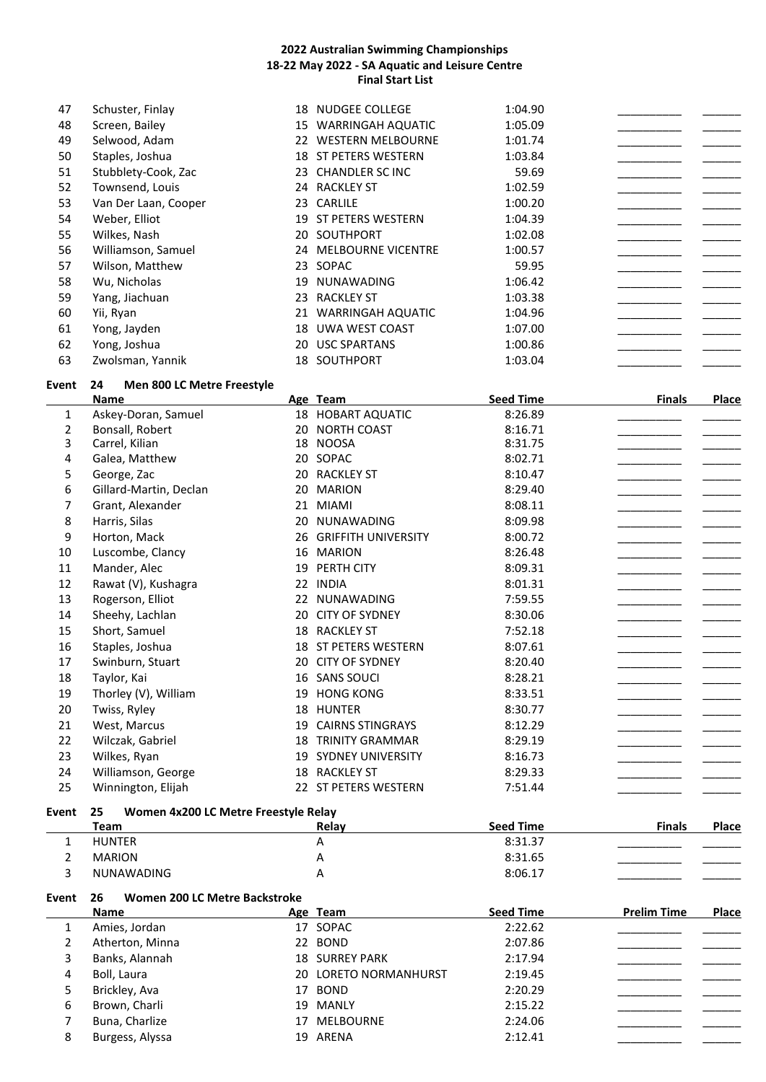| 47    | Schuster, Finlay                           | 18 NUDGEE COLLEGE               | 1:04.90          |                    |              |
|-------|--------------------------------------------|---------------------------------|------------------|--------------------|--------------|
| 48    | Screen, Bailey                             | 15 WARRINGAH AQUATIC            | 1:05.09          |                    |              |
| 49    | Selwood, Adam                              | 22 WESTERN MELBOURNE            | 1:01.74          |                    |              |
| 50    | Staples, Joshua                            | 18 ST PETERS WESTERN            | 1:03.84          |                    |              |
| 51    | Stubblety-Cook, Zac                        | 23 CHANDLER SC INC              | 59.69            |                    |              |
| 52    | Townsend, Louis                            | 24 RACKLEY ST                   | 1:02.59          |                    |              |
| 53    | Van Der Laan, Cooper                       | 23 CARLILE                      | 1:00.20          |                    |              |
| 54    | Weber, Elliot                              | 19 ST PETERS WESTERN            | 1:04.39          |                    |              |
| 55    | Wilkes, Nash                               | 20 SOUTHPORT                    | 1:02.08          |                    |              |
| 56    | Williamson, Samuel                         | 24 MELBOURNE VICENTRE           | 1:00.57          |                    |              |
| 57    | Wilson, Matthew                            | 23 SOPAC                        | 59.95            |                    |              |
| 58    | Wu, Nicholas                               | 19 NUNAWADING                   | 1:06.42          |                    |              |
| 59    | Yang, Jiachuan                             | 23 RACKLEY ST                   | 1:03.38          |                    |              |
| 60    | Yii, Ryan                                  | 21 WARRINGAH AQUATIC            | 1:04.96          |                    |              |
| 61    | Yong, Jayden                               | 18 UWA WEST COAST               | 1:07.00          |                    |              |
| 62    |                                            |                                 |                  |                    |              |
| 63    | Yong, Joshua                               | 20 USC SPARTANS<br>18 SOUTHPORT | 1:00.86          |                    |              |
|       | Zwolsman, Yannik                           |                                 | 1:03.04          |                    |              |
| Event | 24<br>Men 800 LC Metre Freestyle           |                                 |                  |                    |              |
|       | <b>Name</b>                                | Age Team                        | <b>Seed Time</b> | <b>Finals</b>      | <b>Place</b> |
| 1     | Askey-Doran, Samuel                        | 18 HOBART AQUATIC               | 8:26.89          |                    |              |
| 2     | Bonsall, Robert                            | 20 NORTH COAST                  | 8:16.71          |                    |              |
| 3     | Carrel, Kilian                             | 18 NOOSA                        | 8:31.75          |                    |              |
| 4     | Galea, Matthew                             | 20 SOPAC                        | 8:02.71          |                    |              |
| 5     | George, Zac                                | 20 RACKLEY ST                   | 8:10.47          |                    |              |
| 6     | Gillard-Martin, Declan                     | 20 MARION                       | 8:29.40          |                    |              |
| 7     | Grant, Alexander                           | 21 MIAMI                        | 8:08.11          |                    |              |
| 8     | Harris, Silas                              | 20 NUNAWADING                   | 8:09.98          |                    |              |
| 9     | Horton, Mack                               | 26 GRIFFITH UNIVERSITY          | 8:00.72          |                    |              |
| 10    | Luscombe, Clancy                           | 16 MARION                       | 8:26.48          |                    |              |
| 11    | Mander, Alec                               | 19 PERTH CITY                   | 8:09.31          |                    |              |
| 12    | Rawat (V), Kushagra                        | 22 INDIA                        | 8:01.31          |                    |              |
| 13    | Rogerson, Elliot                           | 22 NUNAWADING                   | 7:59.55          |                    |              |
| 14    | Sheehy, Lachlan                            | 20 CITY OF SYDNEY               | 8:30.06          |                    |              |
| 15    | Short, Samuel                              | 18 RACKLEY ST                   | 7:52.18          |                    |              |
| 16    | Staples, Joshua                            | 18 ST PETERS WESTERN            | 8:07.61          |                    |              |
| 17    | Swinburn, Stuart                           | 20 CITY OF SYDNEY               | 8:20.40          |                    |              |
| 18    | Taylor, Kai                                | 16 SANS SOUCI                   | 8:28.21          |                    |              |
| 19    | Thorley (V), William                       | 19 HONG KONG                    | 8:33.51          |                    |              |
| 20    | Twiss, Ryley                               | 18 HUNTER                       | 8:30.77          |                    |              |
| 21    | West, Marcus                               | 19 CAIRNS STINGRAYS             | 8:12.29          |                    |              |
| 22    | Wilczak, Gabriel                           | <b>18 TRINITY GRAMMAR</b>       | 8:29.19          |                    |              |
| 23    | Wilkes, Ryan                               | 19 SYDNEY UNIVERSITY            | 8:16.73          |                    |              |
| 24    | Williamson, George                         | 18 RACKLEY ST                   | 8:29.33          |                    |              |
| 25    | Winnington, Elijah                         | 22 ST PETERS WESTERN            | 7:51.44          |                    |              |
|       |                                            |                                 |                  |                    |              |
| Event | 25<br>Women 4x200 LC Metre Freestyle Relay |                                 |                  |                    |              |
|       | <b>Team</b>                                | Relay                           | <b>Seed Time</b> | <b>Finals</b>      | <b>Place</b> |
| 1     | <b>HUNTER</b>                              | А                               | 8:31.37          |                    |              |
| 2     | <b>MARION</b>                              | Α                               | 8:31.65          |                    |              |
| 3     | NUNAWADING                                 | A                               | 8:06.17          |                    |              |
| Event | Women 200 LC Metre Backstroke<br>26        |                                 |                  |                    |              |
|       | Name                                       | Age Team                        | <b>Seed Time</b> | <b>Prelim Time</b> | Place        |
| 1     | Amies, Jordan                              | 17 SOPAC                        | 2:22.62          |                    |              |
| 2     | Atherton, Minna                            | 22 BOND                         | 2:07.86          |                    |              |
| 3     | Banks, Alannah                             | <b>18 SURREY PARK</b>           | 2:17.94          |                    |              |
| 4     | Boll, Laura                                | 20 LORETO NORMANHURST           | 2:19.45          |                    |              |
| 5     | Brickley, Ava                              | 17 BOND                         | 2:20.29          |                    |              |
| 6     | Brown, Charli                              | 19 MANLY                        | 2:15.22          |                    |              |
| 7     | Buna, Charlize                             | 17 MELBOURNE                    | 2:24.06          |                    |              |
| 8     | Burgess, Alyssa                            | 19 ARENA                        | 2:12.41          |                    |              |
|       |                                            |                                 |                  |                    |              |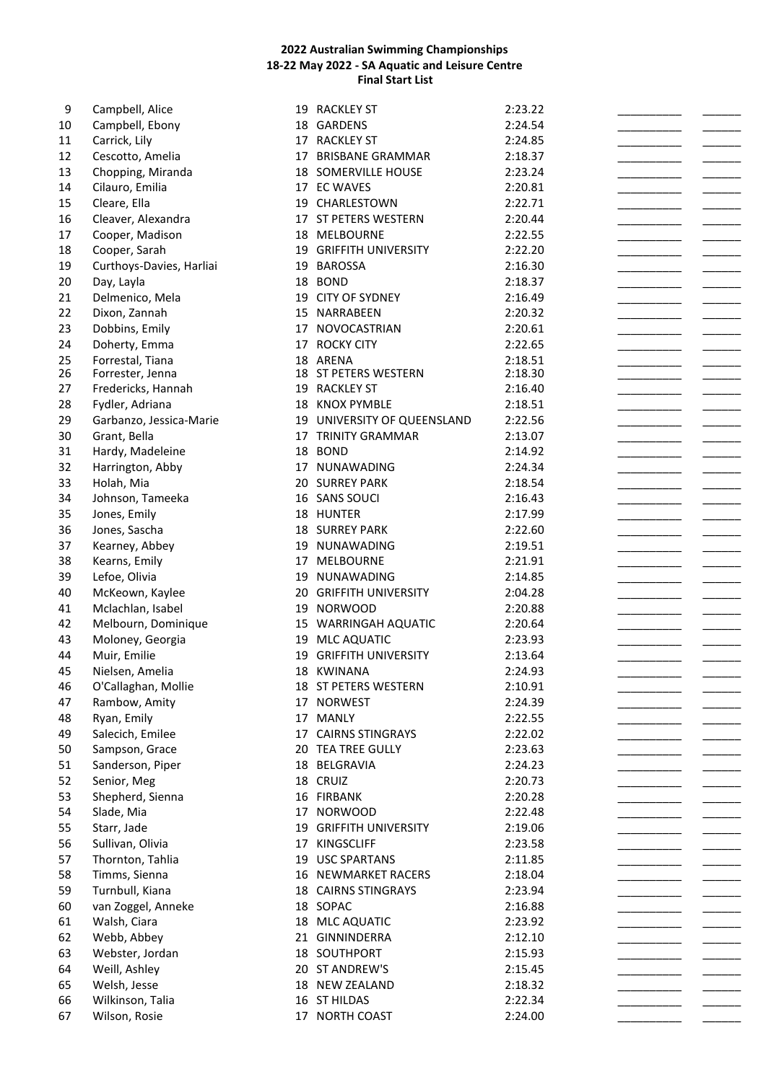| 9  | Campbell, Alice          | 19 | <b>RACKLEY ST</b>           | 2:23.22 |  |
|----|--------------------------|----|-----------------------------|---------|--|
| 10 | Campbell, Ebony          |    | 18 GARDENS                  | 2:24.54 |  |
| 11 | Carrick, Lily            |    | 17 RACKLEY ST               | 2:24.85 |  |
| 12 | Cescotto, Amelia         |    | 17 BRISBANE GRAMMAR         | 2:18.37 |  |
| 13 | Chopping, Miranda        |    | 18 SOMERVILLE HOUSE         | 2:23.24 |  |
| 14 | Cilauro, Emilia          |    | 17 EC WAVES                 | 2:20.81 |  |
| 15 | Cleare, Ella             |    | 19 CHARLESTOWN              | 2:22.71 |  |
| 16 | Cleaver, Alexandra       |    | 17 ST PETERS WESTERN        | 2:20.44 |  |
| 17 | Cooper, Madison          |    | 18 MELBOURNE                | 2:22.55 |  |
| 18 | Cooper, Sarah            |    | 19 GRIFFITH UNIVERSITY      | 2:22.20 |  |
| 19 | Curthoys-Davies, Harliai |    | 19 BAROSSA                  | 2:16.30 |  |
|    |                          |    | 18 BOND                     |         |  |
| 20 | Day, Layla               |    |                             | 2:18.37 |  |
| 21 | Delmenico, Mela          |    | 19 CITY OF SYDNEY           | 2:16.49 |  |
| 22 | Dixon, Zannah            |    | 15 NARRABEEN                | 2:20.32 |  |
| 23 | Dobbins, Emily           |    | 17 NOVOCASTRIAN             | 2:20.61 |  |
| 24 | Doherty, Emma            |    | 17 ROCKY CITY               | 2:22.65 |  |
| 25 | Forrestal, Tiana         |    | 18 ARENA                    | 2:18.51 |  |
| 26 | Forrester, Jenna         |    | 18 ST PETERS WESTERN        | 2:18.30 |  |
| 27 | Fredericks, Hannah       |    | 19 RACKLEY ST               | 2:16.40 |  |
| 28 | Fydler, Adriana          |    | 18 KNOX PYMBLE              | 2:18.51 |  |
| 29 | Garbanzo, Jessica-Marie  |    | 19 UNIVERSITY OF QUEENSLAND | 2:22.56 |  |
| 30 | Grant, Bella             |    | 17 TRINITY GRAMMAR          | 2:13.07 |  |
| 31 | Hardy, Madeleine         |    | 18 BOND                     | 2:14.92 |  |
| 32 | Harrington, Abby         |    | 17 NUNAWADING               | 2:24.34 |  |
| 33 | Holah, Mia               |    | 20 SURREY PARK              | 2:18.54 |  |
| 34 | Johnson, Tameeka         |    | 16 SANS SOUCI               | 2:16.43 |  |
| 35 | Jones, Emily             |    | 18 HUNTER                   | 2:17.99 |  |
| 36 | Jones, Sascha            |    | <b>18 SURREY PARK</b>       | 2:22.60 |  |
| 37 | Kearney, Abbey           | 19 | NUNAWADING                  | 2:19.51 |  |
| 38 | Kearns, Emily            |    | 17 MELBOURNE                | 2:21.91 |  |
| 39 | Lefoe, Olivia            |    | 19 NUNAWADING               | 2:14.85 |  |
| 40 |                          |    |                             |         |  |
|    | McKeown, Kaylee          |    | 20 GRIFFITH UNIVERSITY      | 2:04.28 |  |
| 41 | Mclachlan, Isabel        |    | 19 NORWOOD                  | 2:20.88 |  |
| 42 | Melbourn, Dominique      |    | 15 WARRINGAH AQUATIC        | 2:20.64 |  |
| 43 | Moloney, Georgia         |    | 19 MLC AQUATIC              | 2:23.93 |  |
| 44 | Muir, Emilie             | 19 | <b>GRIFFITH UNIVERSITY</b>  | 2:13.64 |  |
| 45 | Nielsen, Amelia          |    | 18 KWINANA                  | 2:24.93 |  |
| 46 | O'Callaghan, Mollie      |    | 18 ST PETERS WESTERN        | 2:10.91 |  |
| 47 | Rambow, Amity            |    | 17 NORWEST                  | 2:24.39 |  |
| 48 | Ryan, Emily              |    | 17 MANLY                    | 2:22.55 |  |
| 49 | Salecich, Emilee         |    | 17 CAIRNS STINGRAYS         | 2:22.02 |  |
| 50 | Sampson, Grace           |    | 20 TEA TREE GULLY           | 2:23.63 |  |
| 51 | Sanderson, Piper         | 18 | BELGRAVIA                   | 2:24.23 |  |
| 52 | Senior, Meg              |    | 18 CRUIZ                    | 2:20.73 |  |
| 53 | Shepherd, Sienna         |    | 16 FIRBANK                  | 2:20.28 |  |
| 54 | Slade, Mia               |    | 17 NORWOOD                  | 2:22.48 |  |
| 55 | Starr, Jade              |    | 19 GRIFFITH UNIVERSITY      | 2:19.06 |  |
| 56 | Sullivan, Olivia         |    | 17 KINGSCLIFF               | 2:23.58 |  |
| 57 | Thornton, Tahlia         |    | 19 USC SPARTANS             | 2:11.85 |  |
|    |                          |    |                             |         |  |
| 58 | Timms, Sienna            |    | 16 NEWMARKET RACERS         | 2:18.04 |  |
| 59 | Turnbull, Kiana          |    | <b>18 CAIRNS STINGRAYS</b>  | 2:23.94 |  |
| 60 | van Zoggel, Anneke       |    | 18 SOPAC                    | 2:16.88 |  |
| 61 | Walsh, Ciara             |    | 18 MLC AQUATIC              | 2:23.92 |  |
| 62 | Webb, Abbey              |    | 21 GINNINDERRA              | 2:12.10 |  |
| 63 | Webster, Jordan          |    | 18 SOUTHPORT                | 2:15.93 |  |
| 64 | Weill, Ashley            |    | 20 ST ANDREW'S              | 2:15.45 |  |
| 65 | Welsh, Jesse             |    | 18 NEW ZEALAND              | 2:18.32 |  |
| 66 | Wilkinson, Talia         |    | 16 ST HILDAS                | 2:22.34 |  |
| 67 | Wilson, Rosie            |    | 17 NORTH COAST              | 2:24.00 |  |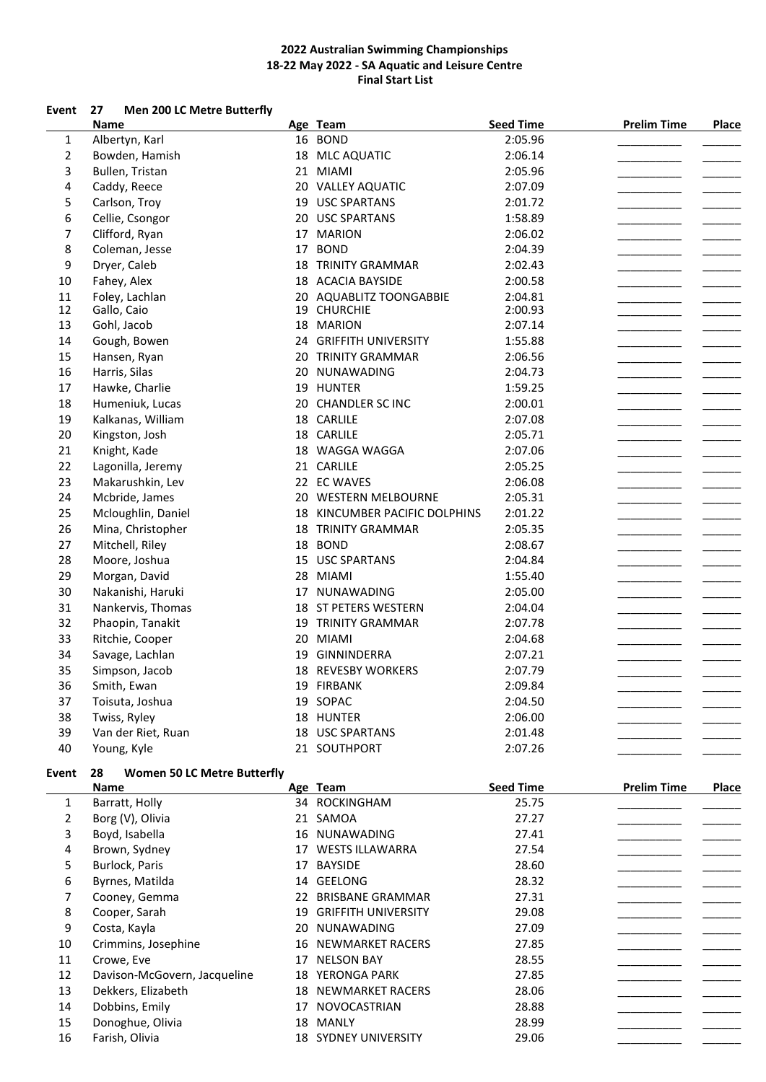### **Event 27 Men 200 LC Metre Butterfly**

| 16 BOND<br>2:05.96<br>$\mathbf{1}$<br>Albertyn, Karl<br>$\overline{2}$<br>2:06.14<br>18 MLC AQUATIC<br>Bowden, Hamish<br>3<br>Bullen, Tristan<br>21 MIAMI<br>2:05.96<br>$\overline{\mathbf{4}}$<br>2:07.09<br>Caddy, Reece<br>20 VALLEY AQUATIC<br>5<br>19 USC SPARTANS<br>Carlson, Troy<br>2:01.72<br>6<br>Cellie, Csongor<br>20 USC SPARTANS<br>1:58.89<br>7<br>Clifford, Ryan<br>17 MARION<br>2:06.02<br>8<br>Coleman, Jesse<br>17 BOND<br>2:04.39<br>9<br>Dryer, Caleb<br><b>18 TRINITY GRAMMAR</b><br>2:02.43<br>10<br>Fahey, Alex<br>18 ACACIA BAYSIDE<br>2:00.58<br>11<br>Foley, Lachlan<br>2:04.81<br>20 AQUABLITZ TOONGABBIE<br>12<br>Gallo, Caio<br>19 CHURCHIE<br>2:00.93<br>13<br>Gohl, Jacob<br>18 MARION<br>2:07.14<br>14<br>Gough, Bowen<br>24 GRIFFITH UNIVERSITY<br>1:55.88<br>15<br>20 TRINITY GRAMMAR<br>2:06.56<br>Hansen, Ryan<br>16<br>2:04.73<br>Harris, Silas<br>20 NUNAWADING<br>17<br>19 HUNTER<br>1:59.25<br>Hawke, Charlie<br>18<br>Humeniuk, Lucas<br>20 CHANDLER SC INC<br>2:00.01<br>19<br>Kalkanas, William<br>18 CARLILE<br>2:07.08<br>20<br>Kingston, Josh<br>18 CARLILE<br>2:05.71<br>21<br>Knight, Kade<br>18 WAGGA WAGGA<br>2:07.06<br>22<br>21 CARLILE<br>2:05.25<br>Lagonilla, Jeremy<br>23<br>22 EC WAVES<br>2:06.08<br>Makarushkin, Lev<br>24<br>2:05.31<br>Mcbride, James<br>20 WESTERN MELBOURNE<br>25<br>Mcloughlin, Daniel<br>18 KINCUMBER PACIFIC DOLPHINS<br>2:01.22<br>26<br>Mina, Christopher<br><b>18 TRINITY GRAMMAR</b><br>2:05.35<br>27<br>Mitchell, Riley<br>18 BOND<br>2:08.67<br>28<br>15 USC SPARTANS<br>Moore, Joshua<br>2:04.84<br>29<br>Morgan, David<br>28 MIAMI<br>1:55.40<br>30<br>Nakanishi, Haruki<br>17 NUNAWADING<br>2:05.00<br>31<br>18 ST PETERS WESTERN<br>Nankervis, Thomas<br>2:04.04<br>32<br>19 TRINITY GRAMMAR<br>2:07.78<br>Phaopin, Tanakit<br>33<br>20 MIAMI<br>2:04.68<br>Ritchie, Cooper<br>34<br>Savage, Lachlan<br>19 GINNINDERRA<br>2:07.21<br>35<br>Simpson, Jacob<br>18 REVESBY WORKERS<br>2:07.79<br>36<br>Smith, Ewan<br>19 FIRBANK<br>2:09.84<br>37<br>19 SOPAC<br>Toisuta, Joshua<br>2:04.50<br>38<br>Twiss, Ryley<br>18 HUNTER<br>2:06.00 | <b>Name</b> | Age Team | <b>Seed Time</b> | <b>Prelim Time</b> | Place |
|-------------------------------------------------------------------------------------------------------------------------------------------------------------------------------------------------------------------------------------------------------------------------------------------------------------------------------------------------------------------------------------------------------------------------------------------------------------------------------------------------------------------------------------------------------------------------------------------------------------------------------------------------------------------------------------------------------------------------------------------------------------------------------------------------------------------------------------------------------------------------------------------------------------------------------------------------------------------------------------------------------------------------------------------------------------------------------------------------------------------------------------------------------------------------------------------------------------------------------------------------------------------------------------------------------------------------------------------------------------------------------------------------------------------------------------------------------------------------------------------------------------------------------------------------------------------------------------------------------------------------------------------------------------------------------------------------------------------------------------------------------------------------------------------------------------------------------------------------------------------------------------------------------------------------------------------------------------------------------------------------------------------------------------------------------------------------------------------------------------------------------------|-------------|----------|------------------|--------------------|-------|
|                                                                                                                                                                                                                                                                                                                                                                                                                                                                                                                                                                                                                                                                                                                                                                                                                                                                                                                                                                                                                                                                                                                                                                                                                                                                                                                                                                                                                                                                                                                                                                                                                                                                                                                                                                                                                                                                                                                                                                                                                                                                                                                                     |             |          |                  |                    |       |
|                                                                                                                                                                                                                                                                                                                                                                                                                                                                                                                                                                                                                                                                                                                                                                                                                                                                                                                                                                                                                                                                                                                                                                                                                                                                                                                                                                                                                                                                                                                                                                                                                                                                                                                                                                                                                                                                                                                                                                                                                                                                                                                                     |             |          |                  |                    |       |
|                                                                                                                                                                                                                                                                                                                                                                                                                                                                                                                                                                                                                                                                                                                                                                                                                                                                                                                                                                                                                                                                                                                                                                                                                                                                                                                                                                                                                                                                                                                                                                                                                                                                                                                                                                                                                                                                                                                                                                                                                                                                                                                                     |             |          |                  |                    |       |
|                                                                                                                                                                                                                                                                                                                                                                                                                                                                                                                                                                                                                                                                                                                                                                                                                                                                                                                                                                                                                                                                                                                                                                                                                                                                                                                                                                                                                                                                                                                                                                                                                                                                                                                                                                                                                                                                                                                                                                                                                                                                                                                                     |             |          |                  |                    |       |
|                                                                                                                                                                                                                                                                                                                                                                                                                                                                                                                                                                                                                                                                                                                                                                                                                                                                                                                                                                                                                                                                                                                                                                                                                                                                                                                                                                                                                                                                                                                                                                                                                                                                                                                                                                                                                                                                                                                                                                                                                                                                                                                                     |             |          |                  |                    |       |
|                                                                                                                                                                                                                                                                                                                                                                                                                                                                                                                                                                                                                                                                                                                                                                                                                                                                                                                                                                                                                                                                                                                                                                                                                                                                                                                                                                                                                                                                                                                                                                                                                                                                                                                                                                                                                                                                                                                                                                                                                                                                                                                                     |             |          |                  |                    |       |
|                                                                                                                                                                                                                                                                                                                                                                                                                                                                                                                                                                                                                                                                                                                                                                                                                                                                                                                                                                                                                                                                                                                                                                                                                                                                                                                                                                                                                                                                                                                                                                                                                                                                                                                                                                                                                                                                                                                                                                                                                                                                                                                                     |             |          |                  |                    |       |
|                                                                                                                                                                                                                                                                                                                                                                                                                                                                                                                                                                                                                                                                                                                                                                                                                                                                                                                                                                                                                                                                                                                                                                                                                                                                                                                                                                                                                                                                                                                                                                                                                                                                                                                                                                                                                                                                                                                                                                                                                                                                                                                                     |             |          |                  |                    |       |
|                                                                                                                                                                                                                                                                                                                                                                                                                                                                                                                                                                                                                                                                                                                                                                                                                                                                                                                                                                                                                                                                                                                                                                                                                                                                                                                                                                                                                                                                                                                                                                                                                                                                                                                                                                                                                                                                                                                                                                                                                                                                                                                                     |             |          |                  |                    |       |
|                                                                                                                                                                                                                                                                                                                                                                                                                                                                                                                                                                                                                                                                                                                                                                                                                                                                                                                                                                                                                                                                                                                                                                                                                                                                                                                                                                                                                                                                                                                                                                                                                                                                                                                                                                                                                                                                                                                                                                                                                                                                                                                                     |             |          |                  |                    |       |
|                                                                                                                                                                                                                                                                                                                                                                                                                                                                                                                                                                                                                                                                                                                                                                                                                                                                                                                                                                                                                                                                                                                                                                                                                                                                                                                                                                                                                                                                                                                                                                                                                                                                                                                                                                                                                                                                                                                                                                                                                                                                                                                                     |             |          |                  |                    |       |
|                                                                                                                                                                                                                                                                                                                                                                                                                                                                                                                                                                                                                                                                                                                                                                                                                                                                                                                                                                                                                                                                                                                                                                                                                                                                                                                                                                                                                                                                                                                                                                                                                                                                                                                                                                                                                                                                                                                                                                                                                                                                                                                                     |             |          |                  |                    |       |
|                                                                                                                                                                                                                                                                                                                                                                                                                                                                                                                                                                                                                                                                                                                                                                                                                                                                                                                                                                                                                                                                                                                                                                                                                                                                                                                                                                                                                                                                                                                                                                                                                                                                                                                                                                                                                                                                                                                                                                                                                                                                                                                                     |             |          |                  |                    |       |
|                                                                                                                                                                                                                                                                                                                                                                                                                                                                                                                                                                                                                                                                                                                                                                                                                                                                                                                                                                                                                                                                                                                                                                                                                                                                                                                                                                                                                                                                                                                                                                                                                                                                                                                                                                                                                                                                                                                                                                                                                                                                                                                                     |             |          |                  |                    |       |
|                                                                                                                                                                                                                                                                                                                                                                                                                                                                                                                                                                                                                                                                                                                                                                                                                                                                                                                                                                                                                                                                                                                                                                                                                                                                                                                                                                                                                                                                                                                                                                                                                                                                                                                                                                                                                                                                                                                                                                                                                                                                                                                                     |             |          |                  |                    |       |
|                                                                                                                                                                                                                                                                                                                                                                                                                                                                                                                                                                                                                                                                                                                                                                                                                                                                                                                                                                                                                                                                                                                                                                                                                                                                                                                                                                                                                                                                                                                                                                                                                                                                                                                                                                                                                                                                                                                                                                                                                                                                                                                                     |             |          |                  |                    |       |
|                                                                                                                                                                                                                                                                                                                                                                                                                                                                                                                                                                                                                                                                                                                                                                                                                                                                                                                                                                                                                                                                                                                                                                                                                                                                                                                                                                                                                                                                                                                                                                                                                                                                                                                                                                                                                                                                                                                                                                                                                                                                                                                                     |             |          |                  |                    |       |
|                                                                                                                                                                                                                                                                                                                                                                                                                                                                                                                                                                                                                                                                                                                                                                                                                                                                                                                                                                                                                                                                                                                                                                                                                                                                                                                                                                                                                                                                                                                                                                                                                                                                                                                                                                                                                                                                                                                                                                                                                                                                                                                                     |             |          |                  |                    |       |
|                                                                                                                                                                                                                                                                                                                                                                                                                                                                                                                                                                                                                                                                                                                                                                                                                                                                                                                                                                                                                                                                                                                                                                                                                                                                                                                                                                                                                                                                                                                                                                                                                                                                                                                                                                                                                                                                                                                                                                                                                                                                                                                                     |             |          |                  |                    |       |
|                                                                                                                                                                                                                                                                                                                                                                                                                                                                                                                                                                                                                                                                                                                                                                                                                                                                                                                                                                                                                                                                                                                                                                                                                                                                                                                                                                                                                                                                                                                                                                                                                                                                                                                                                                                                                                                                                                                                                                                                                                                                                                                                     |             |          |                  |                    |       |
|                                                                                                                                                                                                                                                                                                                                                                                                                                                                                                                                                                                                                                                                                                                                                                                                                                                                                                                                                                                                                                                                                                                                                                                                                                                                                                                                                                                                                                                                                                                                                                                                                                                                                                                                                                                                                                                                                                                                                                                                                                                                                                                                     |             |          |                  |                    |       |
|                                                                                                                                                                                                                                                                                                                                                                                                                                                                                                                                                                                                                                                                                                                                                                                                                                                                                                                                                                                                                                                                                                                                                                                                                                                                                                                                                                                                                                                                                                                                                                                                                                                                                                                                                                                                                                                                                                                                                                                                                                                                                                                                     |             |          |                  |                    |       |
|                                                                                                                                                                                                                                                                                                                                                                                                                                                                                                                                                                                                                                                                                                                                                                                                                                                                                                                                                                                                                                                                                                                                                                                                                                                                                                                                                                                                                                                                                                                                                                                                                                                                                                                                                                                                                                                                                                                                                                                                                                                                                                                                     |             |          |                  |                    |       |
|                                                                                                                                                                                                                                                                                                                                                                                                                                                                                                                                                                                                                                                                                                                                                                                                                                                                                                                                                                                                                                                                                                                                                                                                                                                                                                                                                                                                                                                                                                                                                                                                                                                                                                                                                                                                                                                                                                                                                                                                                                                                                                                                     |             |          |                  |                    |       |
|                                                                                                                                                                                                                                                                                                                                                                                                                                                                                                                                                                                                                                                                                                                                                                                                                                                                                                                                                                                                                                                                                                                                                                                                                                                                                                                                                                                                                                                                                                                                                                                                                                                                                                                                                                                                                                                                                                                                                                                                                                                                                                                                     |             |          |                  |                    |       |
|                                                                                                                                                                                                                                                                                                                                                                                                                                                                                                                                                                                                                                                                                                                                                                                                                                                                                                                                                                                                                                                                                                                                                                                                                                                                                                                                                                                                                                                                                                                                                                                                                                                                                                                                                                                                                                                                                                                                                                                                                                                                                                                                     |             |          |                  |                    |       |
|                                                                                                                                                                                                                                                                                                                                                                                                                                                                                                                                                                                                                                                                                                                                                                                                                                                                                                                                                                                                                                                                                                                                                                                                                                                                                                                                                                                                                                                                                                                                                                                                                                                                                                                                                                                                                                                                                                                                                                                                                                                                                                                                     |             |          |                  |                    |       |
|                                                                                                                                                                                                                                                                                                                                                                                                                                                                                                                                                                                                                                                                                                                                                                                                                                                                                                                                                                                                                                                                                                                                                                                                                                                                                                                                                                                                                                                                                                                                                                                                                                                                                                                                                                                                                                                                                                                                                                                                                                                                                                                                     |             |          |                  |                    |       |
|                                                                                                                                                                                                                                                                                                                                                                                                                                                                                                                                                                                                                                                                                                                                                                                                                                                                                                                                                                                                                                                                                                                                                                                                                                                                                                                                                                                                                                                                                                                                                                                                                                                                                                                                                                                                                                                                                                                                                                                                                                                                                                                                     |             |          |                  |                    |       |
|                                                                                                                                                                                                                                                                                                                                                                                                                                                                                                                                                                                                                                                                                                                                                                                                                                                                                                                                                                                                                                                                                                                                                                                                                                                                                                                                                                                                                                                                                                                                                                                                                                                                                                                                                                                                                                                                                                                                                                                                                                                                                                                                     |             |          |                  |                    |       |
|                                                                                                                                                                                                                                                                                                                                                                                                                                                                                                                                                                                                                                                                                                                                                                                                                                                                                                                                                                                                                                                                                                                                                                                                                                                                                                                                                                                                                                                                                                                                                                                                                                                                                                                                                                                                                                                                                                                                                                                                                                                                                                                                     |             |          |                  |                    |       |
|                                                                                                                                                                                                                                                                                                                                                                                                                                                                                                                                                                                                                                                                                                                                                                                                                                                                                                                                                                                                                                                                                                                                                                                                                                                                                                                                                                                                                                                                                                                                                                                                                                                                                                                                                                                                                                                                                                                                                                                                                                                                                                                                     |             |          |                  |                    |       |
|                                                                                                                                                                                                                                                                                                                                                                                                                                                                                                                                                                                                                                                                                                                                                                                                                                                                                                                                                                                                                                                                                                                                                                                                                                                                                                                                                                                                                                                                                                                                                                                                                                                                                                                                                                                                                                                                                                                                                                                                                                                                                                                                     |             |          |                  |                    |       |
|                                                                                                                                                                                                                                                                                                                                                                                                                                                                                                                                                                                                                                                                                                                                                                                                                                                                                                                                                                                                                                                                                                                                                                                                                                                                                                                                                                                                                                                                                                                                                                                                                                                                                                                                                                                                                                                                                                                                                                                                                                                                                                                                     |             |          |                  |                    |       |
|                                                                                                                                                                                                                                                                                                                                                                                                                                                                                                                                                                                                                                                                                                                                                                                                                                                                                                                                                                                                                                                                                                                                                                                                                                                                                                                                                                                                                                                                                                                                                                                                                                                                                                                                                                                                                                                                                                                                                                                                                                                                                                                                     |             |          |                  |                    |       |
|                                                                                                                                                                                                                                                                                                                                                                                                                                                                                                                                                                                                                                                                                                                                                                                                                                                                                                                                                                                                                                                                                                                                                                                                                                                                                                                                                                                                                                                                                                                                                                                                                                                                                                                                                                                                                                                                                                                                                                                                                                                                                                                                     |             |          |                  |                    |       |
|                                                                                                                                                                                                                                                                                                                                                                                                                                                                                                                                                                                                                                                                                                                                                                                                                                                                                                                                                                                                                                                                                                                                                                                                                                                                                                                                                                                                                                                                                                                                                                                                                                                                                                                                                                                                                                                                                                                                                                                                                                                                                                                                     |             |          |                  |                    |       |
|                                                                                                                                                                                                                                                                                                                                                                                                                                                                                                                                                                                                                                                                                                                                                                                                                                                                                                                                                                                                                                                                                                                                                                                                                                                                                                                                                                                                                                                                                                                                                                                                                                                                                                                                                                                                                                                                                                                                                                                                                                                                                                                                     |             |          |                  |                    |       |
| 39<br>Van der Riet, Ruan<br><b>USC SPARTANS</b><br>2:01.48<br>18                                                                                                                                                                                                                                                                                                                                                                                                                                                                                                                                                                                                                                                                                                                                                                                                                                                                                                                                                                                                                                                                                                                                                                                                                                                                                                                                                                                                                                                                                                                                                                                                                                                                                                                                                                                                                                                                                                                                                                                                                                                                    |             |          |                  |                    |       |
| 40<br>21 SOUTHPORT<br>2:07.26<br>Young, Kyle                                                                                                                                                                                                                                                                                                                                                                                                                                                                                                                                                                                                                                                                                                                                                                                                                                                                                                                                                                                                                                                                                                                                                                                                                                                                                                                                                                                                                                                                                                                                                                                                                                                                                                                                                                                                                                                                                                                                                                                                                                                                                        |             |          |                  |                    |       |

### **Event 28 Women 50 LC Metre Butterfly**

|    | Name                         |    | Age Team                    | <b>Seed Time</b> | <b>Prelim Time</b> | Place |
|----|------------------------------|----|-----------------------------|------------------|--------------------|-------|
| 1  | Barratt, Holly               |    | 34 ROCKINGHAM               | 25.75            |                    |       |
|    | Borg (V), Olivia             |    | 21 SAMOA                    | 27.27            |                    |       |
| 3  | Boyd, Isabella               |    | 16 NUNAWADING               | 27.41            |                    |       |
| 4  | Brown, Sydney                |    | 17 WESTS ILLAWARRA          | 27.54            |                    |       |
| 5  | Burlock, Paris               |    | 17 BAYSIDE                  | 28.60            |                    |       |
| 6  | Byrnes, Matilda              |    | 14 GEELONG                  | 28.32            |                    |       |
|    | Cooney, Gemma                |    | 22 BRISBANE GRAMMAR         | 27.31            |                    |       |
| 8  | Cooper, Sarah                | 19 | <b>GRIFFITH UNIVERSITY</b>  | 29.08            |                    |       |
| 9  | Costa, Kayla                 |    | 20 NUNAWADING               | 27.09            |                    |       |
| 10 | Crimmins, Josephine          |    | <b>16 NEWMARKET RACERS</b>  | 27.85            |                    |       |
| 11 | Crowe, Eve                   | 17 | <b>NELSON BAY</b>           | 28.55            |                    |       |
| 12 | Davison-McGovern, Jacqueline |    | 18 YERONGA PARK             | 27.85            |                    |       |
| 13 | Dekkers, Elizabeth           |    | <b>18 NEWMARKET RACERS</b>  | 28.06            |                    |       |
| 14 | Dobbins, Emily               |    | 17 NOVOCASTRIAN             | 28.88            |                    |       |
| 15 | Donoghue, Olivia             | 18 | MANLY                       | 28.99            |                    |       |
| 16 | Farish, Olivia               |    | <b>18 SYDNEY UNIVERSITY</b> | 29.06            |                    |       |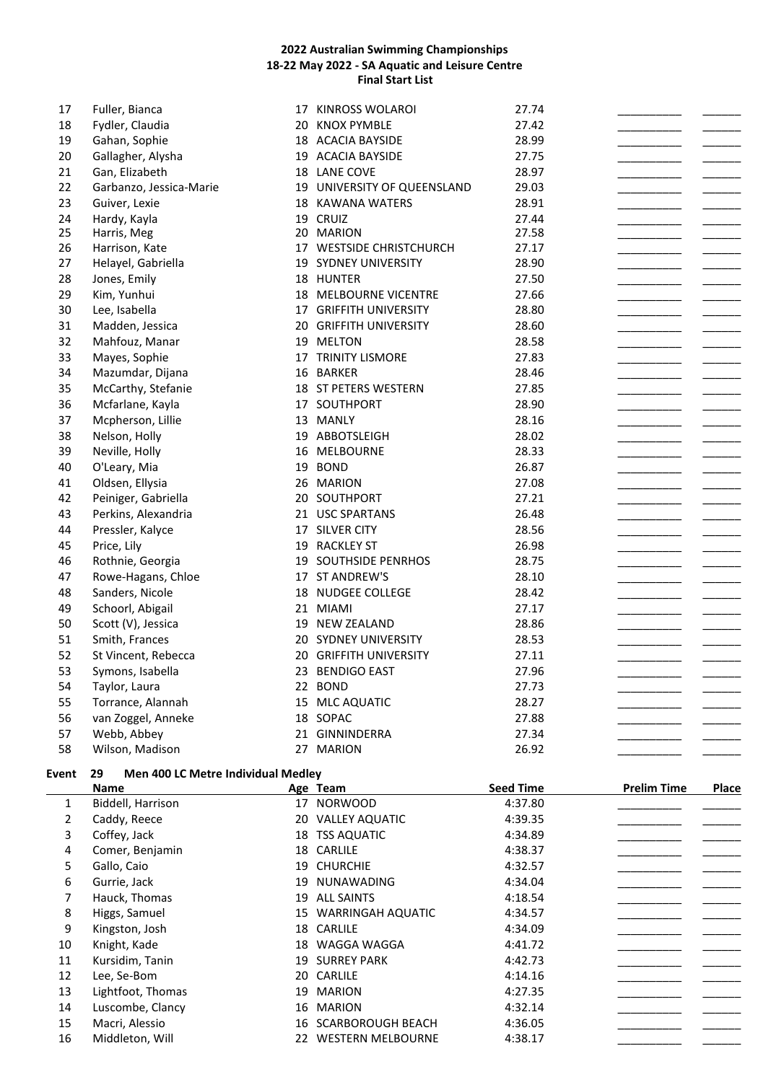| 17 | Fuller, Bianca          | 17 KINROSS WOLAROI            | 27.74 |  |
|----|-------------------------|-------------------------------|-------|--|
| 18 | Fydler, Claudia         | 20 KNOX PYMBLE                | 27.42 |  |
| 19 | Gahan, Sophie           | 18 ACACIA BAYSIDE             | 28.99 |  |
| 20 | Gallagher, Alysha       | 19 ACACIA BAYSIDE             | 27.75 |  |
| 21 | Gan, Elizabeth          | 18 LANE COVE                  | 28.97 |  |
| 22 | Garbanzo, Jessica-Marie | 19 UNIVERSITY OF QUEENSLAND   | 29.03 |  |
| 23 | Guiver, Lexie           | 18 KAWANA WATERS              | 28.91 |  |
| 24 | Hardy, Kayla            | 19 CRUIZ                      | 27.44 |  |
| 25 | Harris, Meg             | 20 MARION                     | 27.58 |  |
| 26 | Harrison, Kate          | 17 WESTSIDE CHRISTCHURCH      | 27.17 |  |
| 27 | Helayel, Gabriella      | 19 SYDNEY UNIVERSITY          | 28.90 |  |
| 28 | Jones, Emily            | 18 HUNTER                     | 27.50 |  |
| 29 | Kim, Yunhui             | 18 MELBOURNE VICENTRE         | 27.66 |  |
| 30 | Lee, Isabella           | 17 GRIFFITH UNIVERSITY        | 28.80 |  |
| 31 | Madden, Jessica         | 20 GRIFFITH UNIVERSITY        | 28.60 |  |
| 32 | Mahfouz, Manar          | 19 MELTON                     | 28.58 |  |
| 33 | Mayes, Sophie           | <b>17 TRINITY LISMORE</b>     | 27.83 |  |
| 34 | Mazumdar, Dijana        | 16 BARKER                     | 28.46 |  |
| 35 | McCarthy, Stefanie      | 18 ST PETERS WESTERN          | 27.85 |  |
| 36 | Mcfarlane, Kayla        | 17 SOUTHPORT                  | 28.90 |  |
| 37 | Mcpherson, Lillie       | 13 MANLY                      | 28.16 |  |
| 38 | Nelson, Holly           | 19 ABBOTSLEIGH                | 28.02 |  |
| 39 | Neville, Holly          | 16 MELBOURNE                  | 28.33 |  |
| 40 | O'Leary, Mia            | 19 BOND                       | 26.87 |  |
| 41 | Oldsen, Ellysia         | 26 MARION                     | 27.08 |  |
| 42 | Peiniger, Gabriella     | 20 SOUTHPORT                  | 27.21 |  |
| 43 | Perkins, Alexandria     | 21 USC SPARTANS               | 26.48 |  |
| 44 | Pressler, Kalyce        | 17 SILVER CITY                | 28.56 |  |
| 45 | Price, Lily             | 19 RACKLEY ST                 | 26.98 |  |
| 46 | Rothnie, Georgia        | 19 SOUTHSIDE PENRHOS          | 28.75 |  |
| 47 | Rowe-Hagans, Chloe      | 17 ST ANDREW'S                | 28.10 |  |
| 48 | Sanders, Nicole         | 18 NUDGEE COLLEGE             | 28.42 |  |
| 49 | Schoorl, Abigail        | 21 MIAMI                      | 27.17 |  |
| 50 | Scott (V), Jessica      | 19 NEW ZEALAND                | 28.86 |  |
| 51 | Smith, Frances          | <b>20 SYDNEY UNIVERSITY</b>   | 28.53 |  |
| 52 | St Vincent, Rebecca     | <b>20 GRIFFITH UNIVERSITY</b> | 27.11 |  |
| 53 | Symons, Isabella        | 23 BENDIGO EAST               | 27.96 |  |
| 54 | Taylor, Laura           | 22 BOND                       | 27.73 |  |
| 55 | Torrance, Alannah       | 15 MLC AQUATIC                | 28.27 |  |
| 56 | van Zoggel, Anneke      | 18 SOPAC                      | 27.88 |  |
| 57 | Webb, Abbey             | 21 GINNINDERRA                | 27.34 |  |
| 58 | Wilson, Madison         | 27 MARION                     | 26.92 |  |
|    |                         |                               |       |  |

# **Event 29 Men 400 LC Metre Individual Medley**

|    | Name              |    | Age Team              | <b>Seed Time</b> | <b>Prelim Time</b> | Place |
|----|-------------------|----|-----------------------|------------------|--------------------|-------|
| 1  | Biddell, Harrison |    | 17 NORWOOD            | 4:37.80          |                    |       |
| 2  | Caddy, Reece      |    | 20 VALLEY AQUATIC     | 4:39.35          |                    |       |
| 3  | Coffey, Jack      |    | 18 TSS AQUATIC        | 4:34.89          |                    |       |
| 4  | Comer, Benjamin   |    | 18 CARLILE            | 4:38.37          |                    |       |
| 5  | Gallo, Caio       |    | 19 CHURCHIE           | 4:32.57          |                    |       |
| 6  | Gurrie, Jack      |    | 19 NUNAWADING         | 4:34.04          |                    |       |
| 7  | Hauck, Thomas     | 19 | <b>ALL SAINTS</b>     | 4:18.54          |                    |       |
| 8  | Higgs, Samuel     |    | 15 WARRINGAH AQUATIC  | 4:34.57          |                    |       |
| 9  | Kingston, Josh    |    | 18 CARLILE            | 4:34.09          |                    |       |
| 10 | Knight, Kade      |    | 18 WAGGA WAGGA        | 4:41.72          |                    |       |
| 11 | Kursidim, Tanin   |    | <b>19 SURREY PARK</b> | 4:42.73          |                    |       |
| 12 | Lee, Se-Bom       |    | 20 CARLILE            | 4:14.16          |                    |       |
| 13 | Lightfoot, Thomas | 19 | MARION                | 4:27.35          |                    |       |
| 14 | Luscombe, Clancy  | 16 | <b>MARION</b>         | 4:32.14          |                    |       |
| 15 | Macri, Alessio    |    | 16 SCARBOROUGH BEACH  | 4:36.05          |                    |       |
| 16 | Middleton, Will   |    | 22 WESTERN MELBOURNE  | 4:38.17          |                    |       |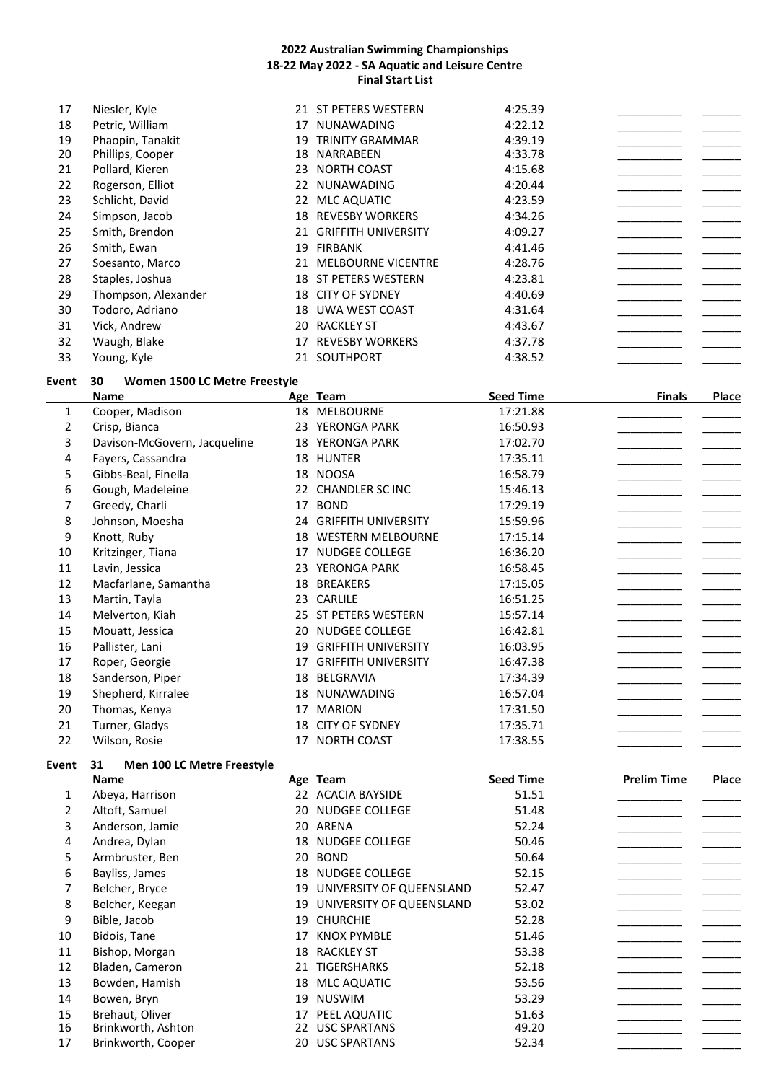| 17 | Niesler, Kyle       | 21 | ST PETERS WESTERN          | 4:25.39 |  |
|----|---------------------|----|----------------------------|---------|--|
| 18 | Petric, William     | 17 | <b>NUNAWADING</b>          | 4:22.12 |  |
| 19 | Phaopin, Tanakit    | 19 | <b>TRINITY GRAMMAR</b>     | 4:39.19 |  |
| 20 | Phillips, Cooper    | 18 | NARRABEEN                  | 4:33.78 |  |
| 21 | Pollard, Kieren     | 23 | NORTH COAST                | 4:15.68 |  |
| 22 | Rogerson, Elliot    | 22 | NUNAWADING                 | 4:20.44 |  |
| 23 | Schlicht, David     | 22 | <b>MLC AQUATIC</b>         | 4:23.59 |  |
| 24 | Simpson, Jacob      | 18 | <b>REVESBY WORKERS</b>     | 4:34.26 |  |
| 25 | Smith, Brendon      | 21 | <b>GRIFFITH UNIVERSITY</b> | 4:09.27 |  |
| 26 | Smith, Ewan         | 19 | FIRBANK                    | 4:41.46 |  |
| 27 | Soesanto, Marco     | 21 | <b>MELBOURNE VICENTRE</b>  | 4:28.76 |  |
| 28 | Staples, Joshua     | 18 | ST PETERS WESTERN          | 4:23.81 |  |
| 29 | Thompson, Alexander | 18 | <b>CITY OF SYDNEY</b>      | 4:40.69 |  |
| 30 | Todoro, Adriano     | 18 | UWA WEST COAST             | 4:31.64 |  |
| 31 | Vick, Andrew        | 20 | <b>RACKLEY ST</b>          | 4:43.67 |  |
| 32 | Waugh, Blake        | 17 | <b>REVESBY WORKERS</b>     | 4:37.78 |  |
| 33 | Young, Kyle         | 21 | SOUTHPORT                  | 4:38.52 |  |

### **Event 30 Women 1500 LC Metre Freestyle**

|    | Name                         |    | Age Team                   | <b>Seed Time</b> | <b>Finals</b> | Place |
|----|------------------------------|----|----------------------------|------------------|---------------|-------|
| 1  | Cooper, Madison              |    | 18 MELBOURNE               | 17:21.88         |               |       |
| 2  | Crisp, Bianca                | 23 | YERONGA PARK               | 16:50.93         |               |       |
| 3  | Davison-McGovern, Jacqueline |    | 18 YERONGA PARK            | 17:02.70         |               |       |
| 4  | Fayers, Cassandra            |    | 18 HUNTER                  | 17:35.11         |               |       |
| 5  | Gibbs-Beal, Finella          |    | 18 NOOSA                   | 16:58.79         |               |       |
| 6  | Gough, Madeleine             |    | 22 CHANDLER SC INC         | 15:46.13         |               |       |
| 7  | Greedy, Charli               | 17 | <b>BOND</b>                | 17:29.19         |               |       |
| 8  | Johnson, Moesha              |    | 24 GRIFFITH UNIVERSITY     | 15:59.96         |               |       |
| 9  | Knott, Ruby                  | 18 | <b>WESTERN MELBOURNE</b>   | 17:15.14         |               |       |
| 10 | Kritzinger, Tiana            | 17 | <b>NUDGEE COLLEGE</b>      | 16:36.20         |               |       |
| 11 | Lavin, Jessica               |    | 23 YERONGA PARK            | 16:58.45         |               |       |
| 12 | Macfarlane, Samantha         | 18 | <b>BREAKERS</b>            | 17:15.05         |               |       |
| 13 | Martin, Tayla                | 23 | CARLILE                    | 16:51.25         |               |       |
| 14 | Melverton, Kiah              |    | 25 ST PETERS WESTERN       | 15:57.14         |               |       |
| 15 | Mouatt, Jessica              | 20 | <b>NUDGEE COLLEGE</b>      | 16:42.81         |               |       |
| 16 | Pallister, Lani              | 19 | <b>GRIFFITH UNIVERSITY</b> | 16:03.95         |               |       |
| 17 | Roper, Georgie               | 17 | <b>GRIFFITH UNIVERSITY</b> | 16:47.38         |               |       |
| 18 | Sanderson, Piper             | 18 | BELGRAVIA                  | 17:34.39         |               |       |
| 19 | Shepherd, Kirralee           | 18 | NUNAWADING                 | 16:57.04         |               |       |
| 20 | Thomas, Kenya                | 17 | <b>MARION</b>              | 17:31.50         |               |       |
| 21 | Turner, Gladys               | 18 | <b>CITY OF SYDNEY</b>      | 17:35.71         |               |       |
| 22 | Wilson, Rosie                | 17 | <b>NORTH COAST</b>         | 17:38.55         |               |       |

### **Event 31 Men 100 LC Metre Freestyle**

|    | Name               |    | Age Team                    | <b>Seed Time</b> | <b>Prelim Time</b> | Place |
|----|--------------------|----|-----------------------------|------------------|--------------------|-------|
| 1  | Abeya, Harrison    |    | 22 ACACIA BAYSIDE           | 51.51            |                    |       |
| 2  | Altoft, Samuel     |    | 20 NUDGEE COLLEGE           | 51.48            |                    |       |
| 3  | Anderson, Jamie    |    | 20 ARENA                    | 52.24            |                    |       |
| 4  | Andrea, Dylan      |    | 18 NUDGEE COLLEGE           | 50.46            |                    |       |
| 5  | Armbruster, Ben    | 20 | <b>BOND</b>                 | 50.64            |                    |       |
| 6  | Bayliss, James     | 18 | NUDGEE COLLEGE              | 52.15            |                    |       |
|    | Belcher, Bryce     |    | 19 UNIVERSITY OF QUEENSLAND | 52.47            |                    |       |
| 8  | Belcher, Keegan    | 19 | UNIVERSITY OF QUEENSLAND    | 53.02            |                    |       |
| 9  | Bible, Jacob       |    | 19 CHURCHIE                 | 52.28            |                    |       |
| 10 | Bidois, Tane       | 17 | <b>KNOX PYMBLE</b>          | 51.46            |                    |       |
| 11 | Bishop, Morgan     |    | 18 RACKLEY ST               | 53.38            |                    |       |
| 12 | Bladen, Cameron    | 21 | TIGERSHARKS                 | 52.18            |                    |       |
| 13 | Bowden, Hamish     | 18 | <b>MLC AQUATIC</b>          | 53.56            |                    |       |
| 14 | Bowen, Bryn        | 19 | <b>NUSWIM</b>               | 53.29            |                    |       |
| 15 | Brehaut, Oliver    | 17 | PEEL AQUATIC                | 51.63            |                    |       |
| 16 | Brinkworth, Ashton | 22 | <b>USC SPARTANS</b>         | 49.20            |                    |       |
| 17 | Brinkworth, Cooper | 20 | <b>USC SPARTANS</b>         | 52.34            |                    |       |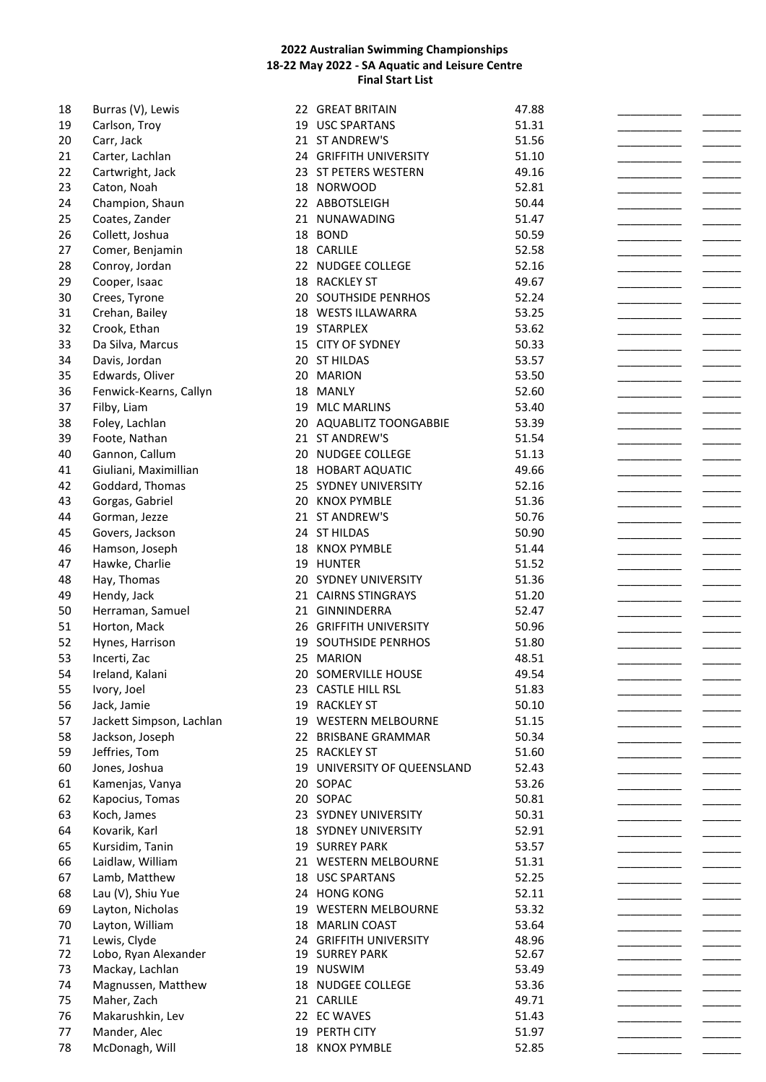| 18 | Burras (V), Lewis        | 22 GREAT BRITAIN            | 47.88 |  |
|----|--------------------------|-----------------------------|-------|--|
| 19 | Carlson, Troy            | 19 USC SPARTANS             | 51.31 |  |
| 20 | Carr, Jack               | 21 ST ANDREW'S              | 51.56 |  |
| 21 | Carter, Lachlan          | 24 GRIFFITH UNIVERSITY      | 51.10 |  |
| 22 | Cartwright, Jack         | 23 ST PETERS WESTERN        | 49.16 |  |
| 23 | Caton, Noah              | 18 NORWOOD                  | 52.81 |  |
| 24 | Champion, Shaun          | 22 ABBOTSLEIGH              | 50.44 |  |
| 25 |                          | 21 NUNAWADING               | 51.47 |  |
|    | Coates, Zander           |                             |       |  |
| 26 | Collett, Joshua          | 18 BOND                     | 50.59 |  |
| 27 | Comer, Benjamin          | 18 CARLILE                  | 52.58 |  |
| 28 | Conroy, Jordan           | 22 NUDGEE COLLEGE           | 52.16 |  |
| 29 | Cooper, Isaac            | 18 RACKLEY ST               | 49.67 |  |
| 30 | Crees, Tyrone            | 20 SOUTHSIDE PENRHOS        | 52.24 |  |
| 31 | Crehan, Bailey           | 18 WESTS ILLAWARRA          | 53.25 |  |
| 32 | Crook, Ethan             | 19 STARPLEX                 | 53.62 |  |
| 33 | Da Silva, Marcus         | 15 CITY OF SYDNEY           | 50.33 |  |
| 34 | Davis, Jordan            | 20 ST HILDAS                | 53.57 |  |
| 35 | Edwards, Oliver          | 20 MARION                   | 53.50 |  |
| 36 |                          | 18 MANLY                    | 52.60 |  |
|    | Fenwick-Kearns, Callyn   |                             |       |  |
| 37 | Filby, Liam              | 19 MLC MARLINS              | 53.40 |  |
| 38 | Foley, Lachlan           | 20 AQUABLITZ TOONGABBIE     | 53.39 |  |
| 39 | Foote, Nathan            | 21 ST ANDREW'S              | 51.54 |  |
| 40 | Gannon, Callum           | 20 NUDGEE COLLEGE           | 51.13 |  |
| 41 | Giuliani, Maximillian    | 18 HOBART AQUATIC           | 49.66 |  |
| 42 | Goddard, Thomas          | 25 SYDNEY UNIVERSITY        | 52.16 |  |
| 43 | Gorgas, Gabriel          | 20 KNOX PYMBLE              | 51.36 |  |
| 44 | Gorman, Jezze            | 21 ST ANDREW'S              | 50.76 |  |
| 45 | Govers, Jackson          | 24 ST HILDAS                | 50.90 |  |
| 46 | Hamson, Joseph           | 18 KNOX PYMBLE              | 51.44 |  |
| 47 | Hawke, Charlie           | 19 HUNTER                   | 51.52 |  |
|    |                          |                             |       |  |
| 48 | Hay, Thomas              | 20 SYDNEY UNIVERSITY        | 51.36 |  |
| 49 | Hendy, Jack              | 21 CAIRNS STINGRAYS         | 51.20 |  |
| 50 | Herraman, Samuel         | 21 GINNINDERRA              | 52.47 |  |
| 51 | Horton, Mack             | 26 GRIFFITH UNIVERSITY      | 50.96 |  |
| 52 | Hynes, Harrison          | 19 SOUTHSIDE PENRHOS        | 51.80 |  |
| 53 | Incerti, Zac             | 25 MARION                   | 48.51 |  |
| 54 | Ireland, Kalani          | 20 SOMERVILLE HOUSE         | 49.54 |  |
| 55 | Ivory, Joel              | 23 CASTLE HILL RSL          | 51.83 |  |
| 56 | Jack, Jamie              | 19 RACKLEY ST               | 50.10 |  |
| 57 | Jackett Simpson, Lachlan | 19 WESTERN MELBOURNE        | 51.15 |  |
| 58 | Jackson, Joseph          | 22 BRISBANE GRAMMAR         | 50.34 |  |
| 59 | Jeffries, Tom            | 25 RACKLEY ST               | 51.60 |  |
|    |                          |                             |       |  |
| 60 | Jones, Joshua            | 19 UNIVERSITY OF QUEENSLAND | 52.43 |  |
| 61 | Kamenjas, Vanya          | 20 SOPAC                    | 53.26 |  |
| 62 | Kapocius, Tomas          | 20 SOPAC                    | 50.81 |  |
| 63 | Koch, James              | 23 SYDNEY UNIVERSITY        | 50.31 |  |
| 64 | Kovarik, Karl            | <b>18 SYDNEY UNIVERSITY</b> | 52.91 |  |
| 65 | Kursidim, Tanin          | <b>19 SURREY PARK</b>       | 53.57 |  |
| 66 | Laidlaw, William         | 21 WESTERN MELBOURNE        | 51.31 |  |
| 67 | Lamb, Matthew            | 18 USC SPARTANS             | 52.25 |  |
| 68 | Lau (V), Shiu Yue        | 24 HONG KONG                | 52.11 |  |
| 69 | Layton, Nicholas         | 19 WESTERN MELBOURNE        | 53.32 |  |
| 70 | Layton, William          | 18 MARLIN COAST             | 53.64 |  |
| 71 | Lewis, Clyde             | 24 GRIFFITH UNIVERSITY      | 48.96 |  |
| 72 | Lobo, Ryan Alexander     | 19 SURREY PARK              | 52.67 |  |
| 73 | Mackay, Lachlan          | 19 NUSWIM                   | 53.49 |  |
| 74 | Magnussen, Matthew       | 18 NUDGEE COLLEGE           | 53.36 |  |
|    |                          |                             |       |  |
| 75 | Maher, Zach              | 21 CARLILE                  | 49.71 |  |
| 76 | Makarushkin, Lev         | 22 EC WAVES                 | 51.43 |  |
| 77 | Mander, Alec             | 19 PERTH CITY               | 51.97 |  |
| 78 | McDonagh, Will           | 18 KNOX PYMBLE              | 52.85 |  |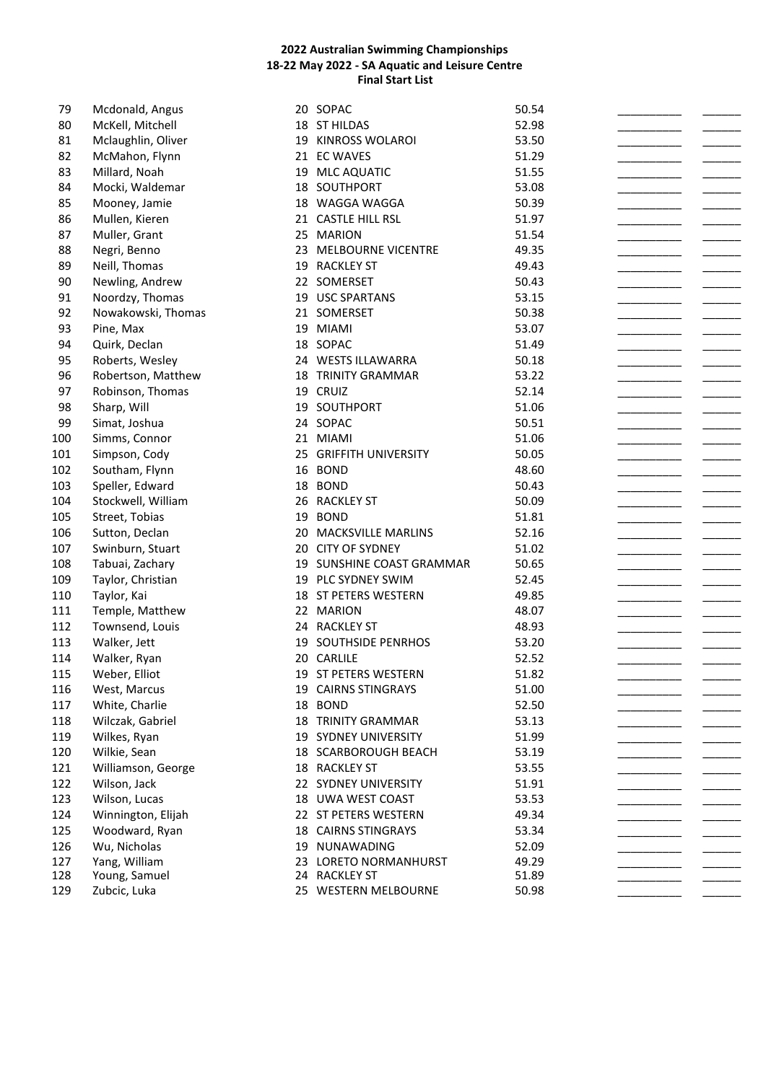| 79  | Mcdonald, Angus    |    | 20 SOPAC                   | 50.54 |  |
|-----|--------------------|----|----------------------------|-------|--|
| 80  | McKell, Mitchell   |    | 18 ST HILDAS               | 52.98 |  |
| 81  | Mclaughlin, Oliver |    | 19 KINROSS WOLAROI         | 53.50 |  |
| 82  | McMahon, Flynn     |    | 21 EC WAVES                | 51.29 |  |
| 83  | Millard, Noah      |    | 19 MLC AQUATIC             | 51.55 |  |
| 84  | Mocki, Waldemar    |    | 18 SOUTHPORT               | 53.08 |  |
| 85  | Mooney, Jamie      |    | 18 WAGGA WAGGA             | 50.39 |  |
| 86  | Mullen, Kieren     |    | 21 CASTLE HILL RSL         | 51.97 |  |
| 87  | Muller, Grant      |    | 25 MARION                  | 51.54 |  |
| 88  | Negri, Benno       |    | 23 MELBOURNE VICENTRE      | 49.35 |  |
| 89  | Neill, Thomas      | 19 | <b>RACKLEY ST</b>          | 49.43 |  |
| 90  | Newling, Andrew    |    | 22 SOMERSET                | 50.43 |  |
| 91  | Noordzy, Thomas    |    | 19 USC SPARTANS            | 53.15 |  |
| 92  | Nowakowski, Thomas |    | 21 SOMERSET                | 50.38 |  |
| 93  | Pine, Max          |    | 19 MIAMI                   | 53.07 |  |
| 94  | Quirk, Declan      |    | 18 SOPAC                   | 51.49 |  |
| 95  | Roberts, Wesley    |    | 24 WESTS ILLAWARRA         | 50.18 |  |
| 96  | Robertson, Matthew |    | <b>18 TRINITY GRAMMAR</b>  | 53.22 |  |
| 97  | Robinson, Thomas   |    | 19 CRUIZ                   | 52.14 |  |
| 98  | Sharp, Will        |    | 19 SOUTHPORT               | 51.06 |  |
| 99  | Simat, Joshua      |    | 24 SOPAC                   | 50.51 |  |
|     |                    |    | 21 MIAMI                   | 51.06 |  |
| 100 | Simms, Connor      |    | 25 GRIFFITH UNIVERSITY     |       |  |
| 101 | Simpson, Cody      |    |                            | 50.05 |  |
| 102 | Southam, Flynn     |    | 16 BOND                    | 48.60 |  |
| 103 | Speller, Edward    |    | 18 BOND                    | 50.43 |  |
| 104 | Stockwell, William |    | 26 RACKLEY ST              | 50.09 |  |
| 105 | Street, Tobias     |    | 19 BOND                    | 51.81 |  |
| 106 | Sutton, Declan     |    | 20 MACKSVILLE MARLINS      | 52.16 |  |
| 107 | Swinburn, Stuart   |    | 20 CITY OF SYDNEY          | 51.02 |  |
| 108 | Tabuai, Zachary    |    | 19 SUNSHINE COAST GRAMMAR  | 50.65 |  |
| 109 | Taylor, Christian  |    | 19 PLC SYDNEY SWIM         | 52.45 |  |
| 110 | Taylor, Kai        |    | 18 ST PETERS WESTERN       | 49.85 |  |
| 111 | Temple, Matthew    |    | 22 MARION                  | 48.07 |  |
| 112 | Townsend, Louis    |    | 24 RACKLEY ST              | 48.93 |  |
| 113 | Walker, Jett       |    | 19 SOUTHSIDE PENRHOS       | 53.20 |  |
| 114 | Walker, Ryan       |    | 20 CARLILE                 | 52.52 |  |
| 115 | Weber, Elliot      |    | 19 ST PETERS WESTERN       | 51.82 |  |
| 116 | West, Marcus       |    | 19 CAIRNS STINGRAYS        | 51.00 |  |
| 117 | White, Charlie     |    | 18 BOND                    | 52.50 |  |
| 118 | Wilczak, Gabriel   |    | <b>18 TRINITY GRAMMAR</b>  | 53.13 |  |
| 119 | Wilkes, Ryan       |    | 19 SYDNEY UNIVERSITY       | 51.99 |  |
| 120 | Wilkie, Sean       |    | 18 SCARBOROUGH BEACH       | 53.19 |  |
| 121 | Williamson, George |    | 18 RACKLEY ST              | 53.55 |  |
| 122 | Wilson, Jack       |    | 22 SYDNEY UNIVERSITY       | 51.91 |  |
| 123 | Wilson, Lucas      |    | 18 UWA WEST COAST          | 53.53 |  |
| 124 | Winnington, Elijah |    | 22 ST PETERS WESTERN       | 49.34 |  |
| 125 | Woodward, Ryan     |    | <b>18 CAIRNS STINGRAYS</b> | 53.34 |  |
| 126 | Wu, Nicholas       |    | 19 NUNAWADING              | 52.09 |  |
| 127 | Yang, William      |    | 23 LORETO NORMANHURST      | 49.29 |  |
| 128 | Young, Samuel      |    | 24 RACKLEY ST              | 51.89 |  |
| 129 | Zubcic, Luka       |    | 25 WESTERN MELBOURNE       | 50.98 |  |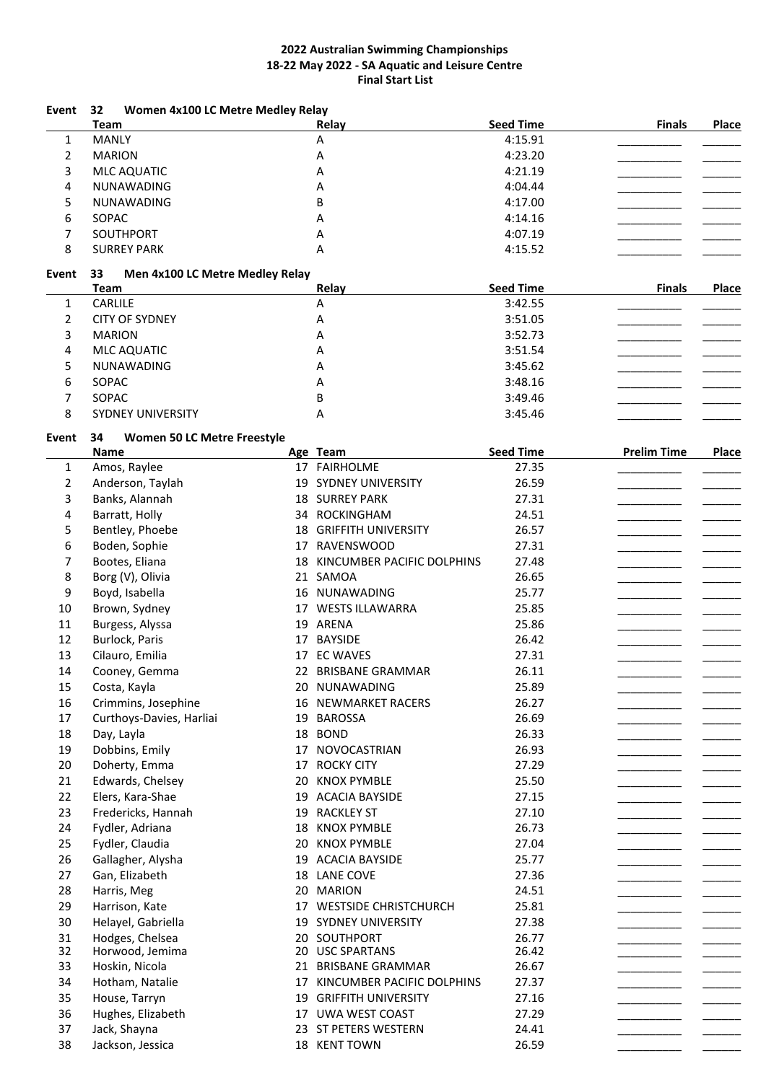| Event          | 32<br>Women 4x100 LC Metre Medley Relay<br><b>Team</b> |    | Relay                         | <b>Seed Time</b> | <b>Finals</b>      | Place |
|----------------|--------------------------------------------------------|----|-------------------------------|------------------|--------------------|-------|
| $\mathbf{1}$   | <b>MANLY</b>                                           |    | A                             | 4:15.91          |                    |       |
| 2              | <b>MARION</b>                                          |    | Α                             | 4:23.20          |                    |       |
| 3              | MLC AQUATIC                                            |    | Α                             | 4:21.19          |                    |       |
| 4              | NUNAWADING                                             |    | Α                             | 4:04.44          |                    |       |
| 5              | NUNAWADING                                             |    | B                             | 4:17.00          |                    |       |
|                |                                                        |    |                               |                  |                    |       |
| 6              | SOPAC                                                  |    | А                             | 4:14.16          |                    |       |
| 7              | SOUTHPORT                                              |    | А                             | 4:07.19          |                    |       |
| 8              | <b>SURREY PARK</b>                                     |    | Α                             | 4:15.52          |                    |       |
| Event          | 33<br>Men 4x100 LC Metre Medley Relay<br><b>Team</b>   |    | Relay                         | <b>Seed Time</b> | <b>Finals</b>      | Place |
| $\mathbf{1}$   | CARLILE                                                |    | А                             | 3:42.55          |                    |       |
| $\overline{2}$ | <b>CITY OF SYDNEY</b>                                  |    | А                             | 3:51.05          |                    |       |
| 3              | <b>MARION</b>                                          |    | Α                             | 3:52.73          |                    |       |
| 4              | MLC AQUATIC                                            |    | A                             | 3:51.54          |                    |       |
| 5              | NUNAWADING                                             |    | A                             | 3:45.62          |                    |       |
| 6              | SOPAC                                                  |    | А                             | 3:48.16          |                    |       |
| 7              | SOPAC                                                  |    | B                             | 3:49.46          |                    |       |
| 8              | <b>SYDNEY UNIVERSITY</b>                               |    | Α                             | 3:45.46          |                    |       |
|                |                                                        |    |                               |                  |                    |       |
| Event          | 34<br>Women 50 LC Metre Freestyle<br><b>Name</b>       |    | Age Team                      | <b>Seed Time</b> | <b>Prelim Time</b> | Place |
| $\mathbf{1}$   | Amos, Raylee                                           |    | 17 FAIRHOLME                  | 27.35            |                    |       |
| $\overline{2}$ | Anderson, Taylah                                       | 19 | SYDNEY UNIVERSITY             | 26.59            |                    |       |
| 3              | Banks, Alannah                                         |    | <b>18 SURREY PARK</b>         | 27.31            |                    |       |
| 4              | Barratt, Holly                                         |    | 34 ROCKINGHAM                 | 24.51            |                    |       |
|                |                                                        |    |                               |                  |                    |       |
| 5              | Bentley, Phoebe                                        |    | <b>18 GRIFFITH UNIVERSITY</b> | 26.57            |                    |       |
| 6              | Boden, Sophie                                          |    | 17 RAVENSWOOD                 | 27.31            |                    |       |
| 7              | Bootes, Eliana                                         | 18 | KINCUMBER PACIFIC DOLPHINS    | 27.48            |                    |       |
| 8              | Borg (V), Olivia                                       |    | 21 SAMOA                      | 26.65            |                    |       |
| 9              | Boyd, Isabella                                         | 16 | NUNAWADING                    | 25.77            |                    |       |
| 10             | Brown, Sydney                                          |    | 17 WESTS ILLAWARRA            | 25.85            |                    |       |
| 11             | Burgess, Alyssa                                        |    | 19 ARENA                      | 25.86            |                    |       |
| 12             | Burlock, Paris                                         | 17 | <b>BAYSIDE</b>                | 26.42            |                    |       |
| 13             | Cilauro, Emilia                                        |    | 17 EC WAVES                   | 27.31            |                    |       |
| 14             | Cooney, Gemma                                          |    | 22 BRISBANE GRAMMAR           | 26.11            |                    |       |
| 15             | Costa, Kayla                                           | 20 | NUNAWADING                    | 25.89            |                    |       |
| 16             | Crimmins, Josephine                                    | 16 | <b>NEWMARKET RACERS</b>       | 26.27            |                    |       |
| 17             | Curthoys-Davies, Harliai                               | 19 | <b>BAROSSA</b>                | 26.69            |                    |       |
| 18             | Day, Layla                                             | 18 | <b>BOND</b>                   | 26.33            |                    |       |
| 19             | Dobbins, Emily                                         | 17 | NOVOCASTRIAN                  | 26.93            |                    |       |
| 20             | Doherty, Emma                                          | 17 | <b>ROCKY CITY</b>             | 27.29            |                    |       |
| 21             | Edwards, Chelsey                                       | 20 | <b>KNOX PYMBLE</b>            | 25.50            |                    |       |
| 22             | Elers, Kara-Shae                                       |    | 19 ACACIA BAYSIDE             | 27.15            |                    |       |
| 23             | Fredericks, Hannah                                     | 19 | <b>RACKLEY ST</b>             | 27.10            |                    |       |
| 24             | Fydler, Adriana                                        | 18 | <b>KNOX PYMBLE</b>            | 26.73            |                    |       |
|                |                                                        |    |                               |                  |                    |       |
| 25             | Fydler, Claudia                                        | 20 | <b>KNOX PYMBLE</b>            | 27.04            |                    |       |
| 26             | Gallagher, Alysha                                      |    | 19 ACACIA BAYSIDE             | 25.77            |                    |       |
| 27             | Gan, Elizabeth                                         |    | 18 LANE COVE                  | 27.36            |                    |       |
| 28             | Harris, Meg                                            |    | 20 MARION                     | 24.51            |                    |       |
| 29             | Harrison, Kate                                         |    | 17 WESTSIDE CHRISTCHURCH      | 25.81            |                    |       |
| 30             | Helayel, Gabriella                                     |    | 19 SYDNEY UNIVERSITY          | 27.38            |                    |       |
| 31             | Hodges, Chelsea                                        |    | 20 SOUTHPORT                  | 26.77            |                    |       |
| 32             | Horwood, Jemima                                        |    | 20 USC SPARTANS               | 26.42            |                    |       |
| 33             | Hoskin, Nicola                                         |    | 21 BRISBANE GRAMMAR           | 26.67            |                    |       |
| 34             | Hotham, Natalie                                        |    | 17 KINCUMBER PACIFIC DOLPHINS | 27.37            |                    |       |
| 35             | House, Tarryn                                          |    | 19 GRIFFITH UNIVERSITY        | 27.16            |                    |       |
| 36             | Hughes, Elizabeth                                      |    | 17 UWA WEST COAST             | 27.29            |                    |       |
| 37             | Jack, Shayna                                           |    | 23 ST PETERS WESTERN          | 24.41            |                    |       |
| 38             | Jackson, Jessica                                       |    | 18 KENT TOWN                  | 26.59            |                    |       |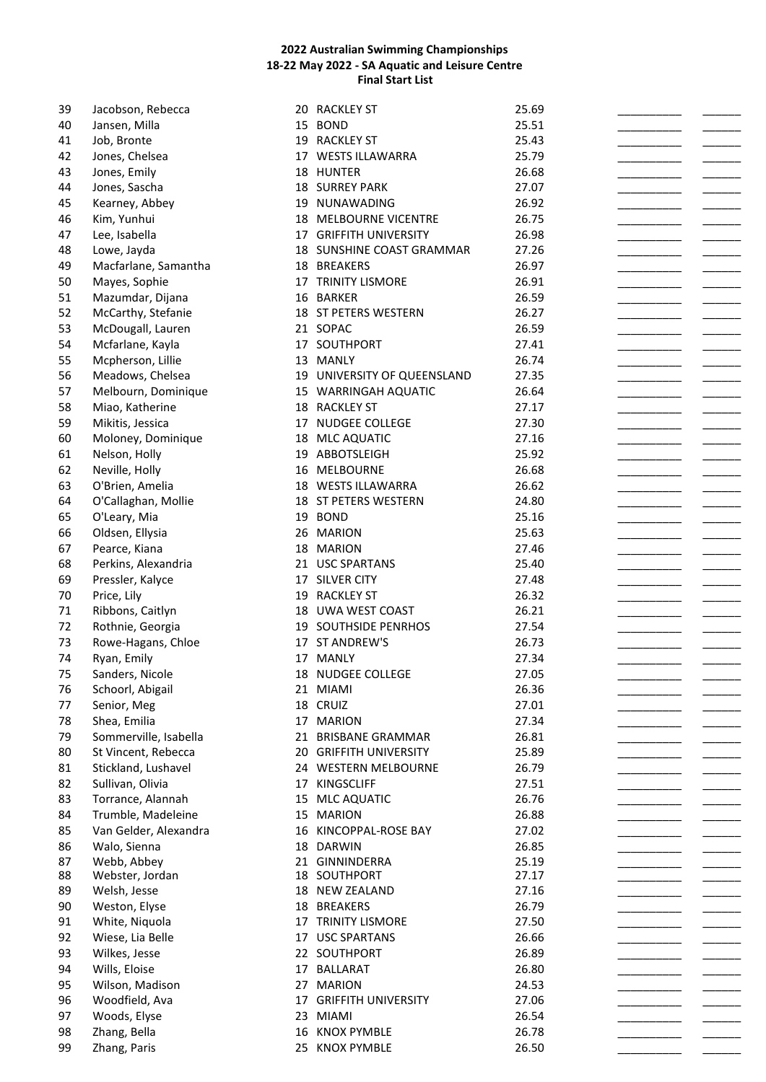| 39 | Jacobson, Rebecca                  |     | 20 RACKLEY ST               | 25.69 |  |
|----|------------------------------------|-----|-----------------------------|-------|--|
| 40 | Jansen, Milla                      |     | 15 BOND                     | 25.51 |  |
| 41 | Job, Bronte                        |     | 19 RACKLEY ST               | 25.43 |  |
| 42 | Jones, Chelsea                     |     | 17 WESTS ILLAWARRA          | 25.79 |  |
| 43 | Jones, Emily                       |     | 18 HUNTER                   | 26.68 |  |
| 44 | Jones, Sascha                      |     | <b>18 SURREY PARK</b>       | 27.07 |  |
| 45 | Kearney, Abbey                     |     | 19 NUNAWADING               | 26.92 |  |
| 46 | Kim, Yunhui                        |     | 18 MELBOURNE VICENTRE       | 26.75 |  |
| 47 | Lee, Isabella                      |     | 17 GRIFFITH UNIVERSITY      | 26.98 |  |
| 48 | Lowe, Jayda                        |     | 18 SUNSHINE COAST GRAMMAR   | 27.26 |  |
| 49 | Macfarlane, Samantha               |     | 18 BREAKERS                 | 26.97 |  |
| 50 | Mayes, Sophie                      |     | 17 TRINITY LISMORE          | 26.91 |  |
|    |                                    |     | <b>BARKER</b>               | 26.59 |  |
| 51 | Mazumdar, Dijana                   | 16  |                             |       |  |
| 52 | McCarthy, Stefanie                 |     | 18 ST PETERS WESTERN        | 26.27 |  |
| 53 | McDougall, Lauren                  |     | 21 SOPAC                    | 26.59 |  |
| 54 | Mcfarlane, Kayla                   |     | 17 SOUTHPORT                | 27.41 |  |
| 55 | Mcpherson, Lillie                  |     | 13 MANLY                    | 26.74 |  |
| 56 | Meadows, Chelsea                   |     | 19 UNIVERSITY OF QUEENSLAND | 27.35 |  |
| 57 | Melbourn, Dominique                |     | 15 WARRINGAH AQUATIC        | 26.64 |  |
| 58 | Miao, Katherine                    |     | 18 RACKLEY ST               | 27.17 |  |
| 59 | Mikitis, Jessica                   |     | 17 NUDGEE COLLEGE           | 27.30 |  |
| 60 | Moloney, Dominique                 |     | 18 MLC AQUATIC              | 27.16 |  |
| 61 | Nelson, Holly                      |     | 19 ABBOTSLEIGH              | 25.92 |  |
| 62 | Neville, Holly                     |     | 16 MELBOURNE                | 26.68 |  |
| 63 | O'Brien, Amelia                    |     | 18 WESTS ILLAWARRA          | 26.62 |  |
| 64 | O'Callaghan, Mollie                |     | 18 ST PETERS WESTERN        | 24.80 |  |
| 65 | O'Leary, Mia                       |     | 19 BOND                     | 25.16 |  |
| 66 | Oldsen, Ellysia                    |     | 26 MARION                   | 25.63 |  |
| 67 | Pearce, Kiana                      |     | 18 MARION                   | 27.46 |  |
| 68 | Perkins, Alexandria                |     | 21 USC SPARTANS             | 25.40 |  |
| 69 | Pressler, Kalyce                   |     | 17 SILVER CITY              | 27.48 |  |
| 70 |                                    | 19  | <b>RACKLEY ST</b>           | 26.32 |  |
|    | Price, Lily                        |     |                             |       |  |
| 71 | Ribbons, Caitlyn                   |     | 18 UWA WEST COAST           | 26.21 |  |
| 72 | Rothnie, Georgia                   |     | 19 SOUTHSIDE PENRHOS        | 27.54 |  |
| 73 | Rowe-Hagans, Chloe                 |     | 17 ST ANDREW'S              | 26.73 |  |
| 74 | Ryan, Emily                        |     | 17 MANLY                    | 27.34 |  |
| 75 | Sanders, Nicole                    |     | 18 NUDGEE COLLEGE           | 27.05 |  |
| 76 | Schoorl, Abigail                   |     | 21 MIAMI                    | 26.36 |  |
| 77 | Senior, Meg                        |     | 18 CRUIZ                    | 27.01 |  |
| 78 | Shea, Emilia                       |     | 17 MARION                   | 27.34 |  |
| 79 | Sommerville, Isabella              |     | 21 BRISBANE GRAMMAR         | 26.81 |  |
| 80 | St Vincent, Rebecca                |     | 20 GRIFFITH UNIVERSITY      | 25.89 |  |
| 81 | Stickland, Lushavel                |     | 24 WESTERN MELBOURNE        | 26.79 |  |
| 82 | Sullivan, Olivia                   |     | 17 KINGSCLIFF               | 27.51 |  |
| 83 | Torrance, Alannah                  | 15  | <b>MLC AQUATIC</b>          | 26.76 |  |
| 84 | Trumble, Madeleine                 |     | 15 MARION                   | 26.88 |  |
| 85 | Van Gelder, Alexandra              | 16  | KINCOPPAL-ROSE BAY          | 27.02 |  |
| 86 | Walo, Sienna                       |     | 18 DARWIN                   | 26.85 |  |
| 87 | Webb, Abbey                        |     | 21 GINNINDERRA              | 25.19 |  |
| 88 | Webster, Jordan                    |     | 18 SOUTHPORT                | 27.17 |  |
| 89 | Welsh, Jesse                       |     | 18 NEW ZEALAND              | 27.16 |  |
| 90 | Weston, Elyse                      |     | 18 BREAKERS                 | 26.79 |  |
| 91 |                                    |     | 17 TRINITY LISMORE          | 27.50 |  |
| 92 | White, Niquola<br>Wiese, Lia Belle |     |                             | 26.66 |  |
|    |                                    |     | 17 USC SPARTANS             |       |  |
| 93 | Wilkes, Jesse                      |     | 22 SOUTHPORT                | 26.89 |  |
| 94 | Wills, Eloise                      | 17  | <b>BALLARAT</b>             | 26.80 |  |
| 95 | Wilson, Madison                    | 27  | <b>MARION</b>               | 24.53 |  |
| 96 | Woodfield, Ava                     |     | 17 GRIFFITH UNIVERSITY      | 27.06 |  |
| 97 | Woods, Elyse                       | 23. | MIAMI                       | 26.54 |  |
| 98 | Zhang, Bella                       | 16  | <b>KNOX PYMBLE</b>          | 26.78 |  |
| 99 | Zhang, Paris                       |     | 25 KNOX PYMBLE              | 26.50 |  |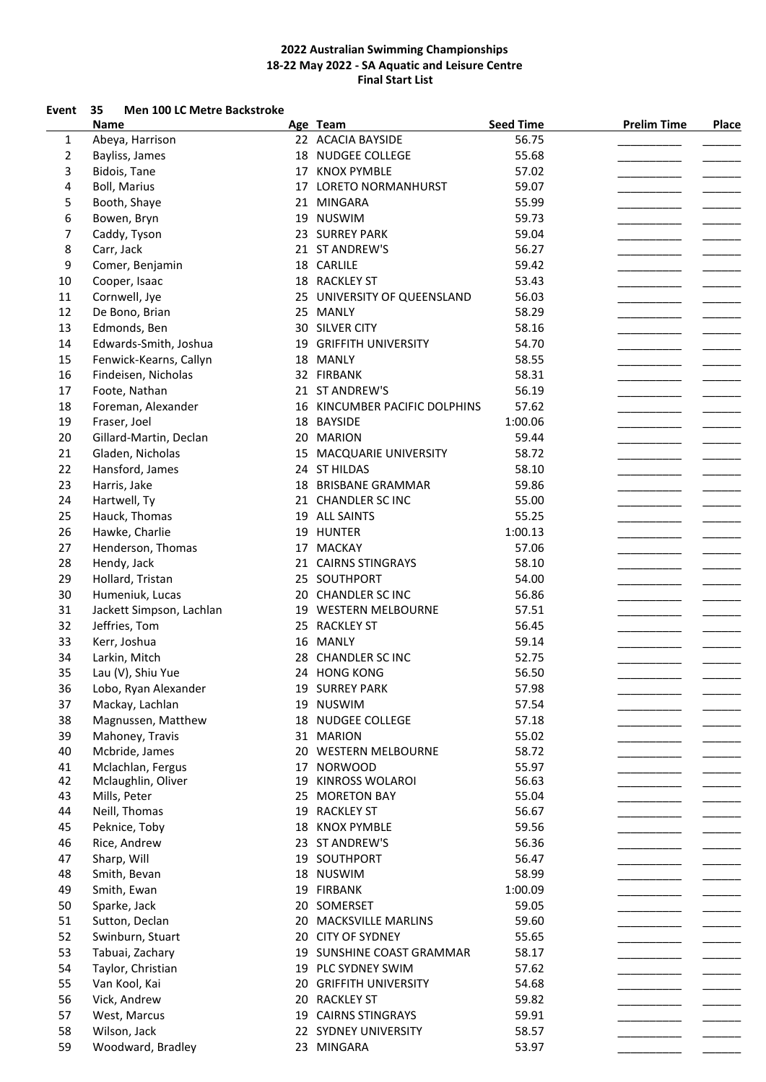### **Event 35 Men 100 LC Metre Backstroke**

|    | Name                     |    | Age Team                      | <b>Seed Time</b> | <b>Prelim Time</b> | Place |
|----|--------------------------|----|-------------------------------|------------------|--------------------|-------|
| 1  | Abeya, Harrison          |    | 22 ACACIA BAYSIDE             | 56.75            |                    |       |
| 2  | Bayliss, James           |    | 18 NUDGEE COLLEGE             | 55.68            |                    |       |
| 3  | Bidois, Tane             |    | 17 KNOX PYMBLE                | 57.02            |                    |       |
| 4  | <b>Boll, Marius</b>      |    | 17 LORETO NORMANHURST         | 59.07            |                    |       |
| 5  | Booth, Shaye             |    | 21 MINGARA                    | 55.99            |                    |       |
| 6  | Bowen, Bryn              |    | 19 NUSWIM                     | 59.73            |                    |       |
| 7  | Caddy, Tyson             |    | 23 SURREY PARK                | 59.04            |                    |       |
| 8  | Carr, Jack               |    | 21 ST ANDREW'S                | 56.27            |                    |       |
| 9  | Comer, Benjamin          |    | 18 CARLILE                    | 59.42            |                    |       |
| 10 |                          |    | 18 RACKLEY ST                 | 53.43            |                    |       |
|    | Cooper, Isaac            |    |                               |                  |                    |       |
| 11 | Cornwell, Jye            |    | 25 UNIVERSITY OF QUEENSLAND   | 56.03            |                    |       |
| 12 | De Bono, Brian           |    | 25 MANLY                      | 58.29            |                    |       |
| 13 | Edmonds, Ben             |    | 30 SILVER CITY                | 58.16            |                    |       |
| 14 | Edwards-Smith, Joshua    |    | 19 GRIFFITH UNIVERSITY        | 54.70            |                    |       |
| 15 | Fenwick-Kearns, Callyn   |    | 18 MANLY                      | 58.55            |                    |       |
| 16 | Findeisen, Nicholas      |    | 32 FIRBANK                    | 58.31            |                    |       |
| 17 | Foote, Nathan            |    | 21 ST ANDREW'S                | 56.19            |                    |       |
| 18 | Foreman, Alexander       |    | 16 KINCUMBER PACIFIC DOLPHINS | 57.62            |                    |       |
| 19 | Fraser, Joel             |    | 18 BAYSIDE                    | 1:00.06          |                    |       |
| 20 | Gillard-Martin, Declan   |    | 20 MARION                     | 59.44            |                    |       |
| 21 | Gladen, Nicholas         |    | 15 MACQUARIE UNIVERSITY       | 58.72            |                    |       |
| 22 | Hansford, James          |    | 24 ST HILDAS                  | 58.10            |                    |       |
| 23 | Harris, Jake             |    | 18 BRISBANE GRAMMAR           | 59.86            |                    |       |
| 24 | Hartwell, Ty             |    | 21 CHANDLER SC INC            | 55.00            |                    |       |
| 25 | Hauck, Thomas            |    | 19 ALL SAINTS                 | 55.25            |                    |       |
| 26 | Hawke, Charlie           |    | 19 HUNTER                     | 1:00.13          |                    |       |
| 27 | Henderson, Thomas        |    | 17 MACKAY                     | 57.06            |                    |       |
| 28 |                          |    |                               |                  |                    |       |
|    | Hendy, Jack              |    | 21 CAIRNS STINGRAYS           | 58.10            |                    |       |
| 29 | Hollard, Tristan         |    | 25 SOUTHPORT                  | 54.00            |                    |       |
| 30 | Humeniuk, Lucas          |    | 20 CHANDLER SC INC            | 56.86            |                    |       |
| 31 | Jackett Simpson, Lachlan |    | 19 WESTERN MELBOURNE          | 57.51            |                    |       |
| 32 | Jeffries, Tom            |    | 25 RACKLEY ST                 | 56.45            |                    |       |
| 33 | Kerr, Joshua             |    | 16 MANLY                      | 59.14            |                    |       |
| 34 | Larkin, Mitch            |    | 28 CHANDLER SC INC            | 52.75            |                    |       |
| 35 | Lau (V), Shiu Yue        |    | 24 HONG KONG                  | 56.50            |                    |       |
| 36 | Lobo, Ryan Alexander     |    | 19 SURREY PARK                | 57.98            |                    |       |
| 37 | Mackay, Lachlan          |    | 19 NUSWIM                     | 57.54            |                    |       |
| 38 | Magnussen, Matthew       |    | 18 NUDGEE COLLEGE             | 57.18            |                    |       |
| 39 | Mahoney, Travis          |    | 31 MARION                     | 55.02            |                    |       |
| 40 | Mcbride, James           |    | 20 WESTERN MELBOURNE          | 58.72            |                    |       |
| 41 | Mclachlan, Fergus        |    | 17 NORWOOD                    | 55.97            |                    |       |
| 42 | Mclaughlin, Oliver       | 19 | KINROSS WOLAROI               | 56.63            |                    |       |
| 43 | Mills, Peter             |    | 25 MORETON BAY                | 55.04            |                    |       |
| 44 | Neill, Thomas            |    | 19 RACKLEY ST                 | 56.67            |                    |       |
| 45 | Peknice, Toby            |    | 18 KNOX PYMBLE                | 59.56            |                    |       |
| 46 | Rice, Andrew             |    | 23 ST ANDREW'S                | 56.36            |                    |       |
| 47 | Sharp, Will              |    | 19 SOUTHPORT                  | 56.47            |                    |       |
| 48 | Smith, Bevan             |    | 18 NUSWIM                     | 58.99            |                    |       |
| 49 |                          |    |                               |                  |                    |       |
|    | Smith, Ewan              |    | 19 FIRBANK                    | 1:00.09          |                    |       |
| 50 | Sparke, Jack             |    | 20 SOMERSET                   | 59.05            |                    |       |
| 51 | Sutton, Declan           |    | 20 MACKSVILLE MARLINS         | 59.60            |                    |       |
| 52 | Swinburn, Stuart         |    | 20 CITY OF SYDNEY             | 55.65            |                    |       |
| 53 | Tabuai, Zachary          |    | 19 SUNSHINE COAST GRAMMAR     | 58.17            |                    |       |
| 54 | Taylor, Christian        |    | 19 PLC SYDNEY SWIM            | 57.62            |                    |       |
| 55 | Van Kool, Kai            |    | 20 GRIFFITH UNIVERSITY        | 54.68            |                    |       |
| 56 | Vick, Andrew             |    | 20 RACKLEY ST                 | 59.82            |                    |       |
| 57 | West, Marcus             |    | 19 CAIRNS STINGRAYS           | 59.91            |                    |       |
| 58 | Wilson, Jack             |    | 22 SYDNEY UNIVERSITY          | 58.57            |                    |       |
| 59 | Woodward, Bradley        |    | 23 MINGARA                    | 53.97            |                    |       |
|    |                          |    |                               |                  |                    |       |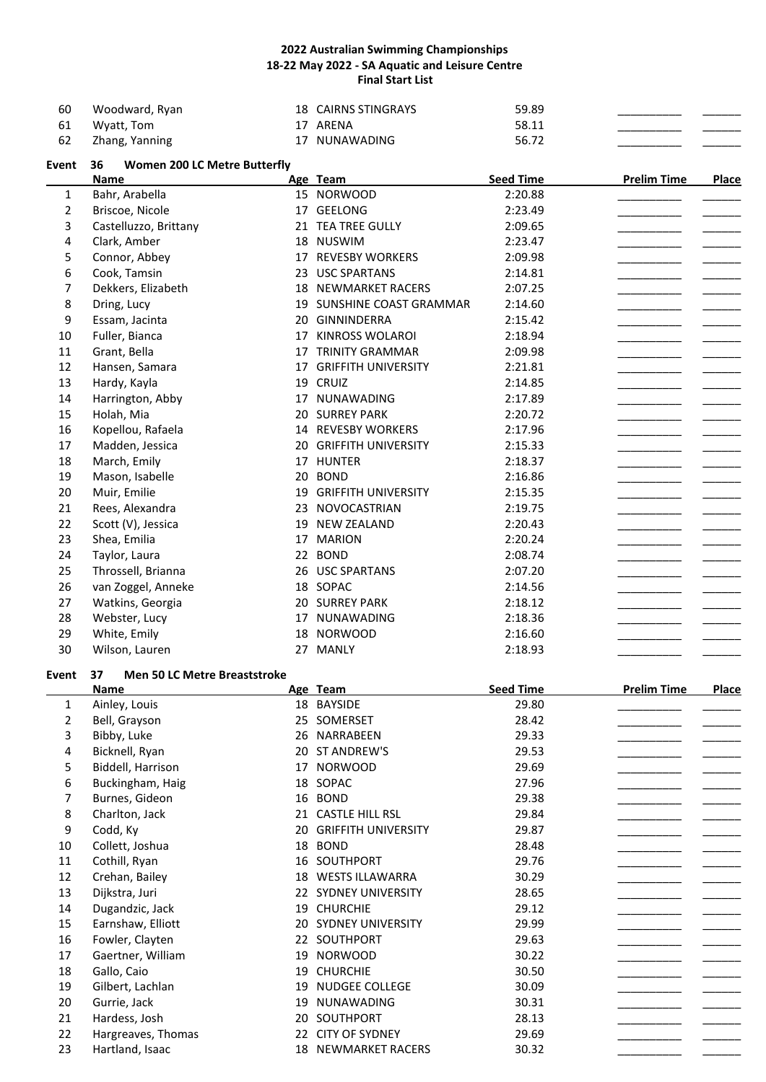| 60   | Woodward, Ryan | 18 CAIRNS STINGRAYS | 59.89 |  |
|------|----------------|---------------------|-------|--|
| - 61 | Wyatt, Tom     | 17 ARENA            | 58.11 |  |
| 62   | Zhang, Yanning | 17 NUNAWADING       | 56.72 |  |

| Event | <b>Women 200 LC Metre Butterfly</b><br>36 |    |                            |                  |                    |       |
|-------|-------------------------------------------|----|----------------------------|------------------|--------------------|-------|
|       | <b>Name</b>                               |    | Age Team                   | <b>Seed Time</b> | <b>Prelim Time</b> | Place |
| 1     | Bahr, Arabella                            |    | 15 NORWOOD                 | 2:20.88          |                    |       |
| 2     | Briscoe, Nicole                           |    | 17 GEELONG                 | 2:23.49          |                    |       |
| 3     | Castelluzzo, Brittany                     |    | 21 TEA TREE GULLY          | 2:09.65          |                    |       |
| 4     | Clark, Amber                              |    | 18 NUSWIM                  | 2:23.47          |                    |       |
| 5     | Connor, Abbey                             | 17 | <b>REVESBY WORKERS</b>     | 2:09.98          |                    |       |
| 6     | Cook, Tamsin                              | 23 | <b>USC SPARTANS</b>        | 2:14.81          |                    |       |
| 7     | Dekkers, Elizabeth                        |    | <b>18 NEWMARKET RACERS</b> | 2:07.25          |                    |       |
| 8     | Dring, Lucy                               |    | 19 SUNSHINE COAST GRAMMAR  | 2:14.60          |                    |       |
| 9     | Essam, Jacinta                            | 20 | GINNINDERRA                | 2:15.42          |                    |       |
| 10    | Fuller, Bianca                            | 17 | <b>KINROSS WOLAROI</b>     | 2:18.94          |                    |       |
| 11    | Grant, Bella                              | 17 | <b>TRINITY GRAMMAR</b>     | 2:09.98          |                    |       |
| 12    | Hansen, Samara                            | 17 | <b>GRIFFITH UNIVERSITY</b> | 2:21.81          |                    |       |
| 13    | Hardy, Kayla                              | 19 | <b>CRUIZ</b>               | 2:14.85          |                    |       |
| 14    | Harrington, Abby                          | 17 | <b>NUNAWADING</b>          | 2:17.89          |                    |       |
| 15    | Holah, Mia                                | 20 | <b>SURREY PARK</b>         | 2:20.72          |                    |       |
| 16    | Kopellou, Rafaela                         |    | 14 REVESBY WORKERS         | 2:17.96          |                    |       |
| 17    | Madden, Jessica                           | 20 | <b>GRIFFITH UNIVERSITY</b> | 2:15.33          |                    |       |
| 18    | March, Emily                              |    | 17 HUNTER                  | 2:18.37          |                    |       |
| 19    | Mason, Isabelle                           | 20 | <b>BOND</b>                | 2:16.86          |                    |       |
| 20    | Muir, Emilie                              | 19 | <b>GRIFFITH UNIVERSITY</b> | 2:15.35          |                    |       |
| 21    | Rees, Alexandra                           | 23 | NOVOCASTRIAN               | 2:19.75          |                    |       |
| 22    | Scott (V), Jessica                        | 19 | <b>NEW ZEALAND</b>         | 2:20.43          |                    |       |
| 23    | Shea, Emilia                              | 17 | <b>MARION</b>              | 2:20.24          |                    |       |
| 24    | Taylor, Laura                             |    | 22 BOND                    | 2:08.74          |                    |       |
| 25    | Throssell, Brianna                        |    | 26 USC SPARTANS            | 2:07.20          |                    |       |
| 26    | van Zoggel, Anneke                        |    | 18 SOPAC                   | 2:14.56          |                    |       |
| 27    | Watkins, Georgia                          |    | <b>20 SURREY PARK</b>      | 2:18.12          |                    |       |
| 28    | Webster, Lucy                             | 17 | <b>NUNAWADING</b>          | 2:18.36          |                    |       |
| 29    | White, Emily                              | 18 | <b>NORWOOD</b>             | 2:16.60          |                    |       |
| 30    | Wilson, Lauren                            | 27 | <b>MANLY</b>               | 2:18.93          |                    |       |

# **Event 37 Men 50 LC Metre Breaststroke**

|    | Name               | Age | Team                       | <b>Seed Time</b> | <b>Prelim Time</b> | <b>Place</b> |
|----|--------------------|-----|----------------------------|------------------|--------------------|--------------|
| 1  | Ainley, Louis      | 18  | <b>BAYSIDE</b>             | 29.80            |                    |              |
| 2  | Bell, Grayson      | 25  | SOMERSET                   | 28.42            |                    |              |
| 3  | Bibby, Luke        | 26  | NARRABEEN                  | 29.33            |                    |              |
| 4  | Bicknell, Ryan     | 20  | ST ANDREW'S                | 29.53            |                    |              |
| 5  | Biddell, Harrison  | 17  | <b>NORWOOD</b>             | 29.69            |                    |              |
| 6  | Buckingham, Haig   | 18  | SOPAC                      | 27.96            |                    |              |
| 7  | Burnes, Gideon     | 16  | <b>BOND</b>                | 29.38            |                    |              |
| 8  | Charlton, Jack     | 21  | <b>CASTLE HILL RSL</b>     | 29.84            |                    |              |
| 9  | Codd, Ky           | 20  | <b>GRIFFITH UNIVERSITY</b> | 29.87            |                    |              |
| 10 | Collett, Joshua    | 18  | <b>BOND</b>                | 28.48            |                    |              |
| 11 | Cothill, Ryan      | 16  | SOUTHPORT                  | 29.76            |                    |              |
| 12 | Crehan, Bailey     | 18  | <b>WESTS ILLAWARRA</b>     | 30.29            |                    |              |
| 13 | Dijkstra, Juri     | 22  | <b>SYDNEY UNIVERSITY</b>   | 28.65            |                    |              |
| 14 | Dugandzic, Jack    | 19  | <b>CHURCHIE</b>            | 29.12            |                    |              |
| 15 | Earnshaw, Elliott  | 20  | SYDNEY UNIVERSITY          | 29.99            |                    |              |
| 16 | Fowler, Clayten    | 22  | SOUTHPORT                  | 29.63            |                    |              |
| 17 | Gaertner, William  | 19  | <b>NORWOOD</b>             | 30.22            |                    |              |
| 18 | Gallo, Caio        | 19  | <b>CHURCHIE</b>            | 30.50            |                    |              |
| 19 | Gilbert, Lachlan   | 19  | <b>NUDGEE COLLEGE</b>      | 30.09            |                    |              |
| 20 | Gurrie, Jack       | 19  | <b>NUNAWADING</b>          | 30.31            |                    |              |
| 21 | Hardess, Josh      | 20  | SOUTHPORT                  | 28.13            |                    |              |
| 22 | Hargreaves, Thomas | 22  | <b>CITY OF SYDNEY</b>      | 29.69            |                    |              |
| 23 | Hartland, Isaac    |     | <b>18 NEWMARKET RACERS</b> | 30.32            |                    |              |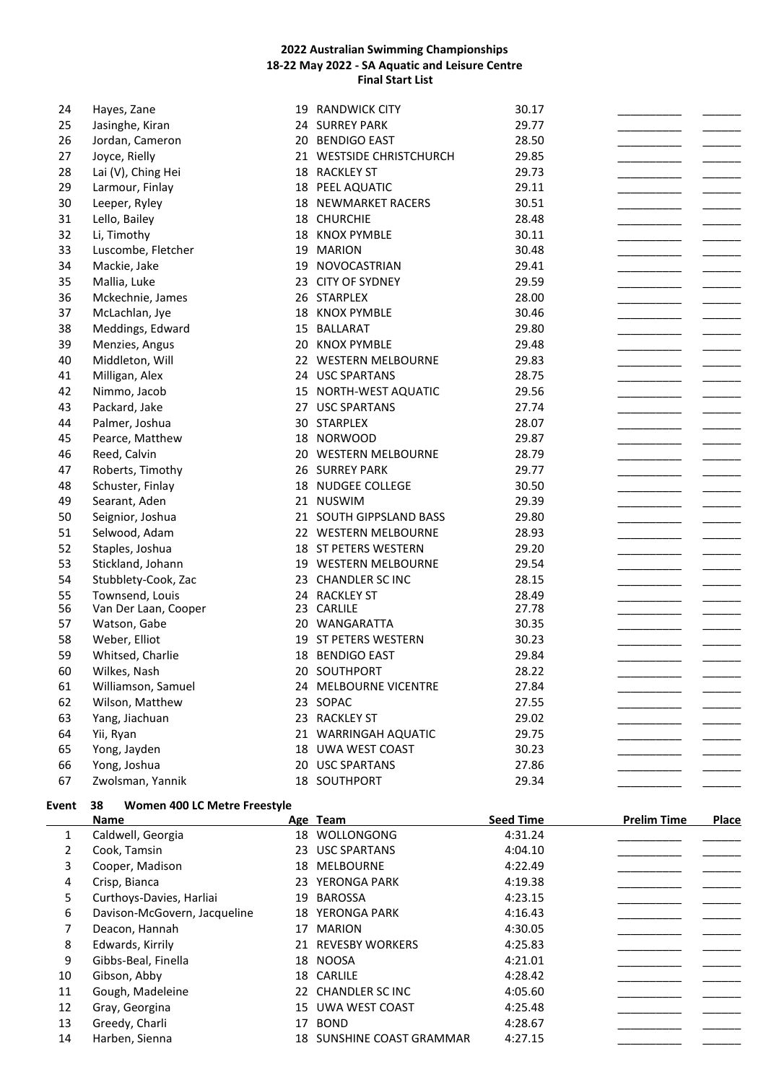| 24 | Hayes, Zane          | 19 | <b>RANDWICK CITY</b>       | 30.17 |  |
|----|----------------------|----|----------------------------|-------|--|
| 25 | Jasinghe, Kiran      |    | 24 SURREY PARK             | 29.77 |  |
| 26 | Jordan, Cameron      | 20 | <b>BENDIGO EAST</b>        | 28.50 |  |
| 27 | Joyce, Rielly        |    | 21 WESTSIDE CHRISTCHURCH   | 29.85 |  |
| 28 | Lai (V), Ching Hei   |    | 18 RACKLEY ST              | 29.73 |  |
| 29 | Larmour, Finlay      |    | 18 PEEL AQUATIC            | 29.11 |  |
| 30 | Leeper, Ryley        |    | <b>18 NEWMARKET RACERS</b> | 30.51 |  |
| 31 | Lello, Bailey        |    | 18 CHURCHIE                | 28.48 |  |
| 32 | Li, Timothy          |    | 18 KNOX PYMBLE             | 30.11 |  |
| 33 | Luscombe, Fletcher   |    | 19 MARION                  | 30.48 |  |
| 34 | Mackie, Jake         |    | 19 NOVOCASTRIAN            | 29.41 |  |
| 35 | Mallia, Luke         |    | 23 CITY OF SYDNEY          | 29.59 |  |
| 36 | Mckechnie, James     |    | 26 STARPLEX                | 28.00 |  |
| 37 | McLachlan, Jye       |    | 18 KNOX PYMBLE             | 30.46 |  |
| 38 | Meddings, Edward     |    | 15 BALLARAT                | 29.80 |  |
| 39 | Menzies, Angus       |    | 20 KNOX PYMBLE             | 29.48 |  |
| 40 | Middleton, Will      |    | 22 WESTERN MELBOURNE       | 29.83 |  |
| 41 | Milligan, Alex       |    | 24 USC SPARTANS            | 28.75 |  |
| 42 | Nimmo, Jacob         |    | 15 NORTH-WEST AQUATIC      | 29.56 |  |
| 43 | Packard, Jake        |    | 27 USC SPARTANS            | 27.74 |  |
| 44 | Palmer, Joshua       |    | 30 STARPLEX                | 28.07 |  |
| 45 | Pearce, Matthew      |    | 18 NORWOOD                 | 29.87 |  |
| 46 | Reed, Calvin         |    | 20 WESTERN MELBOURNE       | 28.79 |  |
| 47 | Roberts, Timothy     |    | 26 SURREY PARK             | 29.77 |  |
| 48 | Schuster, Finlay     |    | 18 NUDGEE COLLEGE          | 30.50 |  |
| 49 | Searant, Aden        |    | 21 NUSWIM                  | 29.39 |  |
| 50 | Seignior, Joshua     |    | 21 SOUTH GIPPSLAND BASS    | 29.80 |  |
| 51 | Selwood, Adam        |    | 22 WESTERN MELBOURNE       | 28.93 |  |
| 52 | Staples, Joshua      |    | 18 ST PETERS WESTERN       | 29.20 |  |
| 53 | Stickland, Johann    |    | 19 WESTERN MELBOURNE       | 29.54 |  |
| 54 | Stubblety-Cook, Zac  |    | 23 CHANDLER SC INC         | 28.15 |  |
| 55 | Townsend, Louis      |    | 24 RACKLEY ST              | 28.49 |  |
| 56 | Van Der Laan, Cooper |    | 23 CARLILE                 | 27.78 |  |
| 57 | Watson, Gabe         |    | 20 WANGARATTA              | 30.35 |  |
| 58 | Weber, Elliot        |    | 19 ST PETERS WESTERN       | 30.23 |  |
| 59 | Whitsed, Charlie     |    | 18 BENDIGO EAST            | 29.84 |  |
| 60 | Wilkes, Nash         |    | 20 SOUTHPORT               | 28.22 |  |
| 61 | Williamson, Samuel   |    | 24 MELBOURNE VICENTRE      | 27.84 |  |
| 62 | Wilson, Matthew      |    | 23 SOPAC                   | 27.55 |  |
| 63 | Yang, Jiachuan       |    | 23 RACKLEY ST              | 29.02 |  |
| 64 | Yii, Ryan            |    | 21 WARRINGAH AQUATIC       | 29.75 |  |
| 65 | Yong, Jayden         |    | 18 UWA WEST COAST          | 30.23 |  |
| 66 | Yong, Joshua         |    | 20 USC SPARTANS            | 27.86 |  |
| 67 | Zwolsman, Yannik     |    | 18 SOUTHPORT               | 29.34 |  |
|    |                      |    |                            |       |  |

# **Event 38 Women 400 LC Metre Freestyle**

|    | <b>Name</b>                  |    | Age Team               | <b>Seed Time</b> | <b>Prelim Time</b> | Place |
|----|------------------------------|----|------------------------|------------------|--------------------|-------|
| 1  | Caldwell, Georgia            | 18 | WOLLONGONG             | 4:31.24          |                    |       |
| 2  | Cook, Tamsin                 |    | 23 USC SPARTANS        | 4:04.10          |                    |       |
| 3  | Cooper, Madison              | 18 | <b>MELBOURNE</b>       | 4:22.49          |                    |       |
| 4  | Crisp, Bianca                |    | 23 YERONGA PARK        | 4:19.38          |                    |       |
| 5  | Curthoys-Davies, Harliai     | 19 | <b>BAROSSA</b>         | 4:23.15          |                    |       |
| 6  | Davison-McGovern, Jacqueline |    | <b>18 YERONGA PARK</b> | 4:16.43          |                    |       |
|    | Deacon, Hannah               | 17 | <b>MARION</b>          | 4:30.05          |                    |       |
| 8  | Edwards, Kirrily             | 21 | <b>REVESBY WORKERS</b> | 4:25.83          |                    |       |
| 9  | Gibbs-Beal, Finella          |    | 18 NOOSA               | 4:21.01          |                    |       |
| 10 | Gibson, Abby                 |    | 18 CARLILE             | 4:28.42          |                    |       |
| 11 | Gough, Madeleine             |    | 22 CHANDLER SC INC     | 4:05.60          |                    |       |
| 12 | Gray, Georgina               | 15 | UWA WEST COAST         | 4:25.48          |                    |       |
| 13 | Greedy, Charli               | 17 | <b>BOND</b>            | 4:28.67          |                    |       |
| 14 | Harben, Sienna               | 18 | SUNSHINE COAST GRAMMAR | 4:27.15          |                    |       |
|    |                              |    |                        |                  |                    |       |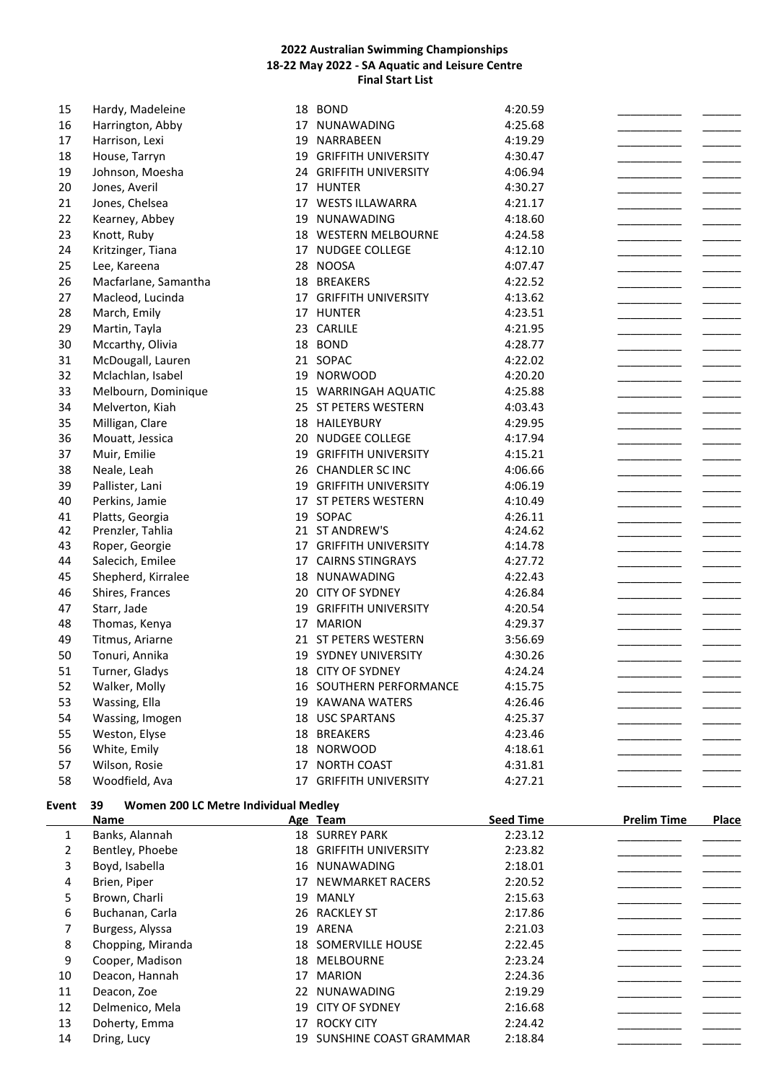|              | Name                                       |    | Age Team                           | <b>Seed Time</b>   | <b>Prelim Time</b> | <b>Place</b> |
|--------------|--------------------------------------------|----|------------------------------------|--------------------|--------------------|--------------|
| <b>Event</b> | Women 200 LC Metre Individual Medley<br>39 |    |                                    |                    |                    |              |
| 58           | Woodfield, Ava                             |    | 17 GRIFFITH UNIVERSITY             | 4:27.21            |                    |              |
| 57           | Wilson, Rosie                              | 17 | <b>NORTH COAST</b>                 | 4:31.81            |                    |              |
| 56           | White, Emily                               |    | 18 NORWOOD                         | 4:18.61            |                    |              |
| 55           | Weston, Elyse                              |    | 18 BREAKERS                        | 4:23.46            |                    |              |
| 54           | Wassing, Imogen                            |    | 18 USC SPARTANS                    | 4:25.37            |                    |              |
| 53           | Wassing, Ella                              |    | 19 KAWANA WATERS                   | 4:26.46            |                    |              |
| 52           | Walker, Molly                              |    | 16 SOUTHERN PERFORMANCE            | 4:15.75            |                    |              |
| 51           | Turner, Gladys                             |    | 18 CITY OF SYDNEY                  | 4:24.24            |                    |              |
| 50           | Tonuri, Annika                             |    | 19 SYDNEY UNIVERSITY               | 4:30.26            |                    |              |
| 49           | Titmus, Ariarne                            |    | 21 ST PETERS WESTERN               | 3:56.69            |                    |              |
| 48           | Thomas, Kenya                              |    | 17 MARION                          | 4:29.37            |                    |              |
| 47           | Starr, Jade                                |    | 19 GRIFFITH UNIVERSITY             | 4:20.54            |                    |              |
| 46           | Shires, Frances                            |    | 20 CITY OF SYDNEY                  | 4:26.84            |                    |              |
| 45           | Shepherd, Kirralee                         |    | 18 NUNAWADING                      | 4:22.43            |                    |              |
| 44           | Salecich, Emilee                           |    | 17 CAIRNS STINGRAYS                | 4:27.72            |                    |              |
| 43           | Roper, Georgie                             |    | 17 GRIFFITH UNIVERSITY             | 4:14.78            |                    |              |
| 42           | Prenzler, Tahlia                           |    | 21 ST ANDREW'S                     | 4:24.62            |                    |              |
| 41           | Platts, Georgia                            |    | 19 SOPAC                           | 4:26.11            |                    |              |
| 40           | Perkins, Jamie                             |    | 17 ST PETERS WESTERN               | 4:10.49            |                    |              |
| 39           | Pallister, Lani                            |    | 19 GRIFFITH UNIVERSITY             | 4:06.19            |                    |              |
| 38           | Neale, Leah                                |    | 26 CHANDLER SC INC                 | 4:06.66            |                    |              |
| 37           | Muir, Emilie                               |    | 19 GRIFFITH UNIVERSITY             | 4:15.21            |                    |              |
| 36           | Mouatt, Jessica                            | 20 | <b>NUDGEE COLLEGE</b>              | 4:17.94            |                    |              |
| 35           | Milligan, Clare                            |    | 18 HAILEYBURY                      | 4:29.95            |                    |              |
| 34           | Melverton, Kiah                            |    | 25 ST PETERS WESTERN               | 4:03.43            |                    |              |
| 33           | Melbourn, Dominique                        |    | 15 WARRINGAH AQUATIC               | 4:25.88            |                    |              |
| 32           | Mclachlan, Isabel                          |    | 19 NORWOOD                         | 4:20.20            |                    |              |
| 31           | McDougall, Lauren                          |    | 21 SOPAC                           | 4:22.02            |                    |              |
| 30           | Mccarthy, Olivia                           |    | 18 BOND                            | 4:28.77            |                    |              |
| 29           | Martin, Tayla                              |    | 23 CARLILE                         | 4:21.95            |                    |              |
| 28           | March, Emily                               |    | 17 HUNTER                          | 4:23.51            |                    |              |
| 27           | Macleod, Lucinda                           |    | 17 GRIFFITH UNIVERSITY             | 4:13.62            |                    |              |
| 26           | Macfarlane, Samantha                       |    | 18 BREAKERS                        | 4:22.52            |                    |              |
| 25           | Lee, Kareena                               |    | 28 NOOSA                           | 4:07.47            |                    |              |
| 24           | Knott, Ruby<br>Kritzinger, Tiana           |    | 17 NUDGEE COLLEGE                  | 4:12.10            |                    |              |
| 22<br>23     | Kearney, Abbey                             | 19 | NUNAWADING<br>18 WESTERN MELBOURNE | 4:18.60<br>4:24.58 |                    |              |
| 21           | Jones, Chelsea                             |    | 17 WESTS ILLAWARRA                 | 4:21.17            |                    |              |
| 20           | Jones, Averil                              |    | 17 HUNTER                          | 4:30.27            |                    |              |
| 19           | Johnson, Moesha                            |    | 24 GRIFFITH UNIVERSITY             | 4:06.94            |                    |              |
| 18           | House, Tarryn                              | 19 | <b>GRIFFITH UNIVERSITY</b>         | 4:30.47            |                    |              |
| 17           | Harrison, Lexi                             | 19 | NARRABEEN                          | 4:19.29            |                    |              |
| 16           | Harrington, Abby                           | 17 | NUNAWADING                         | 4:25.68            |                    |              |
| 15           | Hardy, Madeleine                           |    | 18 BOND                            | 4:20.59            |                    |              |
|              |                                            |    |                                    |                    |                    |              |

|    | ivame             |    | Age ream                   | seea rime | <b>Prenm</b> Time | <b>Piace</b> |
|----|-------------------|----|----------------------------|-----------|-------------------|--------------|
|    | Banks, Alannah    |    | <b>18 SURREY PARK</b>      | 2:23.12   |                   |              |
| 2  | Bentley, Phoebe   | 18 | <b>GRIFFITH UNIVERSITY</b> | 2:23.82   |                   |              |
| 3  | Boyd, Isabella    |    | 16 NUNAWADING              | 2:18.01   |                   |              |
| 4  | Brien, Piper      | 17 | NEWMARKET RACERS           | 2:20.52   |                   |              |
| 5  | Brown, Charli     |    | 19 MANLY                   | 2:15.63   |                   |              |
| 6  | Buchanan, Carla   |    | 26 RACKLEY ST              | 2:17.86   |                   |              |
| 7  | Burgess, Alyssa   | 19 | ARENA                      | 2:21.03   |                   |              |
| 8  | Chopping, Miranda |    | 18 SOMERVILLE HOUSE        | 2:22.45   |                   |              |
| 9  | Cooper, Madison   |    | 18 MELBOURNE               | 2:23.24   |                   |              |
| 10 | Deacon, Hannah    | 17 | <b>MARION</b>              | 2:24.36   |                   |              |
| 11 | Deacon, Zoe       |    | 22 NUNAWADING              | 2:19.29   |                   |              |
| 12 | Delmenico, Mela   |    | 19 CITY OF SYDNEY          | 2:16.68   |                   |              |
| 13 | Doherty, Emma     | 17 | <b>ROCKY CITY</b>          | 2:24.42   |                   |              |
| 14 | Dring, Lucy       |    | 19 SUNSHINE COAST GRAMMAR  | 2:18.84   |                   |              |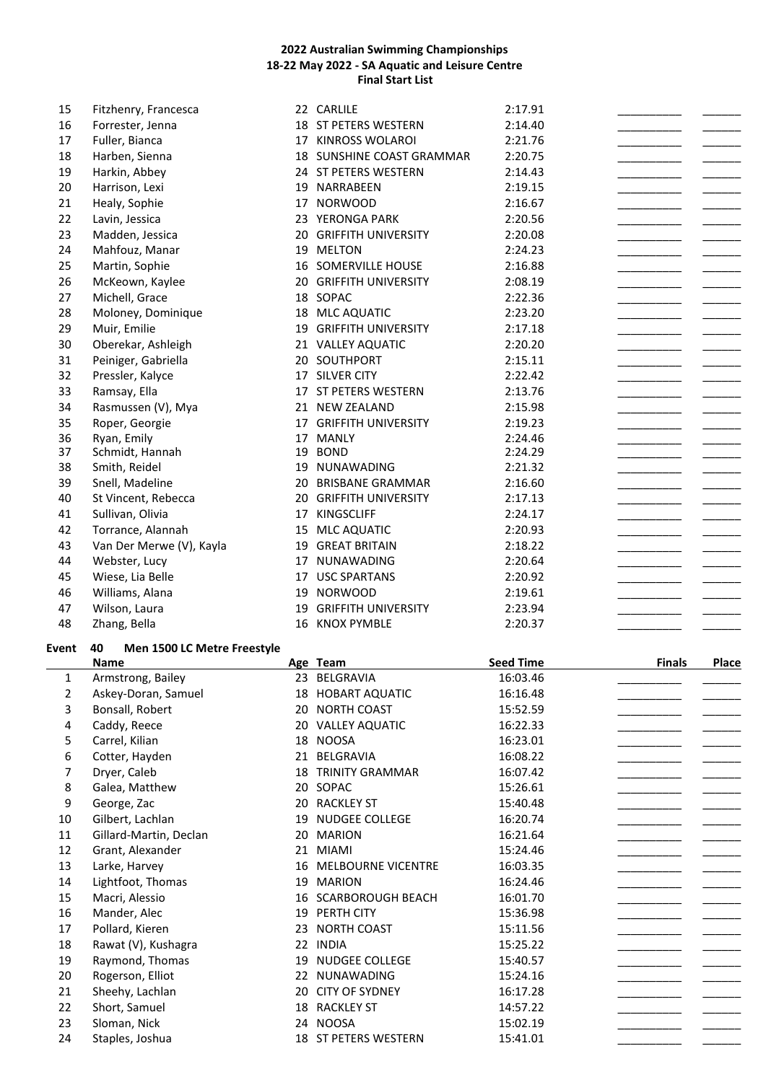| 15 | Fitzhenry, Francesca     |    | 22 CARLILE                    | 2:17.91 |
|----|--------------------------|----|-------------------------------|---------|
| 16 | Forrester, Jenna         |    | <b>18 ST PETERS WESTERN</b>   | 2:14.40 |
| 17 | Fuller, Bianca           | 17 | KINROSS WOLAROI               | 2:21.76 |
| 18 | Harben, Sienna           |    | 18 SUNSHINE COAST GRAMMAR     | 2:20.75 |
| 19 | Harkin, Abbey            |    | 24 ST PETERS WESTERN          | 2:14.43 |
| 20 | Harrison, Lexi           | 19 | NARRABEEN                     | 2:19.15 |
| 21 | Healy, Sophie            | 17 | <b>NORWOOD</b>                | 2:16.67 |
| 22 | Lavin, Jessica           |    | 23 YERONGA PARK               | 2:20.56 |
| 23 | Madden, Jessica          |    | <b>20 GRIFFITH UNIVERSITY</b> | 2:20.08 |
| 24 | Mahfouz, Manar           | 19 | <b>MELTON</b>                 | 2:24.23 |
| 25 | Martin, Sophie           |    | 16 SOMERVILLE HOUSE           | 2:16.88 |
| 26 | McKeown, Kaylee          |    | 20 GRIFFITH UNIVERSITY        | 2:08.19 |
| 27 | Michell, Grace           |    | 18 SOPAC                      | 2:22.36 |
| 28 | Moloney, Dominique       |    | 18 MLC AQUATIC                | 2:23.20 |
| 29 | Muir, Emilie             | 19 | <b>GRIFFITH UNIVERSITY</b>    | 2:17.18 |
| 30 | Oberekar, Ashleigh       |    | 21 VALLEY AQUATIC             | 2:20.20 |
| 31 | Peiniger, Gabriella      | 20 | SOUTHPORT                     | 2:15.11 |
| 32 | Pressler, Kalyce         |    | 17 SILVER CITY                | 2:22.42 |
| 33 | Ramsay, Ella             | 17 | ST PETERS WESTERN             | 2:13.76 |
| 34 | Rasmussen (V), Mya       | 21 | <b>NEW ZEALAND</b>            | 2:15.98 |
| 35 | Roper, Georgie           | 17 | <b>GRIFFITH UNIVERSITY</b>    | 2:19.23 |
| 36 | Ryan, Emily              | 17 | <b>MANLY</b>                  | 2:24.46 |
| 37 | Schmidt, Hannah          |    | 19 BOND                       | 2:24.29 |
| 38 | Smith, Reidel            |    | 19 NUNAWADING                 | 2:21.32 |
| 39 | Snell, Madeline          | 20 | <b>BRISBANE GRAMMAR</b>       | 2:16.60 |
| 40 | St Vincent, Rebecca      | 20 | <b>GRIFFITH UNIVERSITY</b>    | 2:17.13 |
| 41 | Sullivan, Olivia         | 17 | <b>KINGSCLIFF</b>             | 2:24.17 |
| 42 | Torrance, Alannah        | 15 | MLC AQUATIC                   | 2:20.93 |
| 43 | Van Der Merwe (V), Kayla | 19 | <b>GREAT BRITAIN</b>          | 2:18.22 |
| 44 | Webster, Lucy            | 17 | <b>NUNAWADING</b>             | 2:20.64 |
| 45 | Wiese, Lia Belle         | 17 | <b>USC SPARTANS</b>           | 2:20.92 |
| 46 | Williams, Alana          | 19 | <b>NORWOOD</b>                | 2:19.61 |
| 47 | Wilson, Laura            | 19 | <b>GRIFFITH UNIVERSITY</b>    | 2:23.94 |
| 48 | Zhang, Bella             | 16 | <b>KNOX PYMBLE</b>            | 2:20.37 |

### **Event 40 Men 1500 LC Metre Freestyle**

|                | <b>Name</b>            |    | Age Team                 | <b>Seed Time</b> | <b>Finals</b> | <b>Place</b> |
|----------------|------------------------|----|--------------------------|------------------|---------------|--------------|
| $\mathbf{1}$   | Armstrong, Bailey      |    | 23 BELGRAVIA             | 16:03.46         |               |              |
| $\overline{2}$ | Askey-Doran, Samuel    |    | 18 HOBART AQUATIC        | 16:16.48         |               |              |
| 3              | Bonsall, Robert        |    | 20 NORTH COAST           | 15:52.59         |               |              |
| 4              | Caddy, Reece           |    | 20 VALLEY AQUATIC        | 16:22.33         |               |              |
| 5              | Carrel, Kilian         |    | 18 NOOSA                 | 16:23.01         |               |              |
| 6              | Cotter, Hayden         | 21 | BELGRAVIA                | 16:08.22         |               |              |
| 7              | Dryer, Caleb           | 18 | <b>TRINITY GRAMMAR</b>   | 16:07.42         |               |              |
| 8              | Galea, Matthew         |    | 20 SOPAC                 | 15:26.61         |               |              |
| 9              | George, Zac            | 20 | <b>RACKLEY ST</b>        | 15:40.48         |               |              |
| 10             | Gilbert, Lachlan       | 19 | <b>NUDGEE COLLEGE</b>    | 16:20.74         |               |              |
| 11             | Gillard-Martin, Declan | 20 | <b>MARION</b>            | 16:21.64         |               |              |
| 12             | Grant, Alexander       |    | 21 MIAMI                 | 15:24.46         |               |              |
| 13             | Larke, Harvey          | 16 | MELBOURNE VICENTRE       | 16:03.35         |               |              |
| 14             | Lightfoot, Thomas      | 19 | <b>MARION</b>            | 16:24.46         |               |              |
| 15             | Macri, Alessio         | 16 | <b>SCARBOROUGH BEACH</b> | 16:01.70         |               |              |
| 16             | Mander, Alec           |    | 19 PERTH CITY            | 15:36.98         |               |              |
| 17             | Pollard, Kieren        | 23 | <b>NORTH COAST</b>       | 15:11.56         |               |              |
| 18             | Rawat (V), Kushagra    |    | 22 INDIA                 | 15:25.22         |               |              |
| 19             | Raymond, Thomas        | 19 | NUDGEE COLLEGE           | 15:40.57         |               |              |
| 20             | Rogerson, Elliot       |    | 22 NUNAWADING            | 15:24.16         |               |              |
| 21             | Sheehy, Lachlan        | 20 | <b>CITY OF SYDNEY</b>    | 16:17.28         |               |              |
| 22             | Short, Samuel          | 18 | <b>RACKLEY ST</b>        | 14:57.22         |               |              |
| 23             | Sloman, Nick           |    | 24 NOOSA                 | 15:02.19         |               |              |
| 24             | Staples, Joshua        |    | 18 ST PETERS WESTERN     | 15:41.01         |               |              |